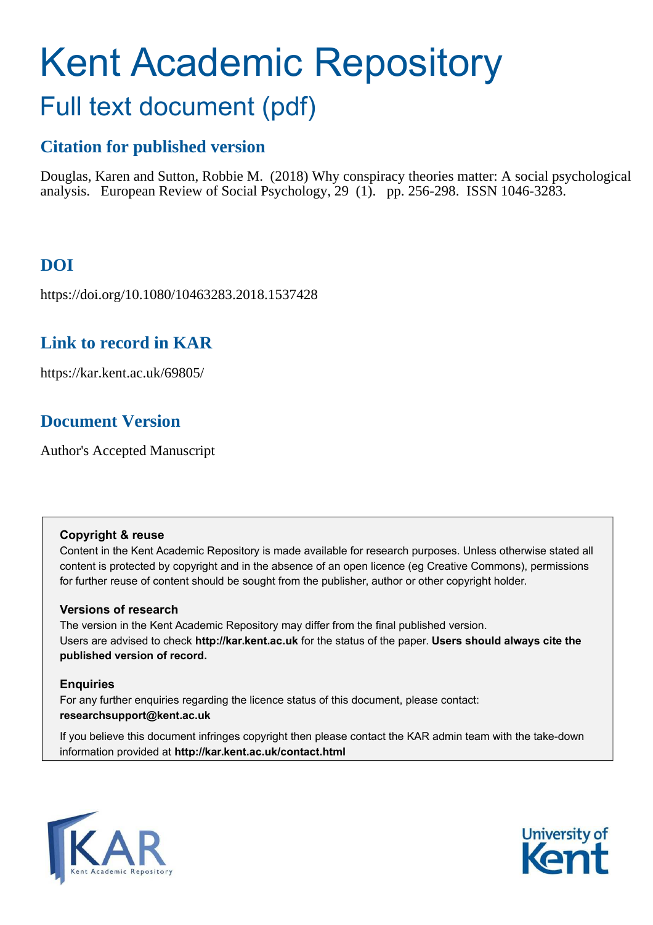# Kent Academic Repository

## Full text document (pdf)

## **Citation for published version**

Douglas, Karen and Sutton, Robbie M. (2018) Why conspiracy theories matter: A social psychological analysis. European Review of Social Psychology, 29 (1). pp. 256-298. ISSN 1046-3283.

## **DOI**

https://doi.org/10.1080/10463283.2018.1537428

### **Link to record in KAR**

https://kar.kent.ac.uk/69805/

## **Document Version**

Author's Accepted Manuscript

#### **Copyright & reuse**

Content in the Kent Academic Repository is made available for research purposes. Unless otherwise stated all content is protected by copyright and in the absence of an open licence (eg Creative Commons), permissions for further reuse of content should be sought from the publisher, author or other copyright holder.

#### **Versions of research**

The version in the Kent Academic Repository may differ from the final published version. Users are advised to check **http://kar.kent.ac.uk** for the status of the paper. **Users should always cite the published version of record.**

#### **Enquiries**

For any further enquiries regarding the licence status of this document, please contact: **researchsupport@kent.ac.uk**

If you believe this document infringes copyright then please contact the KAR admin team with the take-down information provided at **http://kar.kent.ac.uk/contact.html**



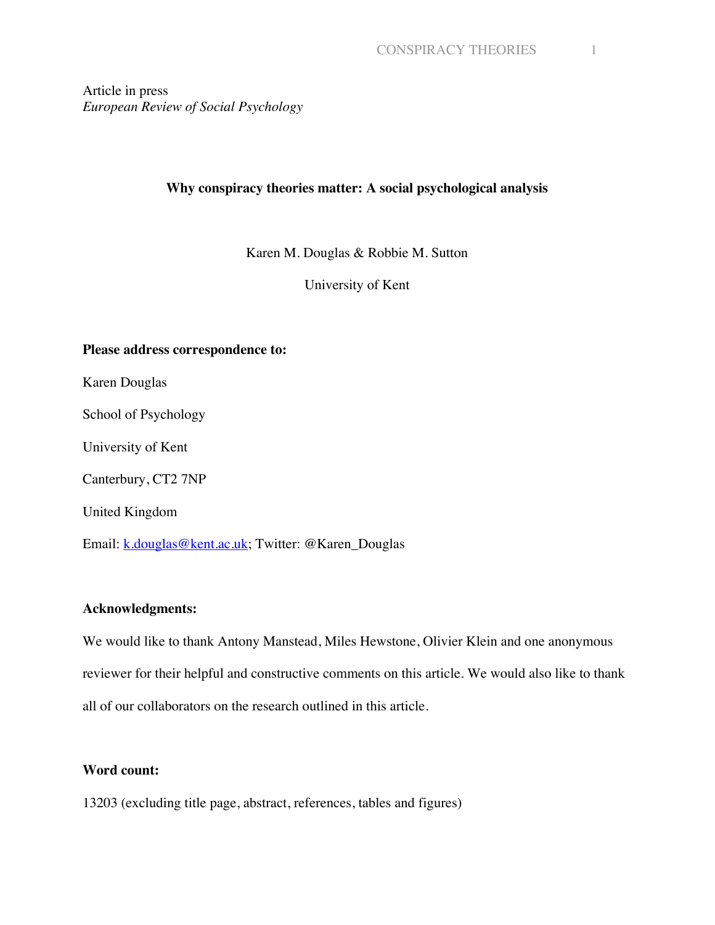Article in press *European Review of Social Psychology*

#### **Why conspiracy theories matter: A social psychological analysis**

Karen M. Douglas & Robbie M. Sutton

University of Kent

#### **Please address correspondence to:**

Karen Douglas

School of Psychology

University of Kent

Canterbury, CT2 7NP

United Kingdom

Email: k.douglas@kent.ac.uk; Twitter: @Karen\_Douglas

#### **Acknowledgments:**

We would like to thank Antony Manstead, Miles Hewstone, Olivier Klein and one anonymous reviewer for their helpful and constructive comments on this article. We would also like to thank all of our collaborators on the research outlined in this article.

#### **Word count:**

13203 (excluding title page, abstract, references, tables and figures)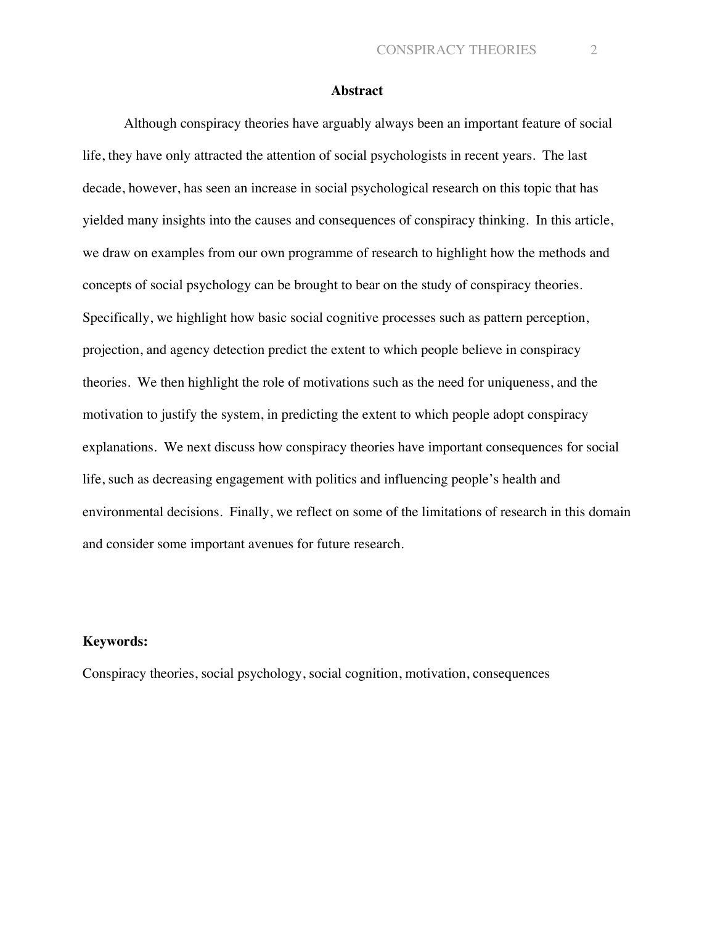#### **Abstract**

Although conspiracy theories have arguably always been an important feature of social life, they have only attracted the attention of social psychologists in recent years. The last decade, however, has seen an increase in social psychological research on this topic that has yielded many insights into the causes and consequences of conspiracy thinking. In this article, we draw on examples from our own programme of research to highlight how the methods and concepts of social psychology can be brought to bear on the study of conspiracy theories. Specifically, we highlight how basic social cognitive processes such as pattern perception, projection, and agency detection predict the extent to which people believe in conspiracy theories. We then highlight the role of motivations such as the need for uniqueness, and the motivation to justify the system, in predicting the extent to which people adopt conspiracy explanations. We next discuss how conspiracy theories have important consequences for social life, such as decreasing engagement with politics and influencing people's health and environmental decisions. Finally, we reflect on some of the limitations of research in this domain and consider some important avenues for future research.

#### **Keywords:**

Conspiracy theories, social psychology, social cognition, motivation, consequences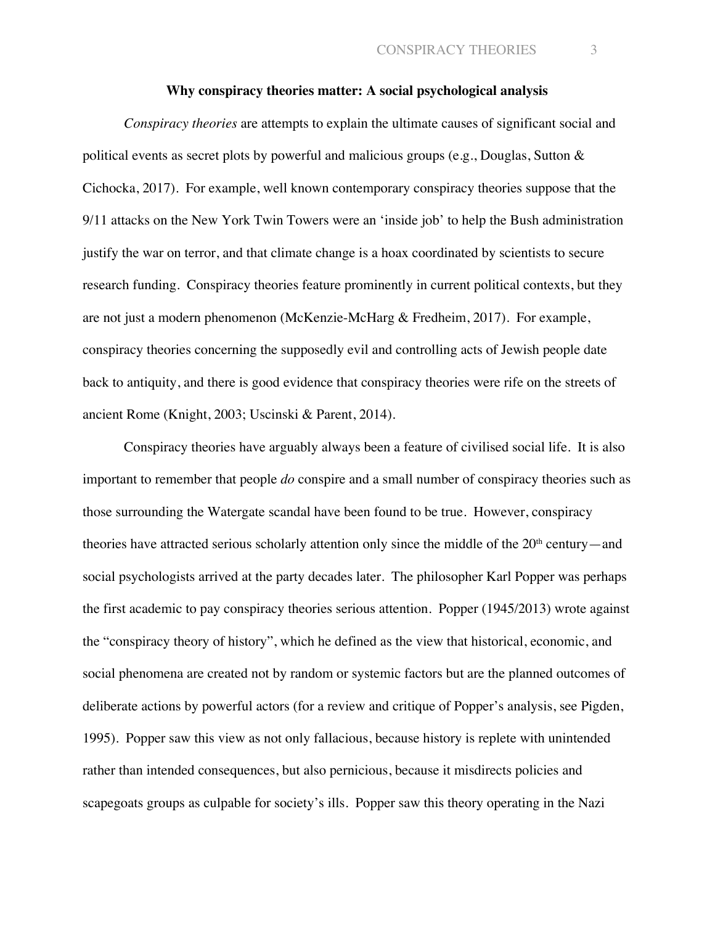#### **Why conspiracy theories matter: A social psychological analysis**

*Conspiracy theories* are attempts to explain the ultimate causes of significant social and political events as secret plots by powerful and malicious groups (e.g., Douglas, Sutton & Cichocka, 2017). For example, well known contemporary conspiracy theories suppose that the 9/11 attacks on the New York Twin Towers were an 'inside job' to help the Bush administration justify the war on terror, and that climate change is a hoax coordinated by scientists to secure research funding. Conspiracy theories feature prominently in current political contexts, but they are not just a modern phenomenon (McKenzie-McHarg & Fredheim, 2017). For example, conspiracy theories concerning the supposedly evil and controlling acts of Jewish people date back to antiquity, and there is good evidence that conspiracy theories were rife on the streets of ancient Rome (Knight, 2003; Uscinski & Parent, 2014).

Conspiracy theories have arguably always been a feature of civilised social life. It is also important to remember that people *do* conspire and a small number of conspiracy theories such as those surrounding the Watergate scandal have been found to be true. However, conspiracy theories have attracted serious scholarly attention only since the middle of the  $20<sup>th</sup>$  century—and social psychologists arrived at the party decades later. The philosopher Karl Popper was perhaps the first academic to pay conspiracy theories serious attention. Popper (1945/2013) wrote against the "conspiracy theory of history", which he defined as the view that historical, economic, and social phenomena are created not by random or systemic factors but are the planned outcomes of deliberate actions by powerful actors (for a review and critique of Popper's analysis, see Pigden, 1995). Popper saw this view as not only fallacious, because history is replete with unintended rather than intended consequences, but also pernicious, because it misdirects policies and scapegoats groups as culpable for society's ills. Popper saw this theory operating in the Nazi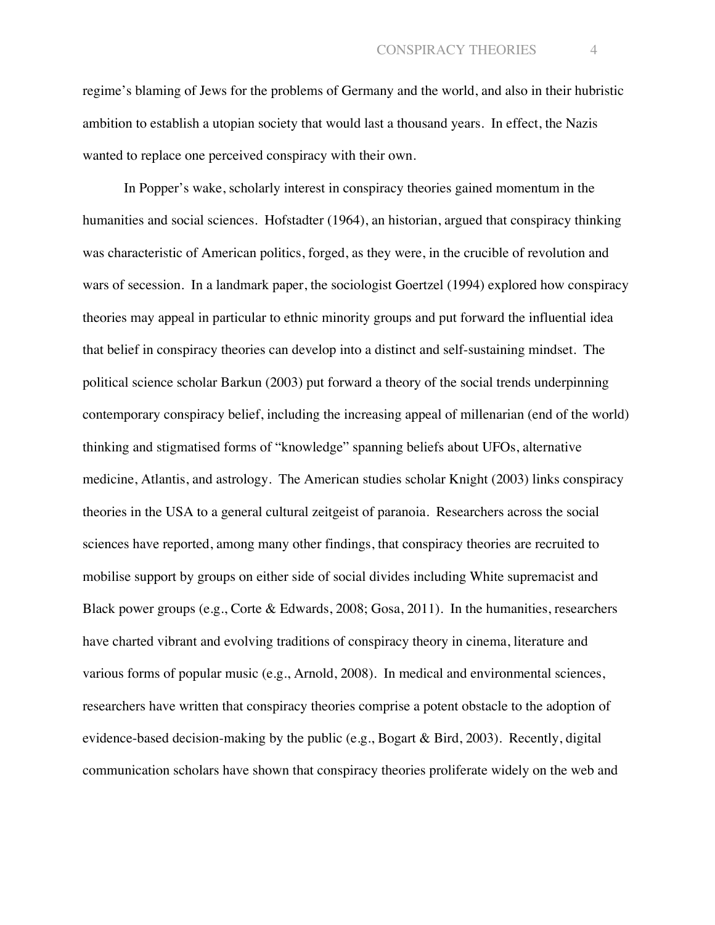regime's blaming of Jews for the problems of Germany and the world, and also in their hubristic ambition to establish a utopian society that would last a thousand years. In effect, the Nazis wanted to replace one perceived conspiracy with their own.

In Popper's wake, scholarly interest in conspiracy theories gained momentum in the humanities and social sciences. Hofstadter (1964), an historian, argued that conspiracy thinking was characteristic of American politics, forged, as they were, in the crucible of revolution and wars of secession. In a landmark paper, the sociologist Goertzel (1994) explored how conspiracy theories may appeal in particular to ethnic minority groups and put forward the influential idea that belief in conspiracy theories can develop into a distinct and self-sustaining mindset. The political science scholar Barkun (2003) put forward a theory of the social trends underpinning contemporary conspiracy belief, including the increasing appeal of millenarian (end of the world) thinking and stigmatised forms of "knowledge" spanning beliefs about UFOs, alternative medicine, Atlantis, and astrology. The American studies scholar Knight (2003) links conspiracy theories in the USA to a general cultural zeitgeist of paranoia. Researchers across the social sciences have reported, among many other findings, that conspiracy theories are recruited to mobilise support by groups on either side of social divides including White supremacist and Black power groups (e.g., Corte & Edwards, 2008; Gosa, 2011). In the humanities, researchers have charted vibrant and evolving traditions of conspiracy theory in cinema, literature and various forms of popular music (e.g., Arnold, 2008). In medical and environmental sciences, researchers have written that conspiracy theories comprise a potent obstacle to the adoption of evidence-based decision-making by the public (e.g., Bogart & Bird, 2003). Recently, digital communication scholars have shown that conspiracy theories proliferate widely on the web and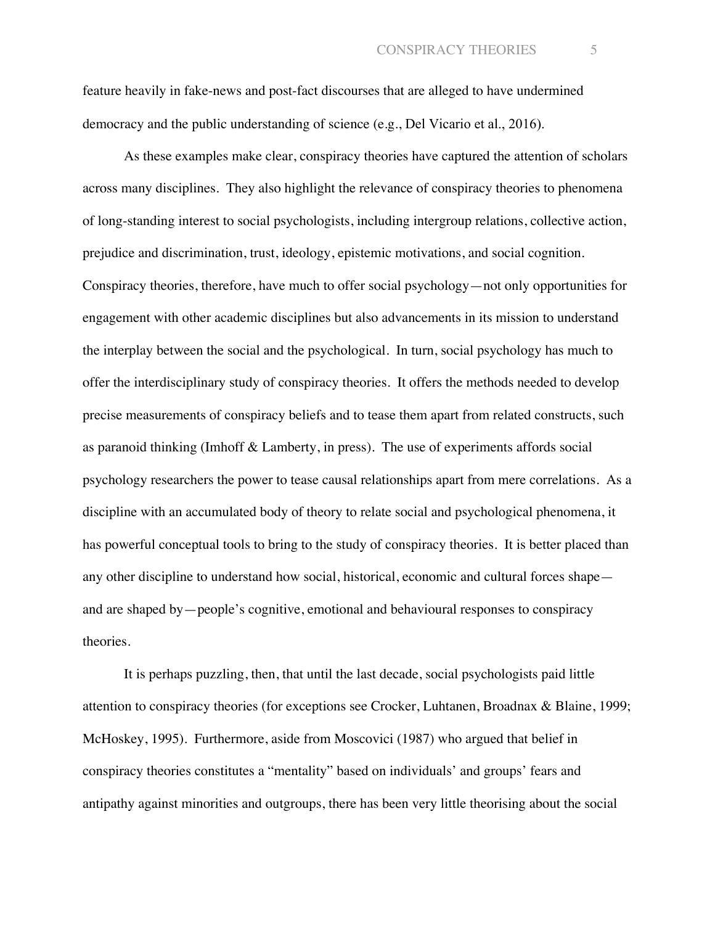feature heavily in fake-news and post-fact discourses that are alleged to have undermined democracy and the public understanding of science (e.g., Del Vicario et al., 2016).

As these examples make clear, conspiracy theories have captured the attention of scholars across many disciplines. They also highlight the relevance of conspiracy theories to phenomena of long-standing interest to social psychologists, including intergroup relations, collective action, prejudice and discrimination, trust, ideology, epistemic motivations, and social cognition. Conspiracy theories, therefore, have much to offer social psychology—not only opportunities for engagement with other academic disciplines but also advancements in its mission to understand the interplay between the social and the psychological. In turn, social psychology has much to offer the interdisciplinary study of conspiracy theories. It offers the methods needed to develop precise measurements of conspiracy beliefs and to tease them apart from related constructs, such as paranoid thinking (Imhoff & Lamberty, in press). The use of experiments affords social psychology researchers the power to tease causal relationships apart from mere correlations. As a discipline with an accumulated body of theory to relate social and psychological phenomena, it has powerful conceptual tools to bring to the study of conspiracy theories. It is better placed than any other discipline to understand how social, historical, economic and cultural forces shape and are shaped by—people's cognitive, emotional and behavioural responses to conspiracy theories.

It is perhaps puzzling, then, that until the last decade, social psychologists paid little attention to conspiracy theories (for exceptions see Crocker, Luhtanen, Broadnax & Blaine, 1999; McHoskey, 1995). Furthermore, aside from Moscovici (1987) who argued that belief in conspiracy theories constitutes a "mentality" based on individuals' and groups' fears and antipathy against minorities and outgroups, there has been very little theorising about the social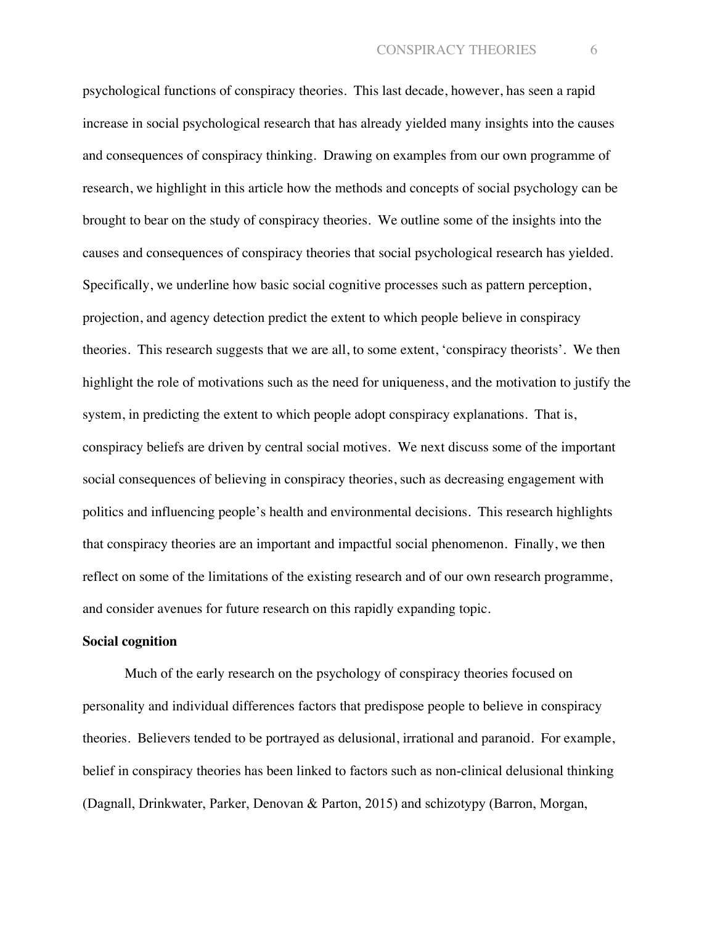psychological functions of conspiracy theories. This last decade, however, has seen a rapid increase in social psychological research that has already yielded many insights into the causes and consequences of conspiracy thinking. Drawing on examples from our own programme of research, we highlight in this article how the methods and concepts of social psychology can be brought to bear on the study of conspiracy theories. We outline some of the insights into the causes and consequences of conspiracy theories that social psychological research has yielded. Specifically, we underline how basic social cognitive processes such as pattern perception, projection, and agency detection predict the extent to which people believe in conspiracy theories. This research suggests that we are all, to some extent, 'conspiracy theorists'. We then highlight the role of motivations such as the need for uniqueness, and the motivation to justify the system, in predicting the extent to which people adopt conspiracy explanations. That is, conspiracy beliefs are driven by central social motives. We next discuss some of the important social consequences of believing in conspiracy theories, such as decreasing engagement with politics and influencing people's health and environmental decisions. This research highlights that conspiracy theories are an important and impactful social phenomenon. Finally, we then reflect on some of the limitations of the existing research and of our own research programme, and consider avenues for future research on this rapidly expanding topic.

#### **Social cognition**

Much of the early research on the psychology of conspiracy theories focused on personality and individual differences factors that predispose people to believe in conspiracy theories. Believers tended to be portrayed as delusional, irrational and paranoid. For example, belief in conspiracy theories has been linked to factors such as non-clinical delusional thinking (Dagnall, Drinkwater, Parker, Denovan & Parton, 2015) and schizotypy (Barron, Morgan,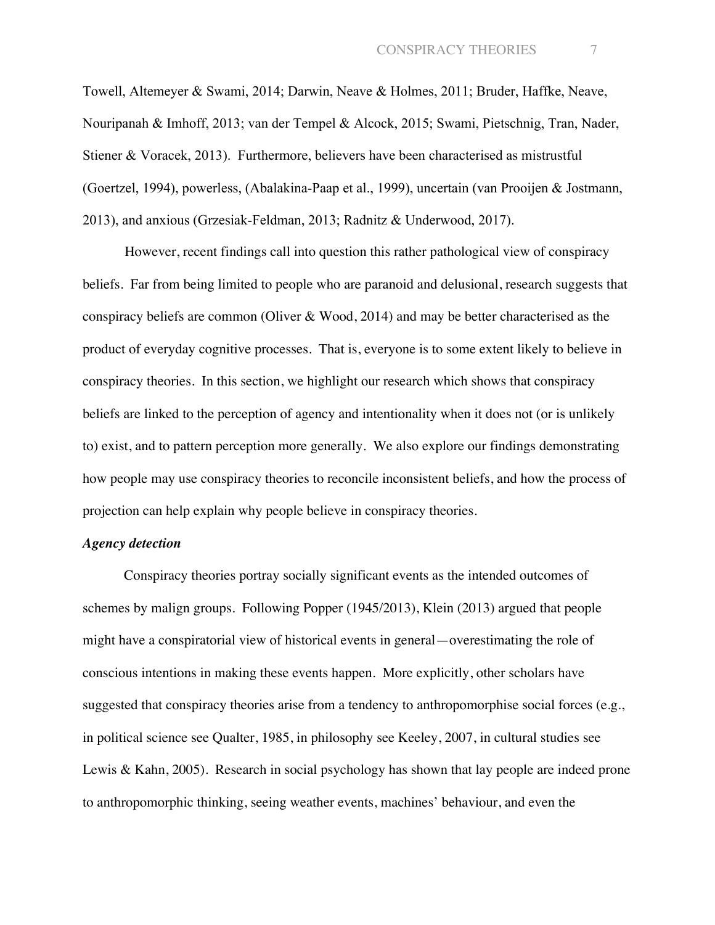Towell, Altemeyer & Swami, 2014; Darwin, Neave & Holmes, 2011; Bruder, Haffke, Neave, Nouripanah & Imhoff, 2013; van der Tempel & Alcock, 2015; Swami, Pietschnig, Tran, Nader, Stiener & Voracek, 2013). Furthermore, believers have been characterised as mistrustful (Goertzel, 1994), powerless, (Abalakina-Paap et al., 1999), uncertain (van Prooijen & Jostmann, 2013), and anxious (Grzesiak-Feldman, 2013; Radnitz & Underwood, 2017).

However, recent findings call into question this rather pathological view of conspiracy beliefs. Far from being limited to people who are paranoid and delusional, research suggests that conspiracy beliefs are common (Oliver & Wood, 2014) and may be better characterised as the product of everyday cognitive processes. That is, everyone is to some extent likely to believe in conspiracy theories. In this section, we highlight our research which shows that conspiracy beliefs are linked to the perception of agency and intentionality when it does not (or is unlikely to) exist, and to pattern perception more generally. We also explore our findings demonstrating how people may use conspiracy theories to reconcile inconsistent beliefs, and how the process of projection can help explain why people believe in conspiracy theories.

#### *Agency detection*

Conspiracy theories portray socially significant events as the intended outcomes of schemes by malign groups. Following Popper (1945/2013), Klein (2013) argued that people might have a conspiratorial view of historical events in general—overestimating the role of conscious intentions in making these events happen. More explicitly, other scholars have suggested that conspiracy theories arise from a tendency to anthropomorphise social forces (e.g., in political science see Qualter, 1985, in philosophy see Keeley, 2007, in cultural studies see Lewis & Kahn, 2005). Research in social psychology has shown that lay people are indeed prone to anthropomorphic thinking, seeing weather events, machines' behaviour, and even the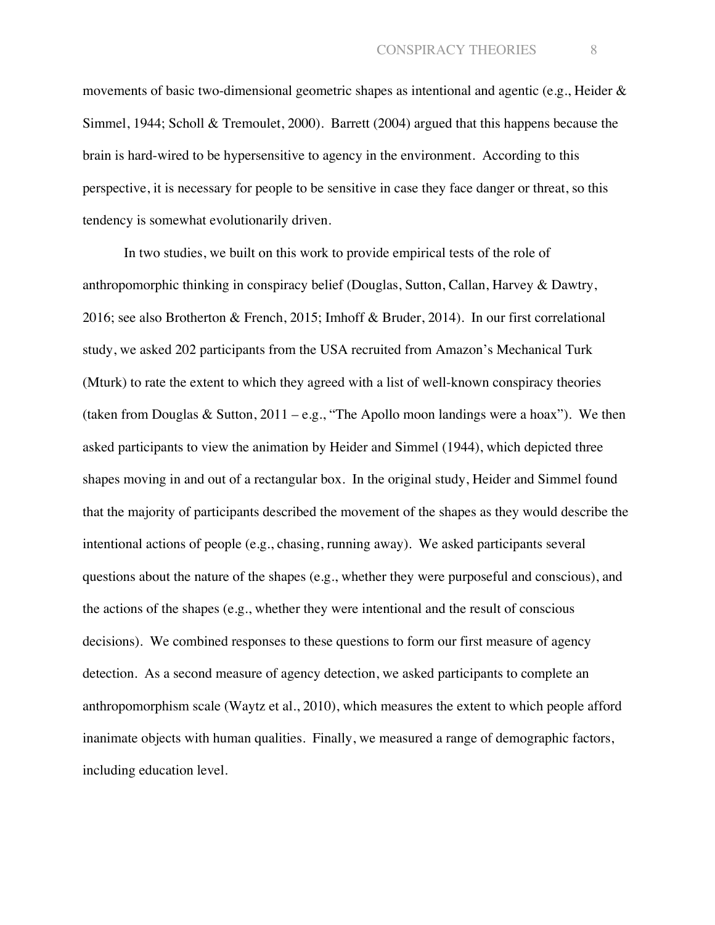movements of basic two-dimensional geometric shapes as intentional and agentic (e.g., Heider & Simmel, 1944; Scholl & Tremoulet, 2000). Barrett (2004) argued that this happens because the brain is hard-wired to be hypersensitive to agency in the environment. According to this perspective, it is necessary for people to be sensitive in case they face danger or threat, so this tendency is somewhat evolutionarily driven.

In two studies, we built on this work to provide empirical tests of the role of anthropomorphic thinking in conspiracy belief (Douglas, Sutton, Callan, Harvey & Dawtry, 2016; see also Brotherton & French, 2015; Imhoff & Bruder, 2014). In our first correlational study, we asked 202 participants from the USA recruited from Amazon's Mechanical Turk (Mturk) to rate the extent to which they agreed with a list of well-known conspiracy theories (taken from Douglas & Sutton,  $2011 - e.g.,$  "The Apollo moon landings were a hoax"). We then asked participants to view the animation by Heider and Simmel (1944), which depicted three shapes moving in and out of a rectangular box. In the original study, Heider and Simmel found that the majority of participants described the movement of the shapes as they would describe the intentional actions of people (e.g., chasing, running away). We asked participants several questions about the nature of the shapes (e.g., whether they were purposeful and conscious), and the actions of the shapes (e.g., whether they were intentional and the result of conscious decisions). We combined responses to these questions to form our first measure of agency detection. As a second measure of agency detection, we asked participants to complete an anthropomorphism scale (Waytz et al., 2010), which measures the extent to which people afford inanimate objects with human qualities. Finally, we measured a range of demographic factors, including education level.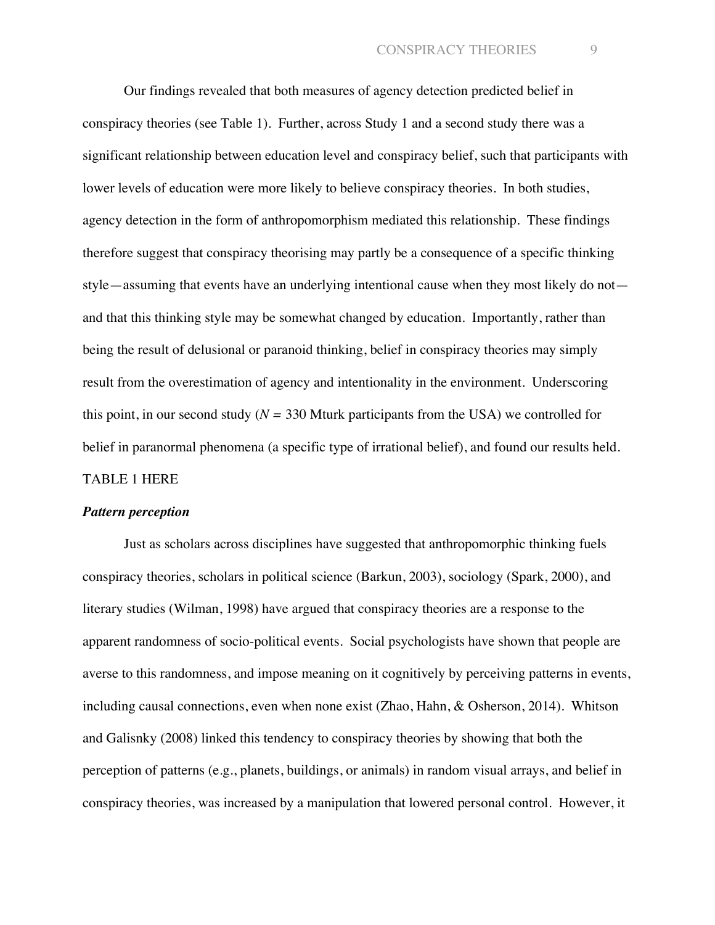Our findings revealed that both measures of agency detection predicted belief in conspiracy theories (see Table 1). Further, across Study 1 and a second study there was a significant relationship between education level and conspiracy belief, such that participants with lower levels of education were more likely to believe conspiracy theories. In both studies, agency detection in the form of anthropomorphism mediated this relationship. These findings therefore suggest that conspiracy theorising may partly be a consequence of a specific thinking style—assuming that events have an underlying intentional cause when they most likely do not and that this thinking style may be somewhat changed by education. Importantly, rather than being the result of delusional or paranoid thinking, belief in conspiracy theories may simply result from the overestimation of agency and intentionality in the environment. Underscoring this point, in our second study ( $N = 330$  Mturk participants from the USA) we controlled for belief in paranormal phenomena (a specific type of irrational belief), and found our results held. TABLE 1 HERE

#### *Pattern perception*

Just as scholars across disciplines have suggested that anthropomorphic thinking fuels conspiracy theories, scholars in political science (Barkun, 2003), sociology (Spark, 2000), and literary studies (Wilman, 1998) have argued that conspiracy theories are a response to the apparent randomness of socio-political events. Social psychologists have shown that people are averse to this randomness, and impose meaning on it cognitively by perceiving patterns in events, including causal connections, even when none exist (Zhao, Hahn, & Osherson, 2014). Whitson and Galisnky (2008) linked this tendency to conspiracy theories by showing that both the perception of patterns (e.g., planets, buildings, or animals) in random visual arrays, and belief in conspiracy theories, was increased by a manipulation that lowered personal control. However, it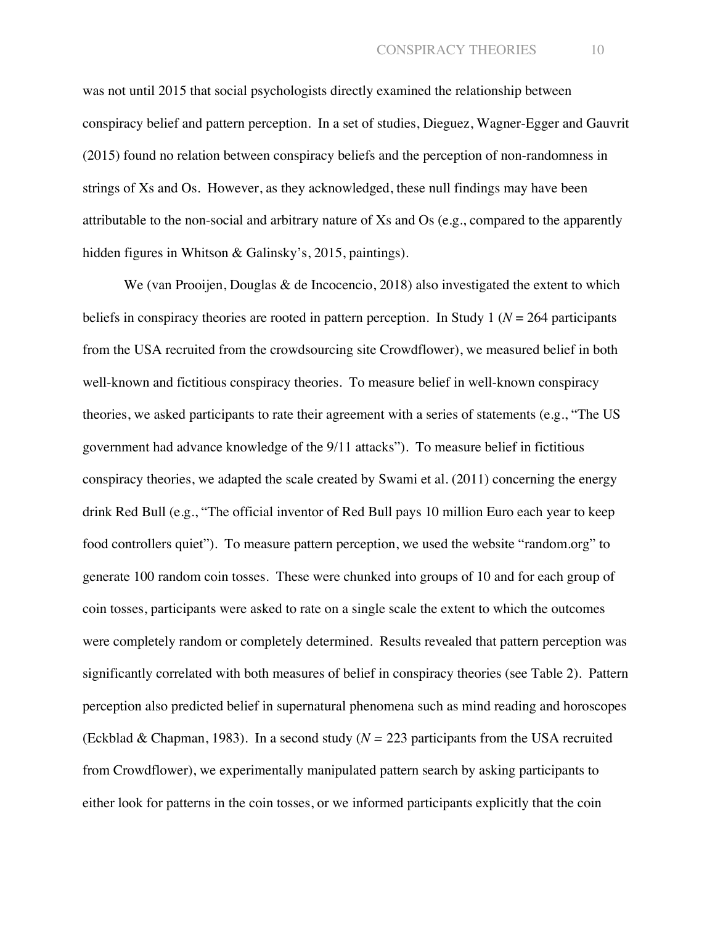was not until 2015 that social psychologists directly examined the relationship between conspiracy belief and pattern perception. In a set of studies, Dieguez, Wagner-Egger and Gauvrit (2015) found no relation between conspiracy beliefs and the perception of non-randomness in strings of Xs and Os. However, as they acknowledged, these null findings may have been attributable to the non-social and arbitrary nature of Xs and Os (e.g., compared to the apparently hidden figures in Whitson & Galinsky's, 2015, paintings).

We (van Prooijen, Douglas & de Incocencio, 2018) also investigated the extent to which beliefs in conspiracy theories are rooted in pattern perception. In Study 1 ( $N = 264$  participants from the USA recruited from the crowdsourcing site Crowdflower), we measured belief in both well-known and fictitious conspiracy theories. To measure belief in well-known conspiracy theories, we asked participants to rate their agreement with a series of statements (e.g., "The US government had advance knowledge of the 9/11 attacks"). To measure belief in fictitious conspiracy theories, we adapted the scale created by Swami et al. (2011) concerning the energy drink Red Bull (e.g., "The official inventor of Red Bull pays 10 million Euro each year to keep food controllers quiet"). To measure pattern perception, we used the website "random.org" to generate 100 random coin tosses. These were chunked into groups of 10 and for each group of coin tosses, participants were asked to rate on a single scale the extent to which the outcomes were completely random or completely determined. Results revealed that pattern perception was significantly correlated with both measures of belief in conspiracy theories (see Table 2). Pattern perception also predicted belief in supernatural phenomena such as mind reading and horoscopes (Eckblad & Chapman, 1983). In a second study (*N =* 223 participants from the USA recruited from Crowdflower), we experimentally manipulated pattern search by asking participants to either look for patterns in the coin tosses, or we informed participants explicitly that the coin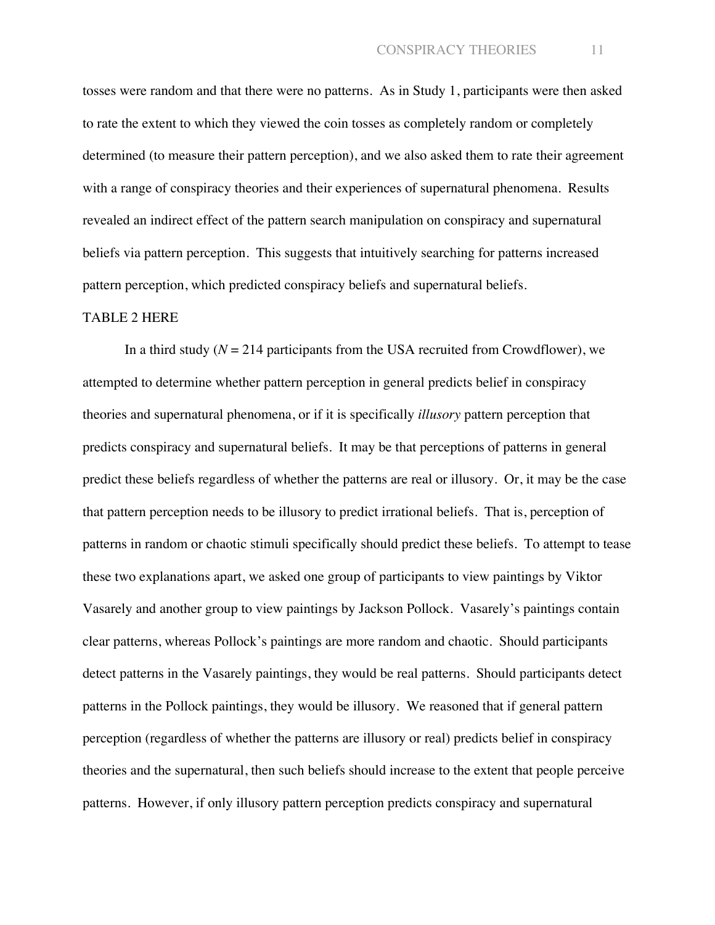tosses were random and that there were no patterns. As in Study 1, participants were then asked to rate the extent to which they viewed the coin tosses as completely random or completely determined (to measure their pattern perception), and we also asked them to rate their agreement with a range of conspiracy theories and their experiences of supernatural phenomena. Results revealed an indirect effect of the pattern search manipulation on conspiracy and supernatural beliefs via pattern perception. This suggests that intuitively searching for patterns increased pattern perception, which predicted conspiracy beliefs and supernatural beliefs.

#### TABLE 2 HERE

In a third study  $(N = 214$  participants from the USA recruited from Crowdflower), we attempted to determine whether pattern perception in general predicts belief in conspiracy theories and supernatural phenomena, or if it is specifically *illusory* pattern perception that predicts conspiracy and supernatural beliefs. It may be that perceptions of patterns in general predict these beliefs regardless of whether the patterns are real or illusory. Or, it may be the case that pattern perception needs to be illusory to predict irrational beliefs. That is, perception of patterns in random or chaotic stimuli specifically should predict these beliefs. To attempt to tease these two explanations apart, we asked one group of participants to view paintings by Viktor Vasarely and another group to view paintings by Jackson Pollock. Vasarely's paintings contain clear patterns, whereas Pollock's paintings are more random and chaotic. Should participants detect patterns in the Vasarely paintings, they would be real patterns. Should participants detect patterns in the Pollock paintings, they would be illusory. We reasoned that if general pattern perception (regardless of whether the patterns are illusory or real) predicts belief in conspiracy theories and the supernatural, then such beliefs should increase to the extent that people perceive patterns. However, if only illusory pattern perception predicts conspiracy and supernatural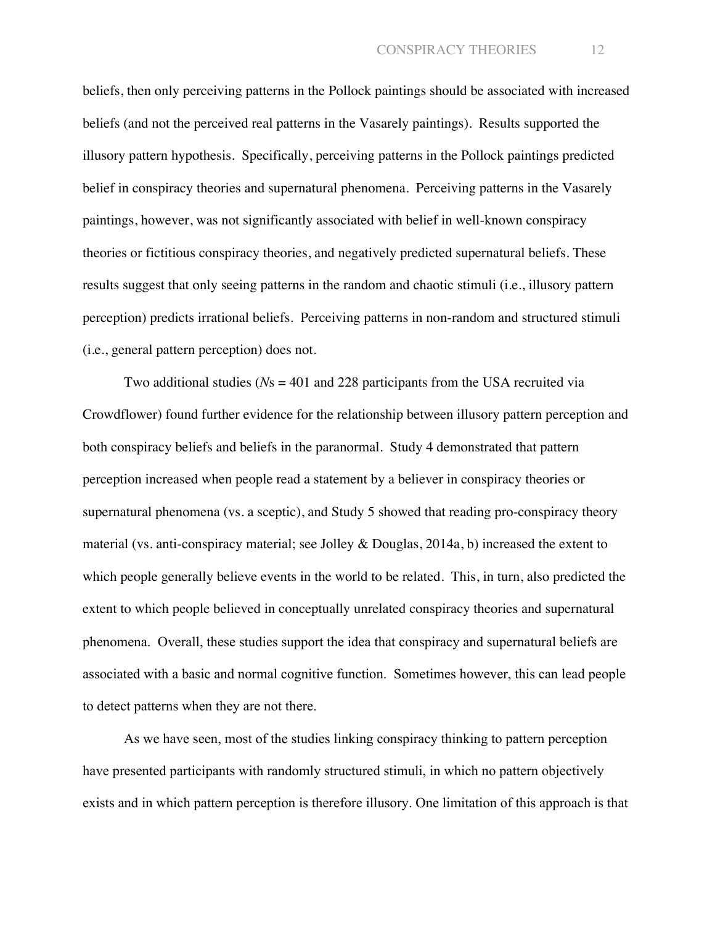beliefs, then only perceiving patterns in the Pollock paintings should be associated with increased beliefs (and not the perceived real patterns in the Vasarely paintings). Results supported the illusory pattern hypothesis. Specifically, perceiving patterns in the Pollock paintings predicted belief in conspiracy theories and supernatural phenomena. Perceiving patterns in the Vasarely paintings, however, was not significantly associated with belief in well-known conspiracy theories or fictitious conspiracy theories, and negatively predicted supernatural beliefs. These results suggest that only seeing patterns in the random and chaotic stimuli (i.e., illusory pattern perception) predicts irrational beliefs. Perceiving patterns in non-random and structured stimuli (i.e., general pattern perception) does not.

Two additional studies (*N*s = 401 and 228 participants from the USA recruited via Crowdflower) found further evidence for the relationship between illusory pattern perception and both conspiracy beliefs and beliefs in the paranormal. Study 4 demonstrated that pattern perception increased when people read a statement by a believer in conspiracy theories or supernatural phenomena (vs. a sceptic), and Study 5 showed that reading pro-conspiracy theory material (vs. anti-conspiracy material; see Jolley & Douglas, 2014a, b) increased the extent to which people generally believe events in the world to be related. This, in turn, also predicted the extent to which people believed in conceptually unrelated conspiracy theories and supernatural phenomena. Overall, these studies support the idea that conspiracy and supernatural beliefs are associated with a basic and normal cognitive function. Sometimes however, this can lead people to detect patterns when they are not there.

As we have seen, most of the studies linking conspiracy thinking to pattern perception have presented participants with randomly structured stimuli, in which no pattern objectively exists and in which pattern perception is therefore illusory. One limitation of this approach is that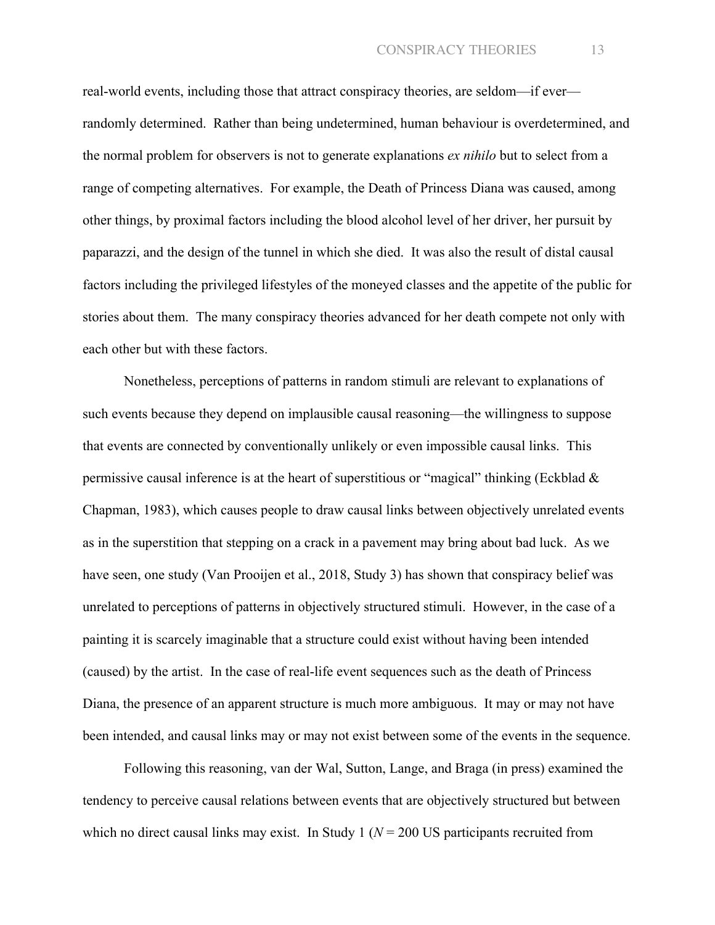real-world events, including those that attract conspiracy theories, are seldom—if ever randomly determined. Rather than being undetermined, human behaviour is overdetermined, and the normal problem for observers is not to generate explanations *ex nihilo* but to select from a range of competing alternatives. For example, the Death of Princess Diana was caused, among other things, by proximal factors including the blood alcohol level of her driver, her pursuit by paparazzi, and the design of the tunnel in which she died. It was also the result of distal causal factors including the privileged lifestyles of the moneyed classes and the appetite of the public for stories about them. The many conspiracy theories advanced for her death compete not only with each other but with these factors.

Nonetheless, perceptions of patterns in random stimuli are relevant to explanations of such events because they depend on implausible causal reasoning—the willingness to suppose that events are connected by conventionally unlikely or even impossible causal links. This permissive causal inference is at the heart of superstitious or "magical" thinking (Eckblad & Chapman, 1983), which causes people to draw causal links between objectively unrelated events as in the superstition that stepping on a crack in a pavement may bring about bad luck. As we have seen, one study (Van Prooijen et al., 2018, Study 3) has shown that conspiracy belief was unrelated to perceptions of patterns in objectively structured stimuli. However, in the case of a painting it is scarcely imaginable that a structure could exist without having been intended (caused) by the artist. In the case of real-life event sequences such as the death of Princess Diana, the presence of an apparent structure is much more ambiguous. It may or may not have been intended, and causal links may or may not exist between some of the events in the sequence.

Following this reasoning, van der Wal, Sutton, Lange, and Braga (in press) examined the tendency to perceive causal relations between events that are objectively structured but between which no direct causal links may exist. In Study 1 ( $N = 200$  US participants recruited from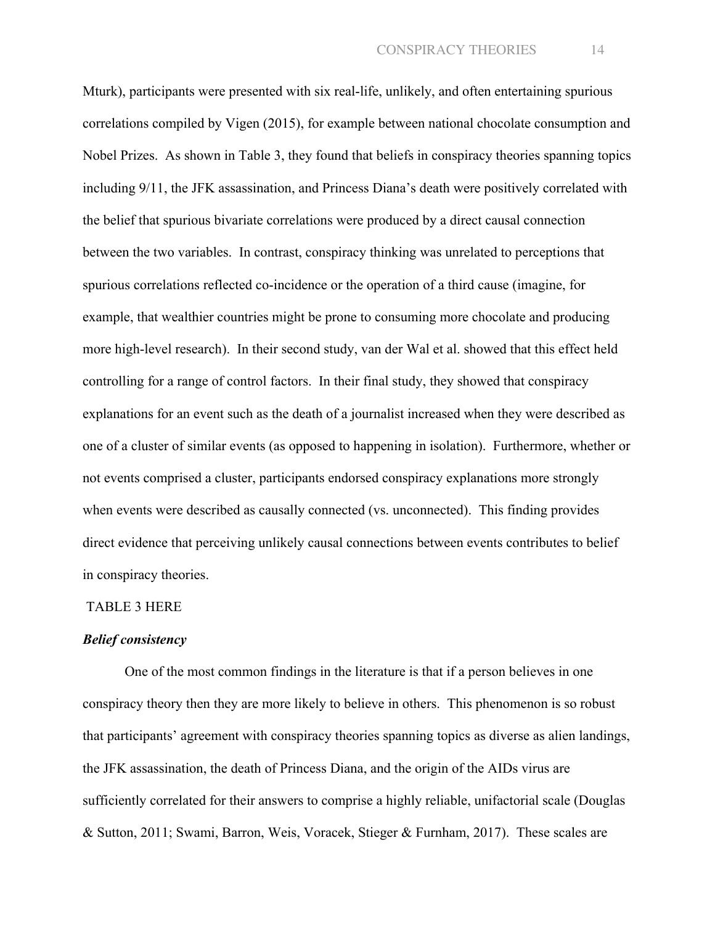Mturk), participants were presented with six real-life, unlikely, and often entertaining spurious correlations compiled by Vigen (2015), for example between national chocolate consumption and Nobel Prizes. As shown in Table 3, they found that beliefs in conspiracy theories spanning topics including 9/11, the JFK assassination, and Princess Diana's death were positively correlated with the belief that spurious bivariate correlations were produced by a direct causal connection between the two variables. In contrast, conspiracy thinking was unrelated to perceptions that spurious correlations reflected co-incidence or the operation of a third cause (imagine, for example, that wealthier countries might be prone to consuming more chocolate and producing more high-level research). In their second study, van der Wal et al. showed that this effect held controlling for a range of control factors. In their final study, they showed that conspiracy explanations for an event such as the death of a journalist increased when they were described as one of a cluster of similar events (as opposed to happening in isolation). Furthermore, whether or not events comprised a cluster, participants endorsed conspiracy explanations more strongly when events were described as causally connected (vs. unconnected). This finding provides direct evidence that perceiving unlikely causal connections between events contributes to belief in conspiracy theories.

#### TABLE 3 HERE

#### *Belief consistency*

One of the most common findings in the literature is that if a person believes in one conspiracy theory then they are more likely to believe in others. This phenomenon is so robust that participants' agreement with conspiracy theories spanning topics as diverse as alien landings, the JFK assassination, the death of Princess Diana, and the origin of the AIDs virus are sufficiently correlated for their answers to comprise a highly reliable, unifactorial scale (Douglas & Sutton, 2011; Swami, Barron, Weis, Voracek, Stieger & Furnham, 2017). These scales are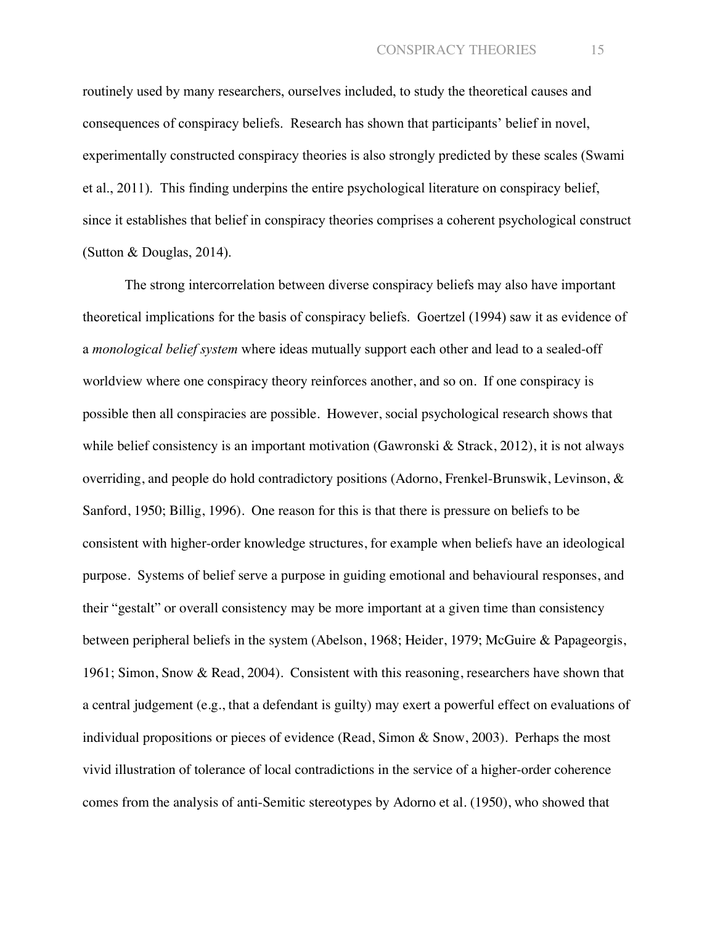routinely used by many researchers, ourselves included, to study the theoretical causes and consequences of conspiracy beliefs. Research has shown that participants' belief in novel, experimentally constructed conspiracy theories is also strongly predicted by these scales (Swami et al., 2011). This finding underpins the entire psychological literature on conspiracy belief, since it establishes that belief in conspiracy theories comprises a coherent psychological construct (Sutton & Douglas, 2014).

The strong intercorrelation between diverse conspiracy beliefs may also have important theoretical implications for the basis of conspiracy beliefs. Goertzel (1994) saw it as evidence of a *monological belief system* where ideas mutually support each other and lead to a sealed-off worldview where one conspiracy theory reinforces another, and so on. If one conspiracy is possible then all conspiracies are possible. However, social psychological research shows that while belief consistency is an important motivation (Gawronski & Strack, 2012), it is not always overriding, and people do hold contradictory positions (Adorno, Frenkel-Brunswik, Levinson, & Sanford, 1950; Billig, 1996). One reason for this is that there is pressure on beliefs to be consistent with higher-order knowledge structures, for example when beliefs have an ideological purpose. Systems of belief serve a purpose in guiding emotional and behavioural responses, and their "gestalt" or overall consistency may be more important at a given time than consistency between peripheral beliefs in the system (Abelson, 1968; Heider, 1979; McGuire & Papageorgis, 1961; Simon, Snow & Read, 2004). Consistent with this reasoning, researchers have shown that a central judgement (e.g., that a defendant is guilty) may exert a powerful effect on evaluations of individual propositions or pieces of evidence (Read, Simon & Snow, 2003). Perhaps the most vivid illustration of tolerance of local contradictions in the service of a higher-order coherence comes from the analysis of anti-Semitic stereotypes by Adorno et al. (1950), who showed that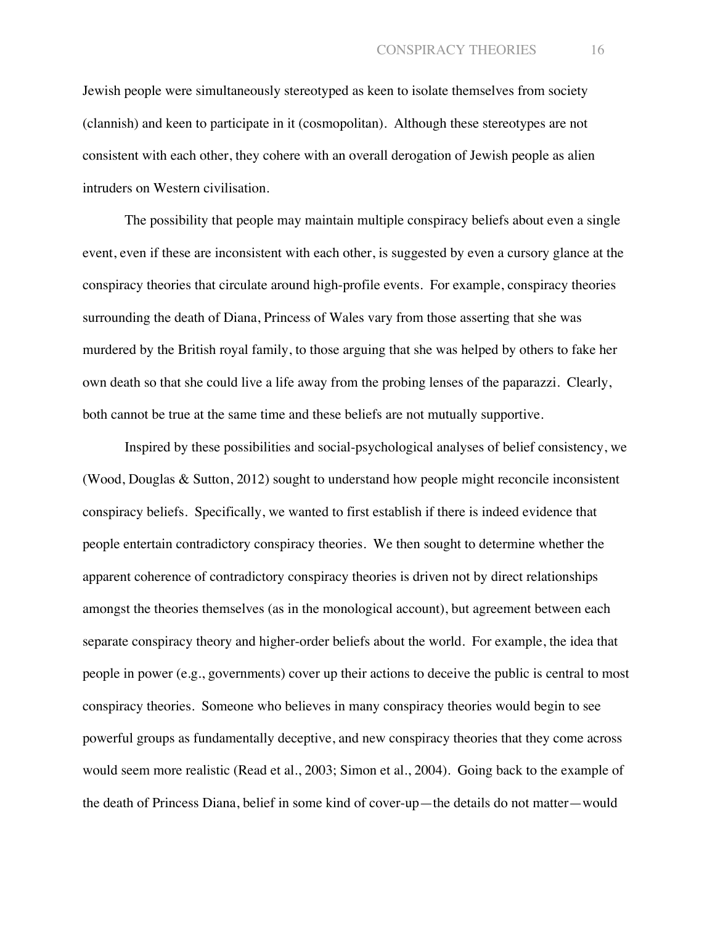Jewish people were simultaneously stereotyped as keen to isolate themselves from society (clannish) and keen to participate in it (cosmopolitan). Although these stereotypes are not consistent with each other, they cohere with an overall derogation of Jewish people as alien intruders on Western civilisation.

The possibility that people may maintain multiple conspiracy beliefs about even a single event, even if these are inconsistent with each other, is suggested by even a cursory glance at the conspiracy theories that circulate around high-profile events. For example, conspiracy theories surrounding the death of Diana, Princess of Wales vary from those asserting that she was murdered by the British royal family, to those arguing that she was helped by others to fake her own death so that she could live a life away from the probing lenses of the paparazzi. Clearly, both cannot be true at the same time and these beliefs are not mutually supportive.

Inspired by these possibilities and social-psychological analyses of belief consistency, we (Wood, Douglas & Sutton, 2012) sought to understand how people might reconcile inconsistent conspiracy beliefs. Specifically, we wanted to first establish if there is indeed evidence that people entertain contradictory conspiracy theories. We then sought to determine whether the apparent coherence of contradictory conspiracy theories is driven not by direct relationships amongst the theories themselves (as in the monological account), but agreement between each separate conspiracy theory and higher-order beliefs about the world. For example, the idea that people in power (e.g., governments) cover up their actions to deceive the public is central to most conspiracy theories. Someone who believes in many conspiracy theories would begin to see powerful groups as fundamentally deceptive, and new conspiracy theories that they come across would seem more realistic (Read et al., 2003; Simon et al., 2004). Going back to the example of the death of Princess Diana, belief in some kind of cover-up—the details do not matter—would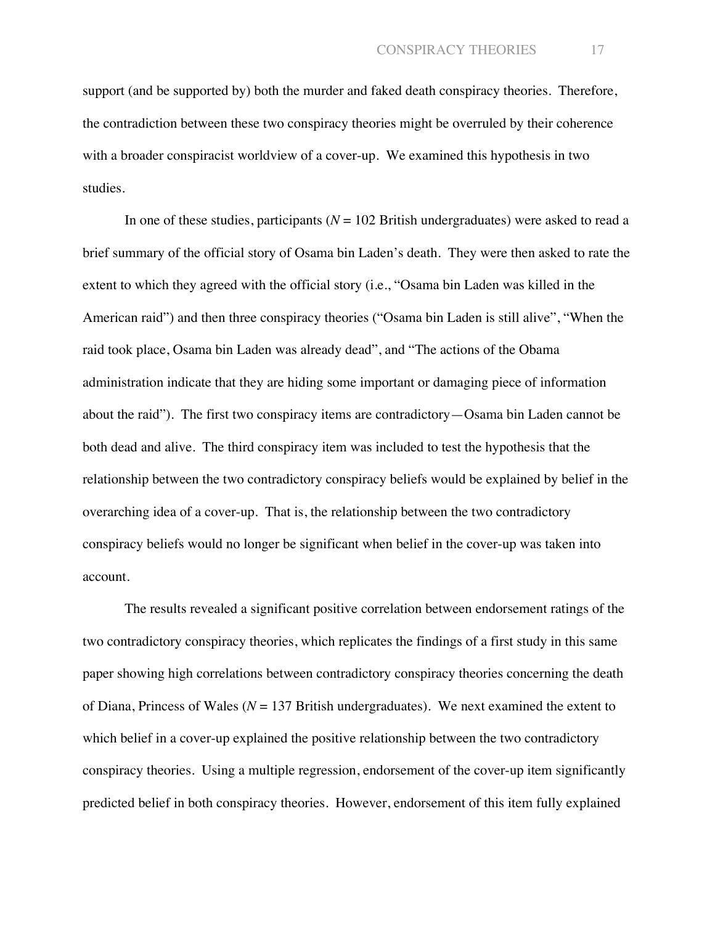support (and be supported by) both the murder and faked death conspiracy theories. Therefore, the contradiction between these two conspiracy theories might be overruled by their coherence with a broader conspiracist worldview of a cover-up. We examined this hypothesis in two studies.

In one of these studies, participants (*N* = 102 British undergraduates) were asked to read a brief summary of the official story of Osama bin Laden's death. They were then asked to rate the extent to which they agreed with the official story (i.e., "Osama bin Laden was killed in the American raid") and then three conspiracy theories ("Osama bin Laden is still alive", "When the raid took place, Osama bin Laden was already dead", and "The actions of the Obama administration indicate that they are hiding some important or damaging piece of information about the raid"). The first two conspiracy items are contradictory—Osama bin Laden cannot be both dead and alive. The third conspiracy item was included to test the hypothesis that the relationship between the two contradictory conspiracy beliefs would be explained by belief in the overarching idea of a cover-up. That is, the relationship between the two contradictory conspiracy beliefs would no longer be significant when belief in the cover-up was taken into account.

The results revealed a significant positive correlation between endorsement ratings of the two contradictory conspiracy theories, which replicates the findings of a first study in this same paper showing high correlations between contradictory conspiracy theories concerning the death of Diana, Princess of Wales ( $N = 137$  British undergraduates). We next examined the extent to which belief in a cover-up explained the positive relationship between the two contradictory conspiracy theories. Using a multiple regression, endorsement of the cover-up item significantly predicted belief in both conspiracy theories. However, endorsement of this item fully explained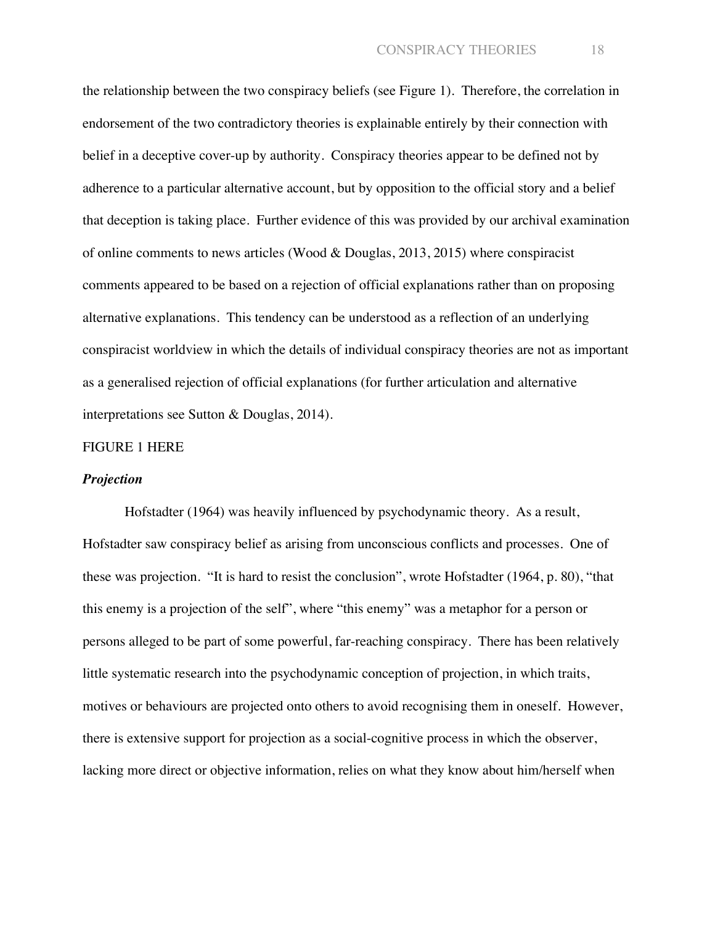the relationship between the two conspiracy beliefs (see Figure 1). Therefore, the correlation in endorsement of the two contradictory theories is explainable entirely by their connection with belief in a deceptive cover-up by authority. Conspiracy theories appear to be defined not by adherence to a particular alternative account, but by opposition to the official story and a belief that deception is taking place. Further evidence of this was provided by our archival examination of online comments to news articles (Wood & Douglas, 2013, 2015) where conspiracist comments appeared to be based on a rejection of official explanations rather than on proposing alternative explanations. This tendency can be understood as a reflection of an underlying conspiracist worldview in which the details of individual conspiracy theories are not as important as a generalised rejection of official explanations (for further articulation and alternative interpretations see Sutton & Douglas, 2014).

#### FIGURE 1 HERE

#### *Projection*

Hofstadter (1964) was heavily influenced by psychodynamic theory. As a result, Hofstadter saw conspiracy belief as arising from unconscious conflicts and processes. One of these was projection. "It is hard to resist the conclusion", wrote Hofstadter (1964, p. 80), "that this enemy is a projection of the self", where "this enemy" was a metaphor for a person or persons alleged to be part of some powerful, far-reaching conspiracy. There has been relatively little systematic research into the psychodynamic conception of projection, in which traits, motives or behaviours are projected onto others to avoid recognising them in oneself. However, there is extensive support for projection as a social-cognitive process in which the observer, lacking more direct or objective information, relies on what they know about him/herself when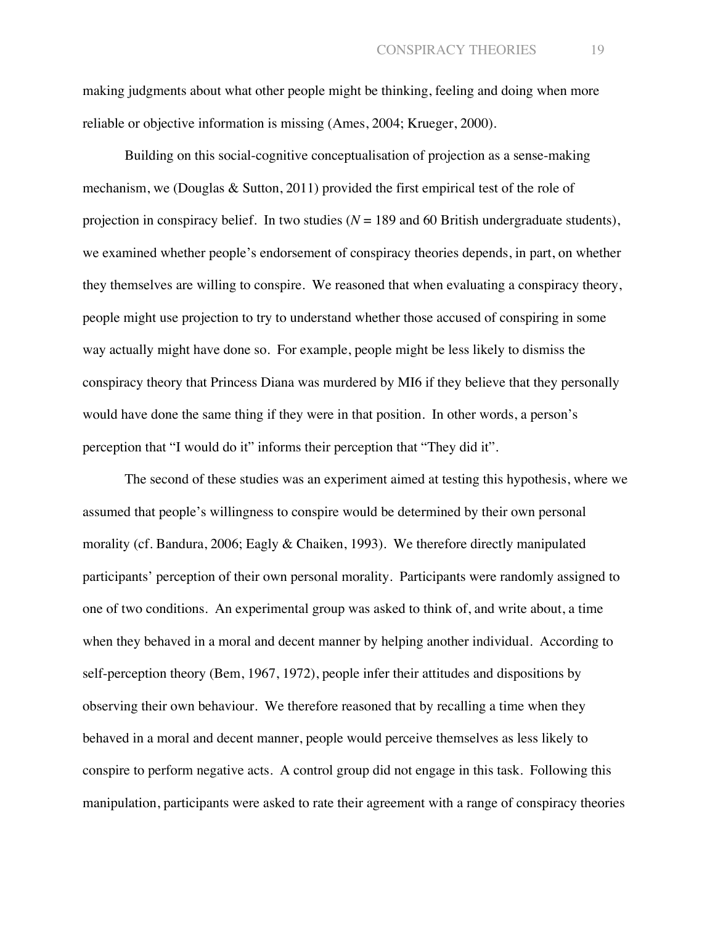making judgments about what other people might be thinking, feeling and doing when more reliable or objective information is missing (Ames, 2004; Krueger, 2000).

Building on this social-cognitive conceptualisation of projection as a sense-making mechanism, we (Douglas & Sutton, 2011) provided the first empirical test of the role of projection in conspiracy belief. In two studies  $(N = 189)$  and 60 British undergraduate students), we examined whether people's endorsement of conspiracy theories depends, in part, on whether they themselves are willing to conspire. We reasoned that when evaluating a conspiracy theory, people might use projection to try to understand whether those accused of conspiring in some way actually might have done so. For example, people might be less likely to dismiss the conspiracy theory that Princess Diana was murdered by MI6 if they believe that they personally would have done the same thing if they were in that position. In other words, a person's perception that "I would do it" informs their perception that "They did it".

The second of these studies was an experiment aimed at testing this hypothesis, where we assumed that people's willingness to conspire would be determined by their own personal morality (cf. Bandura, 2006; Eagly & Chaiken, 1993). We therefore directly manipulated participants' perception of their own personal morality. Participants were randomly assigned to one of two conditions. An experimental group was asked to think of, and write about, a time when they behaved in a moral and decent manner by helping another individual. According to self-perception theory (Bem, 1967, 1972), people infer their attitudes and dispositions by observing their own behaviour. We therefore reasoned that by recalling a time when they behaved in a moral and decent manner, people would perceive themselves as less likely to conspire to perform negative acts. A control group did not engage in this task. Following this manipulation, participants were asked to rate their agreement with a range of conspiracy theories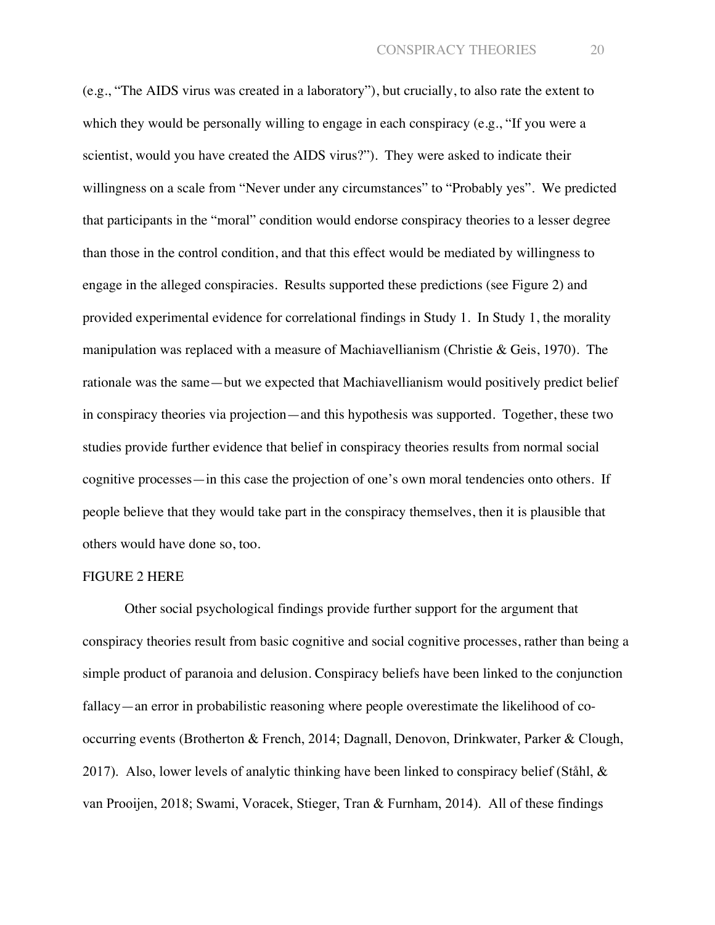(e.g., "The AIDS virus was created in a laboratory"), but crucially, to also rate the extent to which they would be personally willing to engage in each conspiracy (e.g., "If you were a scientist, would you have created the AIDS virus?"). They were asked to indicate their willingness on a scale from "Never under any circumstances" to "Probably yes". We predicted that participants in the "moral" condition would endorse conspiracy theories to a lesser degree than those in the control condition, and that this effect would be mediated by willingness to engage in the alleged conspiracies. Results supported these predictions (see Figure 2) and provided experimental evidence for correlational findings in Study 1. In Study 1, the morality manipulation was replaced with a measure of Machiavellianism (Christie & Geis, 1970). The rationale was the same—but we expected that Machiavellianism would positively predict belief in conspiracy theories via projection—and this hypothesis was supported. Together, these two studies provide further evidence that belief in conspiracy theories results from normal social cognitive processes—in this case the projection of one's own moral tendencies onto others. If people believe that they would take part in the conspiracy themselves, then it is plausible that others would have done so, too.

#### FIGURE 2 HERE

Other social psychological findings provide further support for the argument that conspiracy theories result from basic cognitive and social cognitive processes, rather than being a simple product of paranoia and delusion. Conspiracy beliefs have been linked to the conjunction fallacy—an error in probabilistic reasoning where people overestimate the likelihood of cooccurring events (Brotherton & French, 2014; Dagnall, Denovon, Drinkwater, Parker & Clough, 2017). Also, lower levels of analytic thinking have been linked to conspiracy belief (Ståhl, & van Prooijen, 2018; Swami, Voracek, Stieger, Tran & Furnham, 2014). All of these findings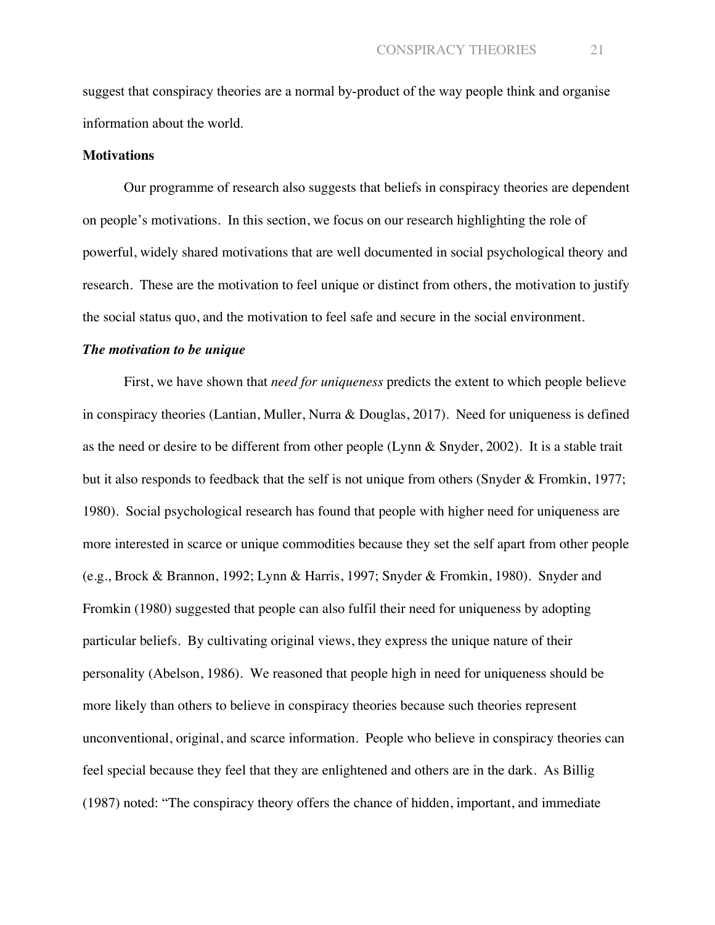suggest that conspiracy theories are a normal by-product of the way people think and organise information about the world.

#### **Motivations**

Our programme of research also suggests that beliefs in conspiracy theories are dependent on people's motivations. In this section, we focus on our research highlighting the role of powerful, widely shared motivations that are well documented in social psychological theory and research. These are the motivation to feel unique or distinct from others, the motivation to justify the social status quo, and the motivation to feel safe and secure in the social environment.

#### *The motivation to be unique*

First, we have shown that *need for uniqueness* predicts the extent to which people believe in conspiracy theories (Lantian, Muller, Nurra & Douglas, 2017). Need for uniqueness is defined as the need or desire to be different from other people (Lynn & Snyder, 2002). It is a stable trait but it also responds to feedback that the self is not unique from others (Snyder & Fromkin, 1977; 1980). Social psychological research has found that people with higher need for uniqueness are more interested in scarce or unique commodities because they set the self apart from other people (e.g., Brock & Brannon, 1992; Lynn & Harris, 1997; Snyder & Fromkin, 1980). Snyder and Fromkin (1980) suggested that people can also fulfil their need for uniqueness by adopting particular beliefs. By cultivating original views, they express the unique nature of their personality (Abelson, 1986). We reasoned that people high in need for uniqueness should be more likely than others to believe in conspiracy theories because such theories represent unconventional, original, and scarce information. People who believe in conspiracy theories can feel special because they feel that they are enlightened and others are in the dark. As Billig (1987) noted: "The conspiracy theory offers the chance of hidden, important, and immediate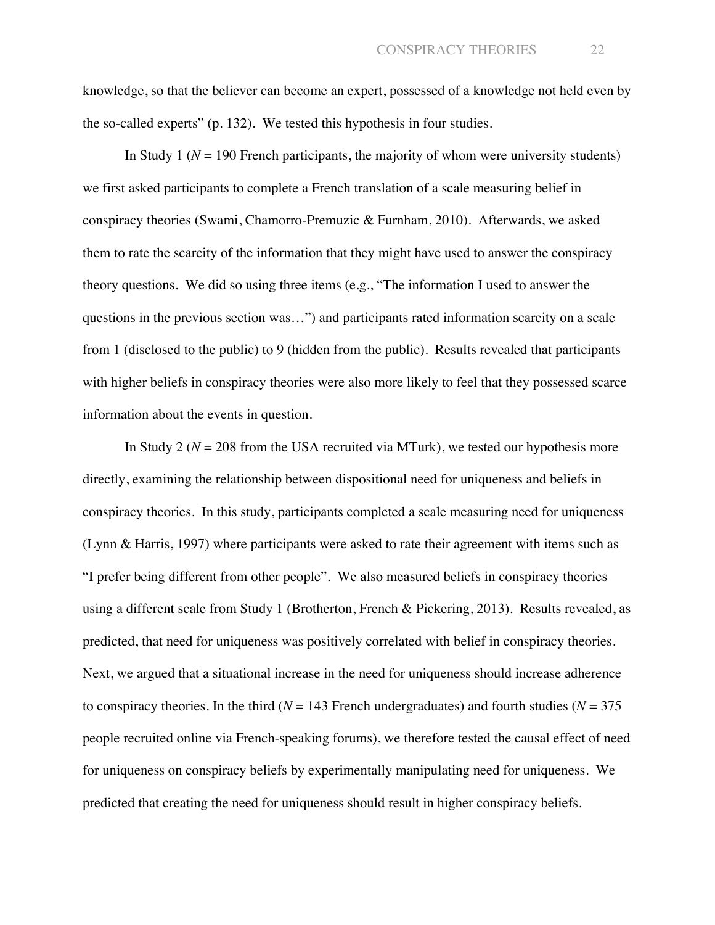knowledge, so that the believer can become an expert, possessed of a knowledge not held even by the so-called experts" (p. 132). We tested this hypothesis in four studies.

In Study 1 ( $N = 190$  French participants, the majority of whom were university students) we first asked participants to complete a French translation of a scale measuring belief in conspiracy theories (Swami, Chamorro-Premuzic & Furnham, 2010). Afterwards, we asked them to rate the scarcity of the information that they might have used to answer the conspiracy theory questions. We did so using three items (e.g., "The information I used to answer the questions in the previous section was…") and participants rated information scarcity on a scale from 1 (disclosed to the public) to 9 (hidden from the public). Results revealed that participants with higher beliefs in conspiracy theories were also more likely to feel that they possessed scarce information about the events in question.

In Study 2 ( $N = 208$  from the USA recruited via MTurk), we tested our hypothesis more directly, examining the relationship between dispositional need for uniqueness and beliefs in conspiracy theories. In this study, participants completed a scale measuring need for uniqueness (Lynn & Harris, 1997) where participants were asked to rate their agreement with items such as "I prefer being different from other people". We also measured beliefs in conspiracy theories using a different scale from Study 1 (Brotherton, French & Pickering, 2013). Results revealed, as predicted, that need for uniqueness was positively correlated with belief in conspiracy theories. Next, we argued that a situational increase in the need for uniqueness should increase adherence to conspiracy theories. In the third ( $N = 143$  French undergraduates) and fourth studies ( $N = 375$ people recruited online via French-speaking forums), we therefore tested the causal effect of need for uniqueness on conspiracy beliefs by experimentally manipulating need for uniqueness. We predicted that creating the need for uniqueness should result in higher conspiracy beliefs.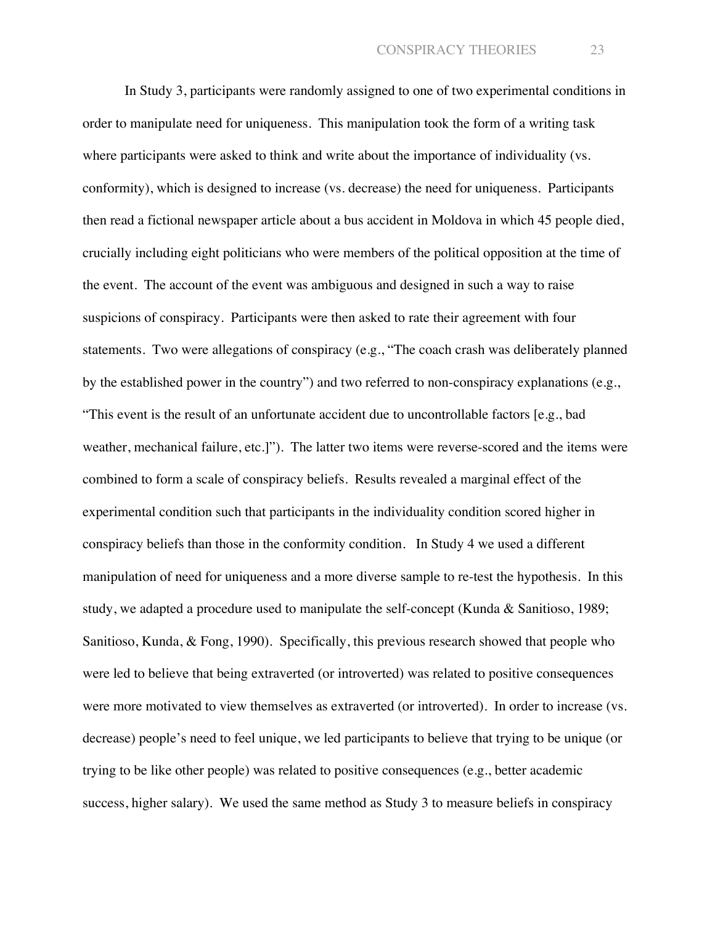In Study 3, participants were randomly assigned to one of two experimental conditions in order to manipulate need for uniqueness. This manipulation took the form of a writing task where participants were asked to think and write about the importance of individuality (vs. conformity), which is designed to increase (vs. decrease) the need for uniqueness. Participants then read a fictional newspaper article about a bus accident in Moldova in which 45 people died, crucially including eight politicians who were members of the political opposition at the time of the event. The account of the event was ambiguous and designed in such a way to raise suspicions of conspiracy. Participants were then asked to rate their agreement with four statements. Two were allegations of conspiracy (e.g., "The coach crash was deliberately planned by the established power in the country") and two referred to non-conspiracy explanations (e.g., "This event is the result of an unfortunate accident due to uncontrollable factors [e.g., bad weather, mechanical failure, etc.]"). The latter two items were reverse-scored and the items were combined to form a scale of conspiracy beliefs. Results revealed a marginal effect of the experimental condition such that participants in the individuality condition scored higher in conspiracy beliefs than those in the conformity condition. In Study 4 we used a different manipulation of need for uniqueness and a more diverse sample to re-test the hypothesis. In this study, we adapted a procedure used to manipulate the self-concept (Kunda & Sanitioso, 1989; Sanitioso, Kunda, & Fong, 1990). Specifically, this previous research showed that people who were led to believe that being extraverted (or introverted) was related to positive consequences were more motivated to view themselves as extraverted (or introverted). In order to increase (vs. decrease) people's need to feel unique, we led participants to believe that trying to be unique (or trying to be like other people) was related to positive consequences (e.g., better academic success, higher salary). We used the same method as Study 3 to measure beliefs in conspiracy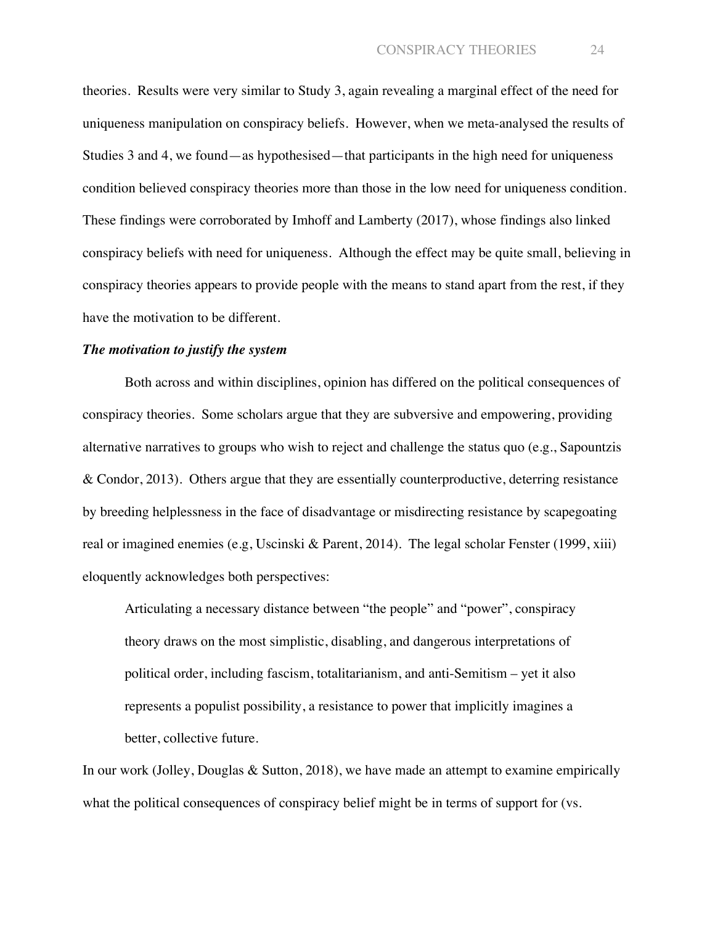theories. Results were very similar to Study 3, again revealing a marginal effect of the need for uniqueness manipulation on conspiracy beliefs. However, when we meta-analysed the results of Studies 3 and 4, we found—as hypothesised—that participants in the high need for uniqueness condition believed conspiracy theories more than those in the low need for uniqueness condition. These findings were corroborated by Imhoff and Lamberty (2017), whose findings also linked conspiracy beliefs with need for uniqueness. Although the effect may be quite small, believing in conspiracy theories appears to provide people with the means to stand apart from the rest, if they have the motivation to be different.

#### *The motivation to justify the system*

Both across and within disciplines, opinion has differed on the political consequences of conspiracy theories. Some scholars argue that they are subversive and empowering, providing alternative narratives to groups who wish to reject and challenge the status quo (e.g., Sapountzis & Condor, 2013). Others argue that they are essentially counterproductive, deterring resistance by breeding helplessness in the face of disadvantage or misdirecting resistance by scapegoating real or imagined enemies (e.g, Uscinski & Parent, 2014). The legal scholar Fenster (1999, xiii) eloquently acknowledges both perspectives:

Articulating a necessary distance between "the people" and "power", conspiracy theory draws on the most simplistic, disabling, and dangerous interpretations of political order, including fascism, totalitarianism, and anti-Semitism – yet it also represents a populist possibility, a resistance to power that implicitly imagines a better, collective future.

In our work (Jolley, Douglas & Sutton, 2018), we have made an attempt to examine empirically what the political consequences of conspiracy belief might be in terms of support for (vs.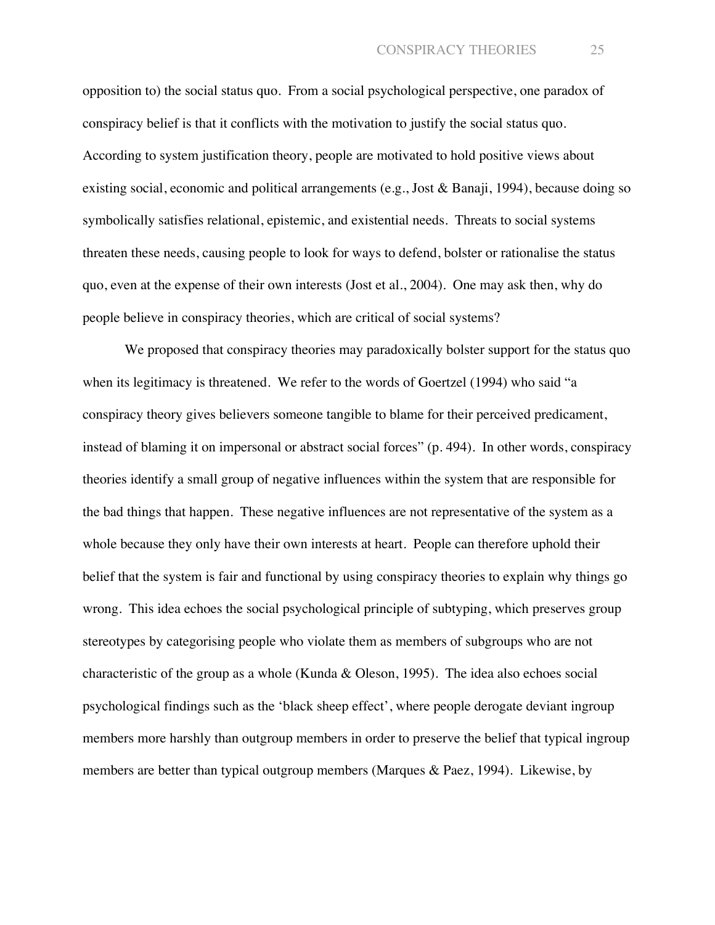opposition to) the social status quo. From a social psychological perspective, one paradox of conspiracy belief is that it conflicts with the motivation to justify the social status quo. According to system justification theory, people are motivated to hold positive views about existing social, economic and political arrangements (e.g., Jost & Banaji, 1994), because doing so symbolically satisfies relational, epistemic, and existential needs. Threats to social systems threaten these needs, causing people to look for ways to defend, bolster or rationalise the status quo, even at the expense of their own interests (Jost et al., 2004). One may ask then, why do people believe in conspiracy theories, which are critical of social systems?

We proposed that conspiracy theories may paradoxically bolster support for the status quo when its legitimacy is threatened. We refer to the words of Goertzel (1994) who said "a conspiracy theory gives believers someone tangible to blame for their perceived predicament, instead of blaming it on impersonal or abstract social forces" (p. 494). In other words, conspiracy theories identify a small group of negative influences within the system that are responsible for the bad things that happen. These negative influences are not representative of the system as a whole because they only have their own interests at heart. People can therefore uphold their belief that the system is fair and functional by using conspiracy theories to explain why things go wrong. This idea echoes the social psychological principle of subtyping, which preserves group stereotypes by categorising people who violate them as members of subgroups who are not characteristic of the group as a whole (Kunda & Oleson, 1995). The idea also echoes social psychological findings such as the 'black sheep effect', where people derogate deviant ingroup members more harshly than outgroup members in order to preserve the belief that typical ingroup members are better than typical outgroup members (Marques & Paez, 1994). Likewise, by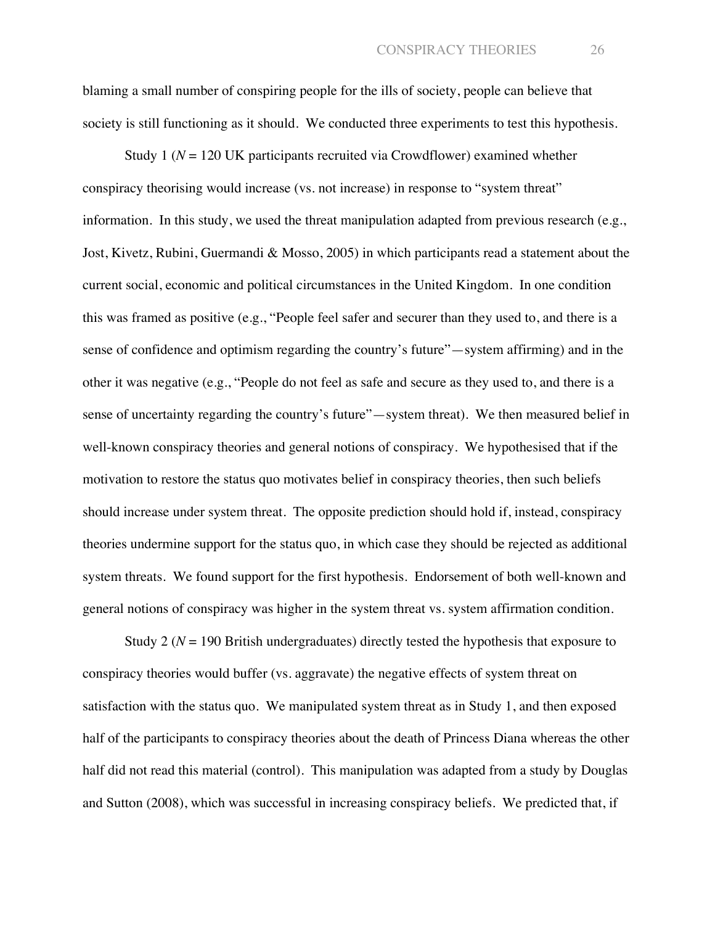blaming a small number of conspiring people for the ills of society, people can believe that society is still functioning as it should. We conducted three experiments to test this hypothesis.

Study 1 ( $N = 120$  UK participants recruited via Crowdflower) examined whether conspiracy theorising would increase (vs. not increase) in response to "system threat" information. In this study, we used the threat manipulation adapted from previous research (e.g., Jost, Kivetz, Rubini, Guermandi & Mosso, 2005) in which participants read a statement about the current social, economic and political circumstances in the United Kingdom. In one condition this was framed as positive (e.g., "People feel safer and securer than they used to, and there is a sense of confidence and optimism regarding the country's future"—system affirming) and in the other it was negative (e.g., "People do not feel as safe and secure as they used to, and there is a sense of uncertainty regarding the country's future"—system threat). We then measured belief in well-known conspiracy theories and general notions of conspiracy. We hypothesised that if the motivation to restore the status quo motivates belief in conspiracy theories, then such beliefs should increase under system threat. The opposite prediction should hold if, instead, conspiracy theories undermine support for the status quo, in which case they should be rejected as additional system threats. We found support for the first hypothesis. Endorsement of both well-known and general notions of conspiracy was higher in the system threat vs. system affirmation condition.

Study 2 ( $N = 190$  British undergraduates) directly tested the hypothesis that exposure to conspiracy theories would buffer (vs. aggravate) the negative effects of system threat on satisfaction with the status quo. We manipulated system threat as in Study 1, and then exposed half of the participants to conspiracy theories about the death of Princess Diana whereas the other half did not read this material (control). This manipulation was adapted from a study by Douglas and Sutton (2008), which was successful in increasing conspiracy beliefs. We predicted that, if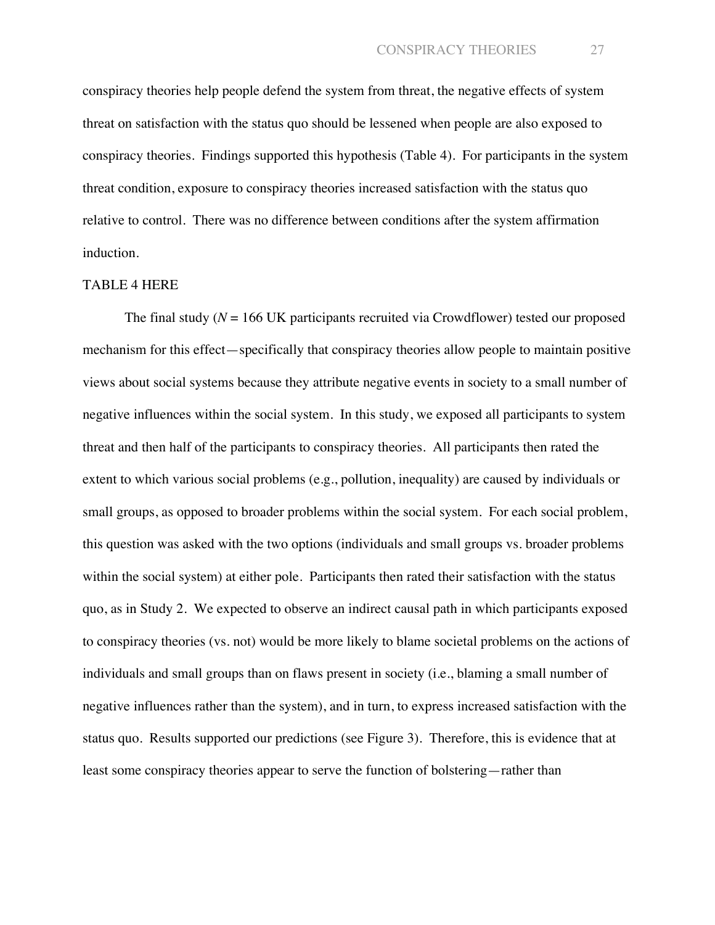conspiracy theories help people defend the system from threat, the negative effects of system threat on satisfaction with the status quo should be lessened when people are also exposed to conspiracy theories. Findings supported this hypothesis (Table 4). For participants in the system threat condition, exposure to conspiracy theories increased satisfaction with the status quo relative to control. There was no difference between conditions after the system affirmation induction.

#### TABLE 4 HERE

The final study ( $N = 166$  UK participants recruited via Crowdflower) tested our proposed mechanism for this effect—specifically that conspiracy theories allow people to maintain positive views about social systems because they attribute negative events in society to a small number of negative influences within the social system. In this study, we exposed all participants to system threat and then half of the participants to conspiracy theories. All participants then rated the extent to which various social problems (e.g., pollution, inequality) are caused by individuals or small groups, as opposed to broader problems within the social system. For each social problem, this question was asked with the two options (individuals and small groups vs. broader problems within the social system) at either pole. Participants then rated their satisfaction with the status quo, as in Study 2. We expected to observe an indirect causal path in which participants exposed to conspiracy theories (vs. not) would be more likely to blame societal problems on the actions of individuals and small groups than on flaws present in society (i.e., blaming a small number of negative influences rather than the system), and in turn, to express increased satisfaction with the status quo. Results supported our predictions (see Figure 3). Therefore, this is evidence that at least some conspiracy theories appear to serve the function of bolstering—rather than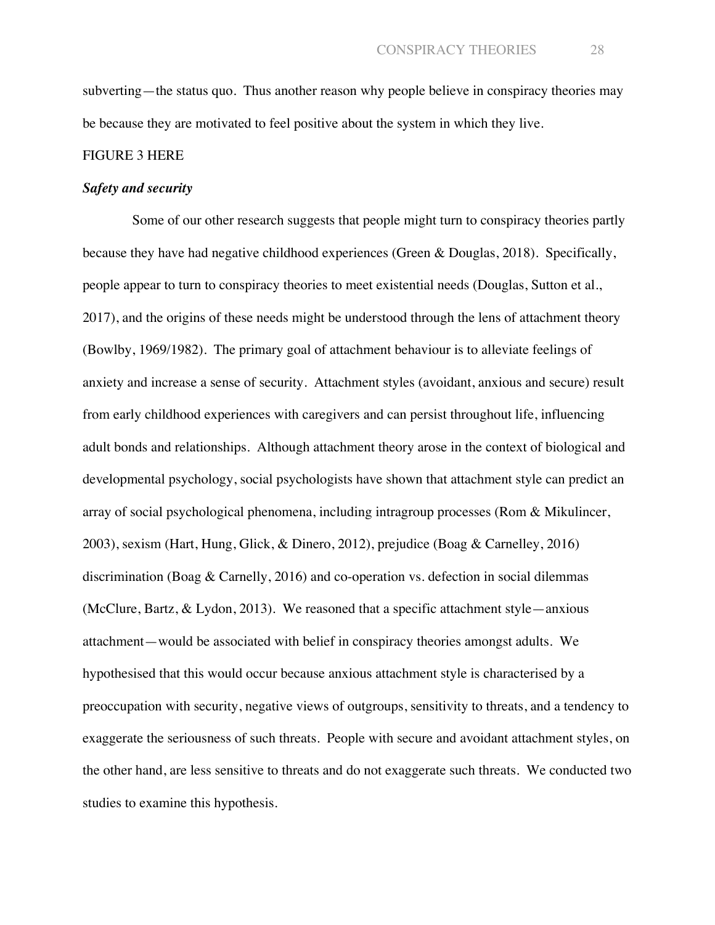subverting—the status quo. Thus another reason why people believe in conspiracy theories may be because they are motivated to feel positive about the system in which they live.

#### FIGURE 3 HERE

#### *Safety and security*

Some of our other research suggests that people might turn to conspiracy theories partly because they have had negative childhood experiences (Green & Douglas, 2018). Specifically, people appear to turn to conspiracy theories to meet existential needs (Douglas, Sutton et al., 2017), and the origins of these needs might be understood through the lens of attachment theory (Bowlby, 1969/1982). The primary goal of attachment behaviour is to alleviate feelings of anxiety and increase a sense of security. Attachment styles (avoidant, anxious and secure) result from early childhood experiences with caregivers and can persist throughout life, influencing adult bonds and relationships. Although attachment theory arose in the context of biological and developmental psychology, social psychologists have shown that attachment style can predict an array of social psychological phenomena, including intragroup processes (Rom & Mikulincer, 2003), sexism (Hart, Hung, Glick, & Dinero, 2012), prejudice (Boag & Carnelley, 2016) discrimination (Boag & Carnelly, 2016) and co-operation vs. defection in social dilemmas (McClure, Bartz, & Lydon, 2013). We reasoned that a specific attachment style—anxious attachment—would be associated with belief in conspiracy theories amongst adults. We hypothesised that this would occur because anxious attachment style is characterised by a preoccupation with security, negative views of outgroups, sensitivity to threats, and a tendency to exaggerate the seriousness of such threats. People with secure and avoidant attachment styles, on the other hand, are less sensitive to threats and do not exaggerate such threats. We conducted two studies to examine this hypothesis.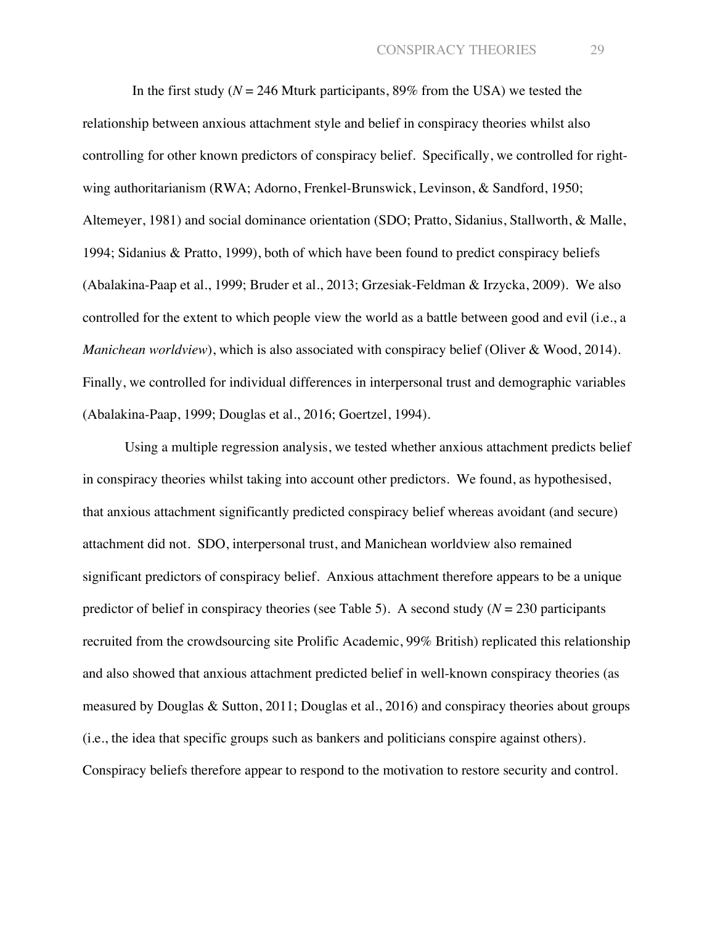In the first study ( $N = 246$  Mturk participants, 89% from the USA) we tested the relationship between anxious attachment style and belief in conspiracy theories whilst also controlling for other known predictors of conspiracy belief. Specifically, we controlled for rightwing authoritarianism (RWA; Adorno, Frenkel-Brunswick, Levinson, & Sandford, 1950; Altemeyer, 1981) and social dominance orientation (SDO; Pratto, Sidanius, Stallworth, & Malle, 1994; Sidanius & Pratto, 1999), both of which have been found to predict conspiracy beliefs (Abalakina-Paap et al., 1999; Bruder et al., 2013; Grzesiak-Feldman & Irzycka, 2009). We also controlled for the extent to which people view the world as a battle between good and evil (i.e., a *Manichean worldview*), which is also associated with conspiracy belief (Oliver & Wood, 2014). Finally, we controlled for individual differences in interpersonal trust and demographic variables (Abalakina-Paap, 1999; Douglas et al., 2016; Goertzel, 1994).

Using a multiple regression analysis, we tested whether anxious attachment predicts belief in conspiracy theories whilst taking into account other predictors. We found, as hypothesised, that anxious attachment significantly predicted conspiracy belief whereas avoidant (and secure) attachment did not. SDO, interpersonal trust, and Manichean worldview also remained significant predictors of conspiracy belief. Anxious attachment therefore appears to be a unique predictor of belief in conspiracy theories (see Table 5). A second study ( $N = 230$  participants recruited from the crowdsourcing site Prolific Academic, 99% British) replicated this relationship and also showed that anxious attachment predicted belief in well-known conspiracy theories (as measured by Douglas & Sutton, 2011; Douglas et al., 2016) and conspiracy theories about groups (i.e., the idea that specific groups such as bankers and politicians conspire against others). Conspiracy beliefs therefore appear to respond to the motivation to restore security and control.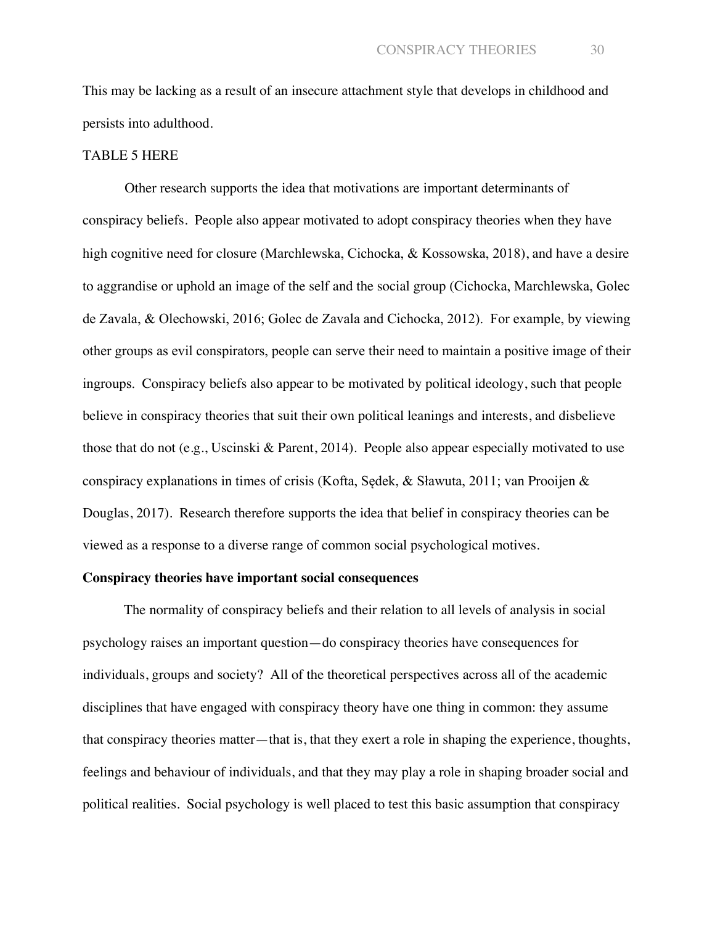This may be lacking as a result of an insecure attachment style that develops in childhood and persists into adulthood.

#### TABLE 5 HERE

Other research supports the idea that motivations are important determinants of conspiracy beliefs. People also appear motivated to adopt conspiracy theories when they have high cognitive need for closure (Marchlewska, Cichocka, & Kossowska, 2018), and have a desire to aggrandise or uphold an image of the self and the social group (Cichocka, Marchlewska, Golec de Zavala, & Olechowski, 2016; Golec de Zavala and Cichocka, 2012). For example, by viewing other groups as evil conspirators, people can serve their need to maintain a positive image of their ingroups. Conspiracy beliefs also appear to be motivated by political ideology, such that people believe in conspiracy theories that suit their own political leanings and interests, and disbelieve those that do not (e.g., Uscinski & Parent, 2014). People also appear especially motivated to use conspiracy explanations in times of crisis (Kofta, Sędek, & Sławuta, 2011; van Prooijen & Douglas, 2017). Research therefore supports the idea that belief in conspiracy theories can be viewed as a response to a diverse range of common social psychological motives.

#### **Conspiracy theories have important social consequences**

The normality of conspiracy beliefs and their relation to all levels of analysis in social psychology raises an important question—do conspiracy theories have consequences for individuals, groups and society? All of the theoretical perspectives across all of the academic disciplines that have engaged with conspiracy theory have one thing in common: they assume that conspiracy theories matter—that is, that they exert a role in shaping the experience, thoughts, feelings and behaviour of individuals, and that they may play a role in shaping broader social and political realities. Social psychology is well placed to test this basic assumption that conspiracy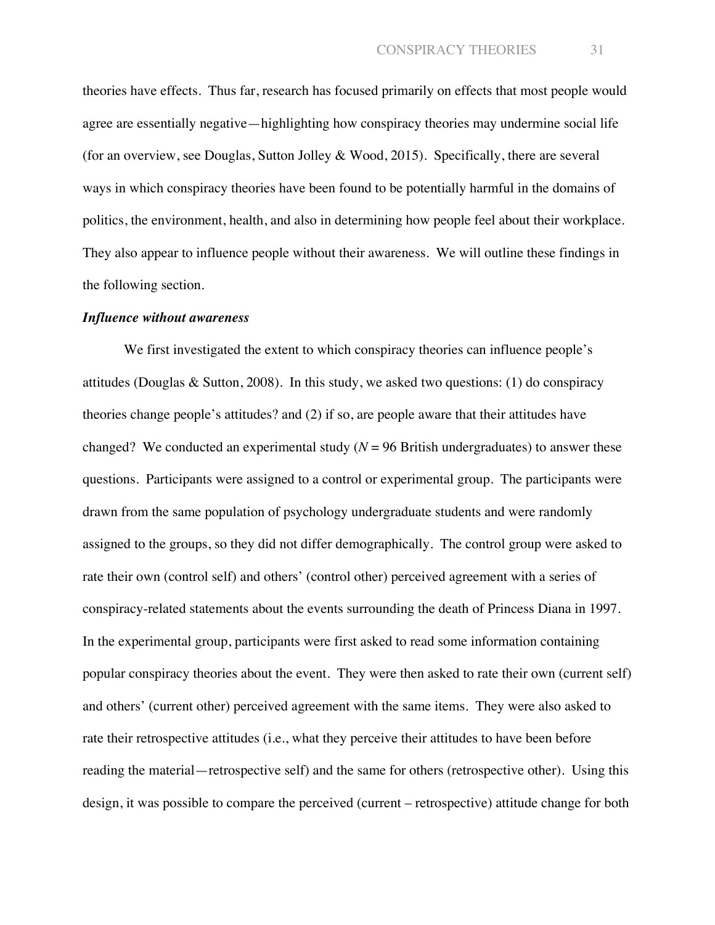theories have effects. Thus far, research has focused primarily on effects that most people would agree are essentially negative—highlighting how conspiracy theories may undermine social life (for an overview, see Douglas, Sutton Jolley & Wood, 2015). Specifically, there are several ways in which conspiracy theories have been found to be potentially harmful in the domains of politics, the environment, health, and also in determining how people feel about their workplace. They also appear to influence people without their awareness. We will outline these findings in the following section.

#### *Influence without awareness*

We first investigated the extent to which conspiracy theories can influence people's attitudes (Douglas & Sutton, 2008). In this study, we asked two questions: (1) do conspiracy theories change people's attitudes? and (2) if so, are people aware that their attitudes have changed? We conducted an experimental study  $(N = 96$  British undergraduates) to answer these questions. Participants were assigned to a control or experimental group. The participants were drawn from the same population of psychology undergraduate students and were randomly assigned to the groups, so they did not differ demographically. The control group were asked to rate their own (control self) and others' (control other) perceived agreement with a series of conspiracy-related statements about the events surrounding the death of Princess Diana in 1997. In the experimental group, participants were first asked to read some information containing popular conspiracy theories about the event. They were then asked to rate their own (current self) and others' (current other) perceived agreement with the same items. They were also asked to rate their retrospective attitudes (i.e., what they perceive their attitudes to have been before reading the material—retrospective self) and the same for others (retrospective other). Using this design, it was possible to compare the perceived (current – retrospective) attitude change for both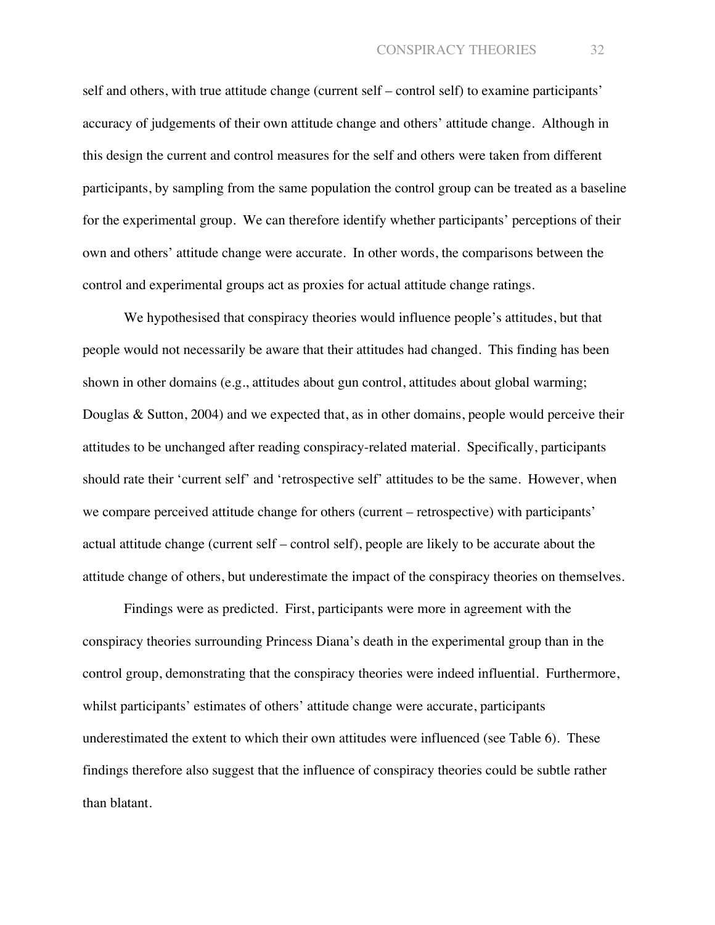self and others, with true attitude change (current self – control self) to examine participants' accuracy of judgements of their own attitude change and others' attitude change. Although in this design the current and control measures for the self and others were taken from different participants, by sampling from the same population the control group can be treated as a baseline for the experimental group. We can therefore identify whether participants' perceptions of their own and others' attitude change were accurate. In other words, the comparisons between the control and experimental groups act as proxies for actual attitude change ratings.

We hypothesised that conspiracy theories would influence people's attitudes, but that people would not necessarily be aware that their attitudes had changed. This finding has been shown in other domains (e.g., attitudes about gun control, attitudes about global warming; Douglas & Sutton, 2004) and we expected that, as in other domains, people would perceive their attitudes to be unchanged after reading conspiracy-related material. Specifically, participants should rate their 'current self' and 'retrospective self' attitudes to be the same. However, when we compare perceived attitude change for others (current – retrospective) with participants' actual attitude change (current self – control self), people are likely to be accurate about the attitude change of others, but underestimate the impact of the conspiracy theories on themselves.

Findings were as predicted. First, participants were more in agreement with the conspiracy theories surrounding Princess Diana's death in the experimental group than in the control group, demonstrating that the conspiracy theories were indeed influential. Furthermore, whilst participants' estimates of others' attitude change were accurate, participants underestimated the extent to which their own attitudes were influenced (see Table 6). These findings therefore also suggest that the influence of conspiracy theories could be subtle rather than blatant.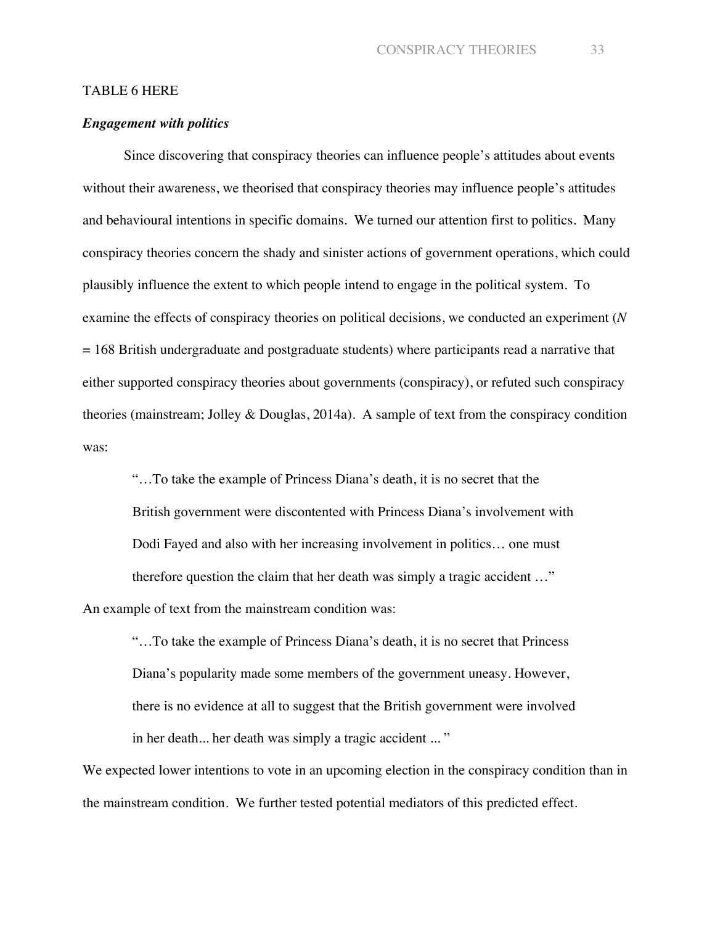#### TABLE 6 HERE

#### *Engagement with politics*

Since discovering that conspiracy theories can influence people's attitudes about events without their awareness, we theorised that conspiracy theories may influence people's attitudes and behavioural intentions in specific domains. We turned our attention first to politics. Many conspiracy theories concern the shady and sinister actions of government operations, which could plausibly influence the extent to which people intend to engage in the political system. To examine the effects of conspiracy theories on political decisions, we conducted an experiment (*N* = 168 British undergraduate and postgraduate students) where participants read a narrative that either supported conspiracy theories about governments (conspiracy), or refuted such conspiracy theories (mainstream; Jolley & Douglas, 2014a). A sample of text from the conspiracy condition was:

"…To take the example of Princess Diana's death, it is no secret that the British government were discontented with Princess Diana's involvement with Dodi Fayed and also with her increasing involvement in politics… one must therefore question the claim that her death was simply a tragic accident …" An example of text from the mainstream condition was:

"…To take the example of Princess Diana's death, it is no secret that Princess Diana's popularity made some members of the government uneasy. However, there is no evidence at all to suggest that the British government were involved in her death... her death was simply a tragic accident ... "

We expected lower intentions to vote in an upcoming election in the conspiracy condition than in the mainstream condition. We further tested potential mediators of this predicted effect.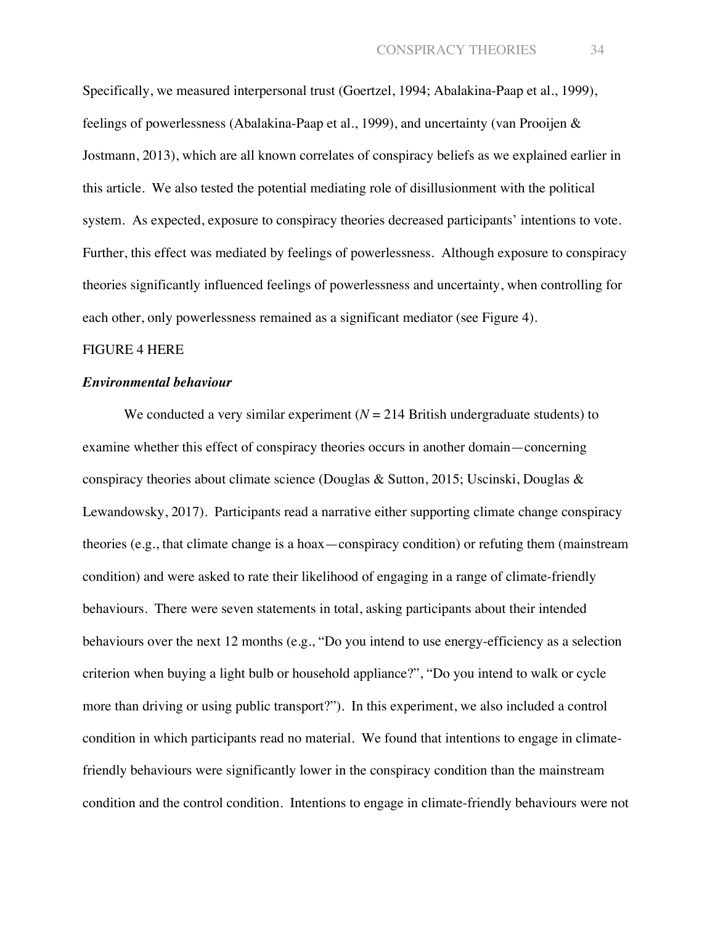Specifically, we measured interpersonal trust (Goertzel, 1994; Abalakina-Paap et al., 1999), feelings of powerlessness (Abalakina-Paap et al., 1999), and uncertainty (van Prooijen & Jostmann, 2013), which are all known correlates of conspiracy beliefs as we explained earlier in this article. We also tested the potential mediating role of disillusionment with the political system. As expected, exposure to conspiracy theories decreased participants' intentions to vote. Further, this effect was mediated by feelings of powerlessness. Although exposure to conspiracy theories significantly influenced feelings of powerlessness and uncertainty, when controlling for each other, only powerlessness remained as a significant mediator (see Figure 4).

#### FIGURE 4 HERE

#### *Environmental behaviour*

We conducted a very similar experiment  $(N = 214$  British undergraduate students) to examine whether this effect of conspiracy theories occurs in another domain—concerning conspiracy theories about climate science (Douglas & Sutton, 2015; Uscinski, Douglas & Lewandowsky, 2017). Participants read a narrative either supporting climate change conspiracy theories (e.g., that climate change is a hoax—conspiracy condition) or refuting them (mainstream condition) and were asked to rate their likelihood of engaging in a range of climate-friendly behaviours. There were seven statements in total, asking participants about their intended behaviours over the next 12 months (e.g., "Do you intend to use energy-efficiency as a selection criterion when buying a light bulb or household appliance?", "Do you intend to walk or cycle more than driving or using public transport?"). In this experiment, we also included a control condition in which participants read no material. We found that intentions to engage in climatefriendly behaviours were significantly lower in the conspiracy condition than the mainstream condition and the control condition. Intentions to engage in climate-friendly behaviours were not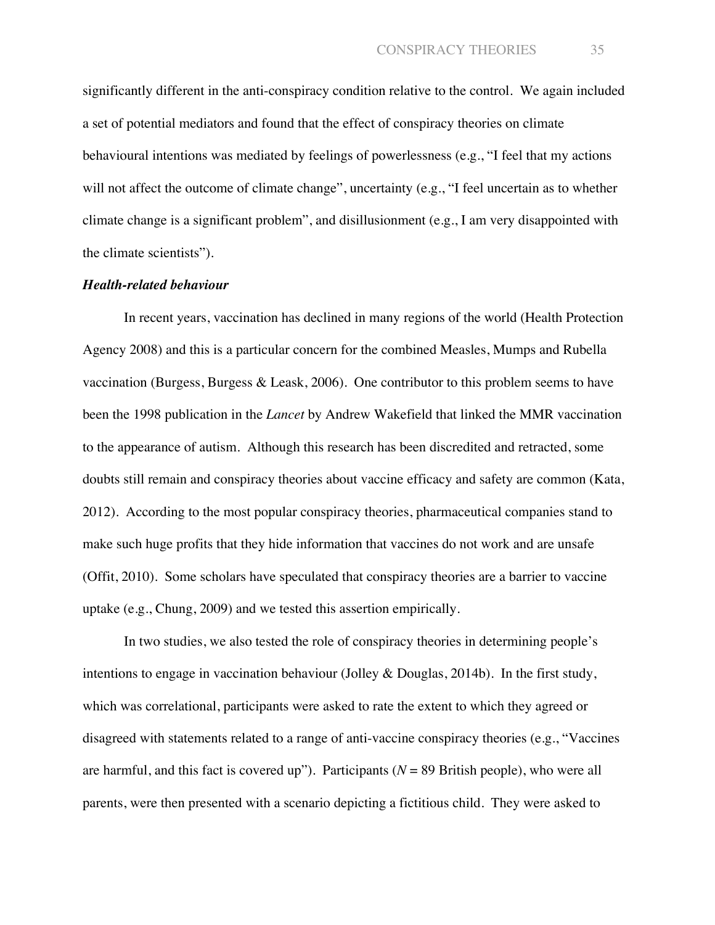significantly different in the anti-conspiracy condition relative to the control. We again included a set of potential mediators and found that the effect of conspiracy theories on climate behavioural intentions was mediated by feelings of powerlessness (e.g., "I feel that my actions will not affect the outcome of climate change", uncertainty (e.g., "I feel uncertain as to whether climate change is a significant problem", and disillusionment (e.g., I am very disappointed with the climate scientists").

#### *Health-related behaviour*

In recent years, vaccination has declined in many regions of the world (Health Protection Agency 2008) and this is a particular concern for the combined Measles, Mumps and Rubella vaccination (Burgess, Burgess & Leask, 2006). One contributor to this problem seems to have been the 1998 publication in the *Lancet* by Andrew Wakefield that linked the MMR vaccination to the appearance of autism. Although this research has been discredited and retracted, some doubts still remain and conspiracy theories about vaccine efficacy and safety are common (Kata, 2012). According to the most popular conspiracy theories, pharmaceutical companies stand to make such huge profits that they hide information that vaccines do not work and are unsafe (Offit, 2010). Some scholars have speculated that conspiracy theories are a barrier to vaccine uptake (e.g., Chung, 2009) and we tested this assertion empirically.

In two studies, we also tested the role of conspiracy theories in determining people's intentions to engage in vaccination behaviour (Jolley & Douglas, 2014b). In the first study, which was correlational, participants were asked to rate the extent to which they agreed or disagreed with statements related to a range of anti-vaccine conspiracy theories (e.g., "Vaccines are harmful, and this fact is covered up"). Participants ( $N = 89$  British people), who were all parents, were then presented with a scenario depicting a fictitious child. They were asked to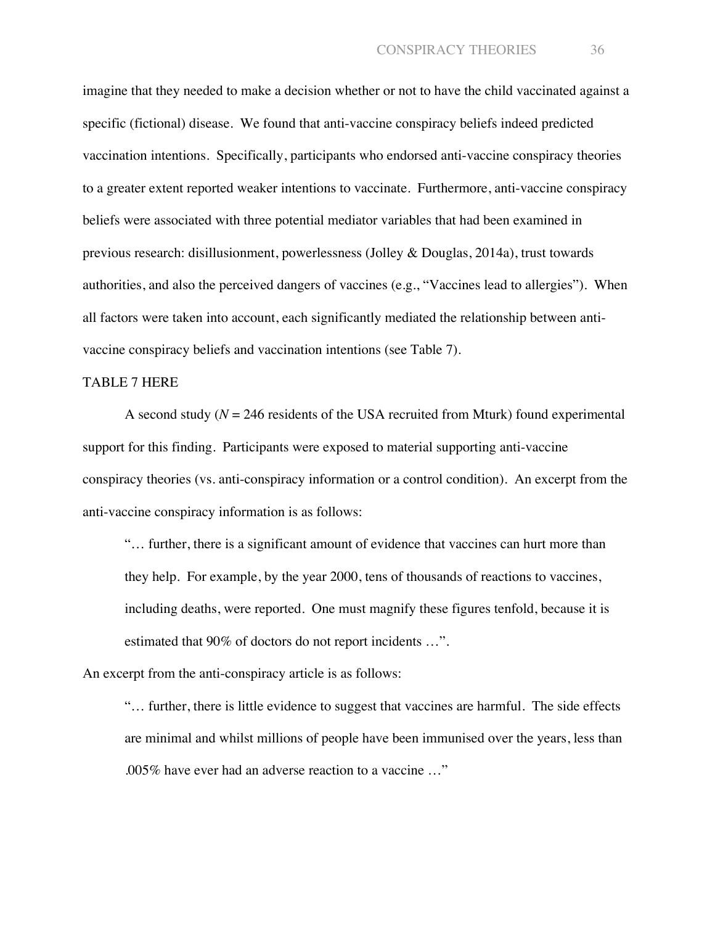imagine that they needed to make a decision whether or not to have the child vaccinated against a specific (fictional) disease. We found that anti-vaccine conspiracy beliefs indeed predicted vaccination intentions. Specifically, participants who endorsed anti-vaccine conspiracy theories to a greater extent reported weaker intentions to vaccinate. Furthermore, anti-vaccine conspiracy beliefs were associated with three potential mediator variables that had been examined in previous research: disillusionment, powerlessness (Jolley & Douglas, 2014a), trust towards authorities, and also the perceived dangers of vaccines (e.g., "Vaccines lead to allergies"). When all factors were taken into account, each significantly mediated the relationship between antivaccine conspiracy beliefs and vaccination intentions (see Table 7).

#### TABLE 7 HERE

A second study  $(N = 246$  residents of the USA recruited from Mturk) found experimental support for this finding. Participants were exposed to material supporting anti-vaccine conspiracy theories (vs. anti-conspiracy information or a control condition). An excerpt from the anti-vaccine conspiracy information is as follows:

"… further, there is a significant amount of evidence that vaccines can hurt more than they help. For example, by the year 2000, tens of thousands of reactions to vaccines, including deaths, were reported. One must magnify these figures tenfold, because it is estimated that 90% of doctors do not report incidents …".

An excerpt from the anti-conspiracy article is as follows:

"… further, there is little evidence to suggest that vaccines are harmful. The side effects are minimal and whilst millions of people have been immunised over the years, less than .005% have ever had an adverse reaction to a vaccine …"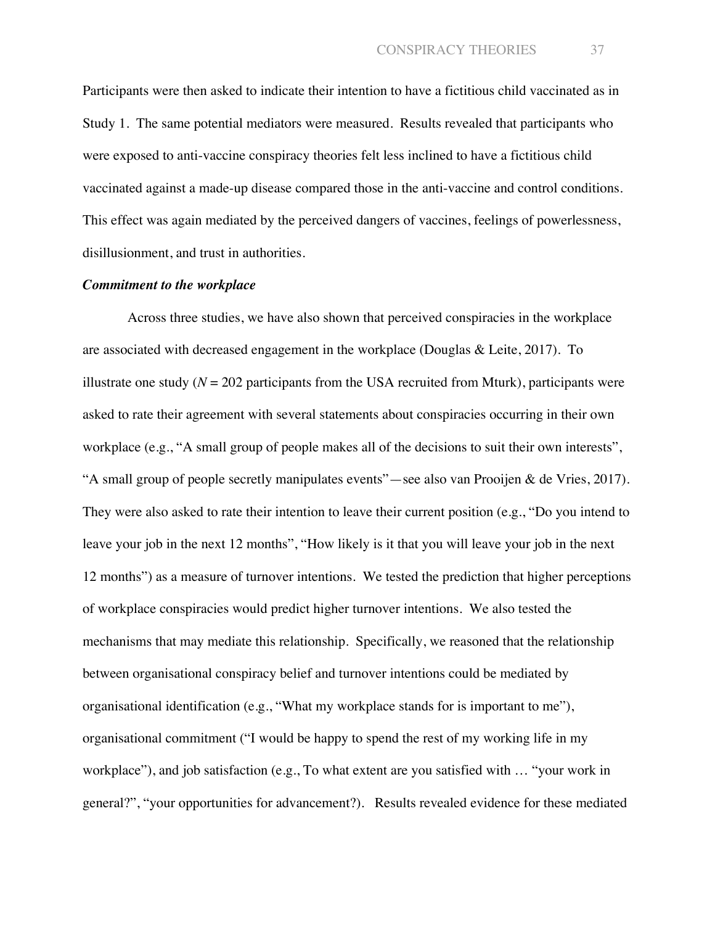Participants were then asked to indicate their intention to have a fictitious child vaccinated as in Study 1. The same potential mediators were measured. Results revealed that participants who were exposed to anti-vaccine conspiracy theories felt less inclined to have a fictitious child vaccinated against a made-up disease compared those in the anti-vaccine and control conditions. This effect was again mediated by the perceived dangers of vaccines, feelings of powerlessness, disillusionment, and trust in authorities.

#### *Commitment to the workplace*

Across three studies, we have also shown that perceived conspiracies in the workplace are associated with decreased engagement in the workplace (Douglas & Leite, 2017). To illustrate one study  $(N = 202$  participants from the USA recruited from Mturk), participants were asked to rate their agreement with several statements about conspiracies occurring in their own workplace (e.g., "A small group of people makes all of the decisions to suit their own interests", "A small group of people secretly manipulates events"—see also van Prooijen & de Vries, 2017). They were also asked to rate their intention to leave their current position (e.g., "Do you intend to leave your job in the next 12 months", "How likely is it that you will leave your job in the next 12 months") as a measure of turnover intentions. We tested the prediction that higher perceptions of workplace conspiracies would predict higher turnover intentions. We also tested the mechanisms that may mediate this relationship. Specifically, we reasoned that the relationship between organisational conspiracy belief and turnover intentions could be mediated by organisational identification (e.g., "What my workplace stands for is important to me"), organisational commitment ("I would be happy to spend the rest of my working life in my workplace"), and job satisfaction (e.g., To what extent are you satisfied with … "your work in general?", "your opportunities for advancement?). Results revealed evidence for these mediated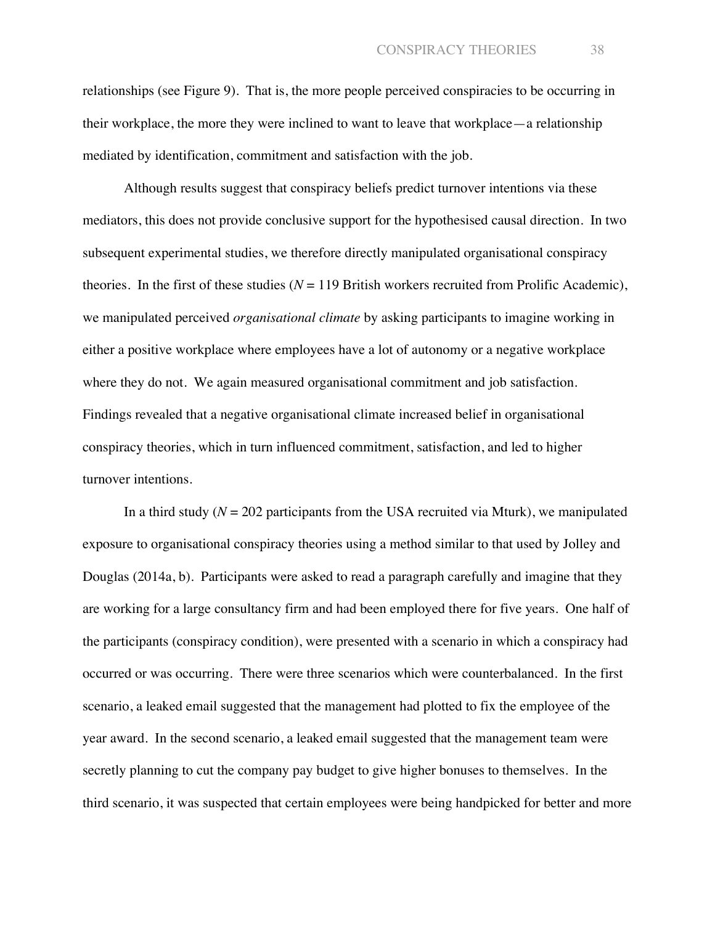relationships (see Figure 9). That is, the more people perceived conspiracies to be occurring in their workplace, the more they were inclined to want to leave that workplace—a relationship mediated by identification, commitment and satisfaction with the job.

Although results suggest that conspiracy beliefs predict turnover intentions via these mediators, this does not provide conclusive support for the hypothesised causal direction. In two subsequent experimental studies, we therefore directly manipulated organisational conspiracy theories. In the first of these studies  $(N = 119$  British workers recruited from Prolific Academic), we manipulated perceived *organisational climate* by asking participants to imagine working in either a positive workplace where employees have a lot of autonomy or a negative workplace where they do not. We again measured organisational commitment and job satisfaction. Findings revealed that a negative organisational climate increased belief in organisational conspiracy theories, which in turn influenced commitment, satisfaction, and led to higher turnover intentions.

In a third study ( $N = 202$  participants from the USA recruited via Mturk), we manipulated exposure to organisational conspiracy theories using a method similar to that used by Jolley and Douglas (2014a, b). Participants were asked to read a paragraph carefully and imagine that they are working for a large consultancy firm and had been employed there for five years. One half of the participants (conspiracy condition), were presented with a scenario in which a conspiracy had occurred or was occurring. There were three scenarios which were counterbalanced. In the first scenario, a leaked email suggested that the management had plotted to fix the employee of the year award. In the second scenario, a leaked email suggested that the management team were secretly planning to cut the company pay budget to give higher bonuses to themselves. In the third scenario, it was suspected that certain employees were being handpicked for better and more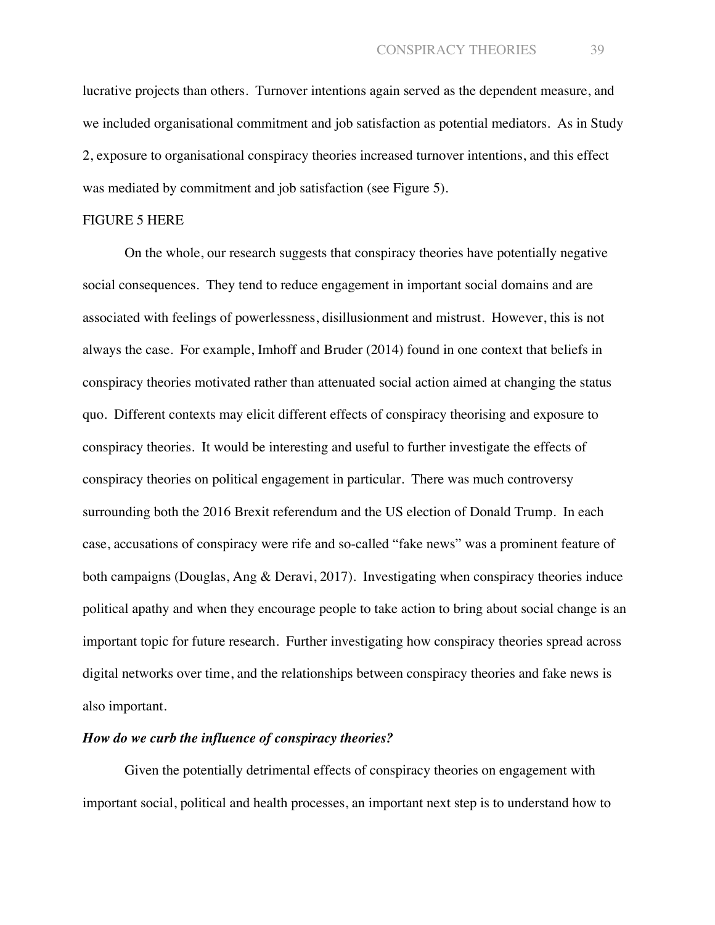lucrative projects than others. Turnover intentions again served as the dependent measure, and we included organisational commitment and job satisfaction as potential mediators. As in Study 2, exposure to organisational conspiracy theories increased turnover intentions, and this effect was mediated by commitment and job satisfaction (see Figure 5).

### FIGURE 5 HERE

On the whole, our research suggests that conspiracy theories have potentially negative social consequences. They tend to reduce engagement in important social domains and are associated with feelings of powerlessness, disillusionment and mistrust. However, this is not always the case. For example, Imhoff and Bruder (2014) found in one context that beliefs in conspiracy theories motivated rather than attenuated social action aimed at changing the status quo. Different contexts may elicit different effects of conspiracy theorising and exposure to conspiracy theories. It would be interesting and useful to further investigate the effects of conspiracy theories on political engagement in particular. There was much controversy surrounding both the 2016 Brexit referendum and the US election of Donald Trump. In each case, accusations of conspiracy were rife and so-called "fake news" was a prominent feature of both campaigns (Douglas, Ang & Deravi, 2017). Investigating when conspiracy theories induce political apathy and when they encourage people to take action to bring about social change is an important topic for future research. Further investigating how conspiracy theories spread across digital networks over time, and the relationships between conspiracy theories and fake news is also important.

### *How do we curb the influence of conspiracy theories?*

Given the potentially detrimental effects of conspiracy theories on engagement with important social, political and health processes, an important next step is to understand how to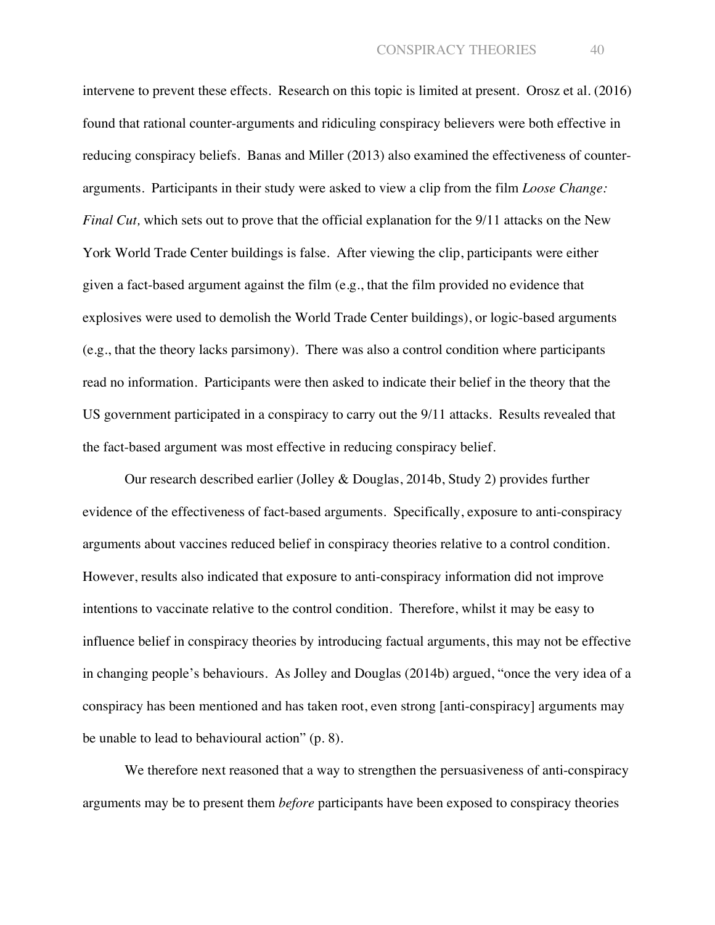intervene to prevent these effects. Research on this topic is limited at present. Orosz et al. (2016) found that rational counter-arguments and ridiculing conspiracy believers were both effective in reducing conspiracy beliefs. Banas and Miller (2013) also examined the effectiveness of counterarguments. Participants in their study were asked to view a clip from the film *Loose Change: Final Cut*, which sets out to prove that the official explanation for the 9/11 attacks on the New York World Trade Center buildings is false. After viewing the clip, participants were either given a fact-based argument against the film (e.g., that the film provided no evidence that explosives were used to demolish the World Trade Center buildings), or logic-based arguments (e.g., that the theory lacks parsimony). There was also a control condition where participants read no information. Participants were then asked to indicate their belief in the theory that the US government participated in a conspiracy to carry out the 9/11 attacks. Results revealed that the fact-based argument was most effective in reducing conspiracy belief.

Our research described earlier (Jolley & Douglas, 2014b, Study 2) provides further evidence of the effectiveness of fact-based arguments. Specifically, exposure to anti-conspiracy arguments about vaccines reduced belief in conspiracy theories relative to a control condition. However, results also indicated that exposure to anti-conspiracy information did not improve intentions to vaccinate relative to the control condition. Therefore, whilst it may be easy to influence belief in conspiracy theories by introducing factual arguments, this may not be effective in changing people's behaviours. As Jolley and Douglas (2014b) argued, "once the very idea of a conspiracy has been mentioned and has taken root, even strong [anti-conspiracy] arguments may be unable to lead to behavioural action" (p. 8).

We therefore next reasoned that a way to strengthen the persuasiveness of anti-conspiracy arguments may be to present them *before* participants have been exposed to conspiracy theories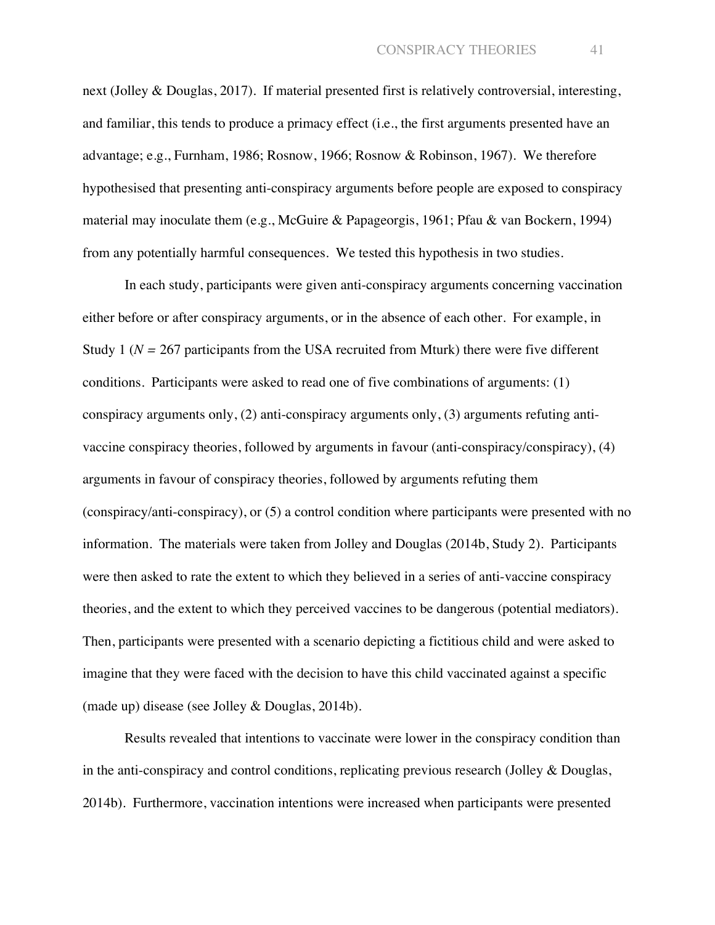next (Jolley & Douglas, 2017). If material presented first is relatively controversial, interesting, and familiar, this tends to produce a primacy effect (i.e., the first arguments presented have an advantage; e.g., Furnham, 1986; Rosnow, 1966; Rosnow & Robinson, 1967). We therefore hypothesised that presenting anti-conspiracy arguments before people are exposed to conspiracy material may inoculate them (e.g., McGuire & Papageorgis, 1961; Pfau & van Bockern, 1994) from any potentially harmful consequences. We tested this hypothesis in two studies.

In each study, participants were given anti-conspiracy arguments concerning vaccination either before or after conspiracy arguments, or in the absence of each other. For example, in Study 1 (*N =* 267 participants from the USA recruited from Mturk) there were five different conditions. Participants were asked to read one of five combinations of arguments: (1) conspiracy arguments only, (2) anti-conspiracy arguments only, (3) arguments refuting antivaccine conspiracy theories, followed by arguments in favour (anti-conspiracy/conspiracy), (4) arguments in favour of conspiracy theories, followed by arguments refuting them (conspiracy/anti-conspiracy), or (5) a control condition where participants were presented with no information. The materials were taken from Jolley and Douglas (2014b, Study 2). Participants were then asked to rate the extent to which they believed in a series of anti-vaccine conspiracy theories, and the extent to which they perceived vaccines to be dangerous (potential mediators). Then, participants were presented with a scenario depicting a fictitious child and were asked to imagine that they were faced with the decision to have this child vaccinated against a specific (made up) disease (see Jolley & Douglas, 2014b).

Results revealed that intentions to vaccinate were lower in the conspiracy condition than in the anti-conspiracy and control conditions, replicating previous research (Jolley & Douglas, 2014b). Furthermore, vaccination intentions were increased when participants were presented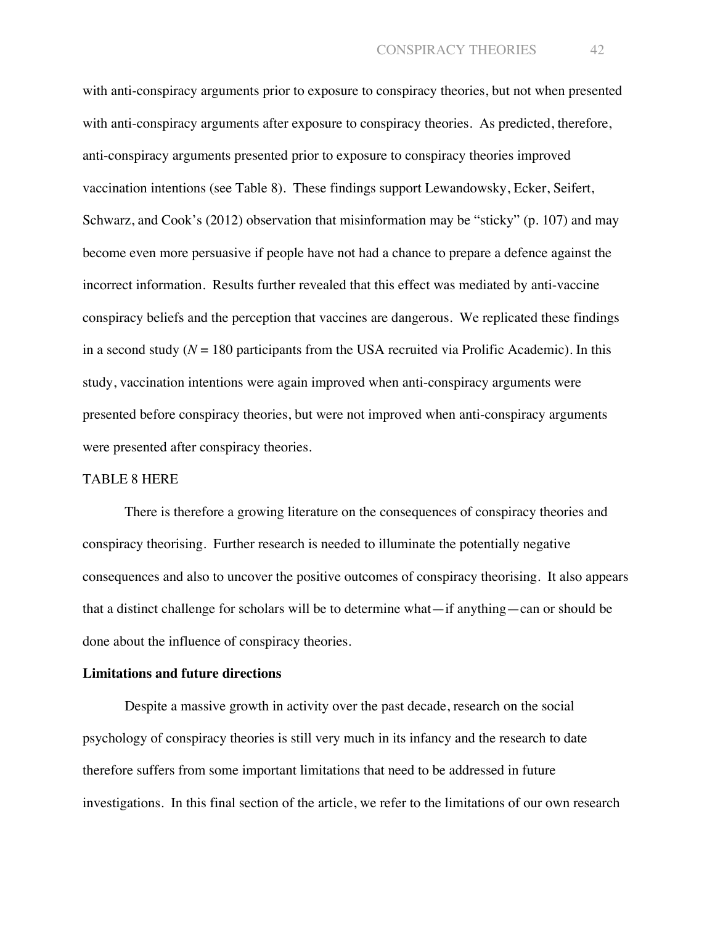with anti-conspiracy arguments prior to exposure to conspiracy theories, but not when presented with anti-conspiracy arguments after exposure to conspiracy theories. As predicted, therefore, anti-conspiracy arguments presented prior to exposure to conspiracy theories improved vaccination intentions (see Table 8). These findings support Lewandowsky, Ecker, Seifert, Schwarz, and Cook's (2012) observation that misinformation may be "sticky" (p. 107) and may become even more persuasive if people have not had a chance to prepare a defence against the incorrect information. Results further revealed that this effect was mediated by anti-vaccine conspiracy beliefs and the perception that vaccines are dangerous. We replicated these findings in a second study  $(N = 180$  participants from the USA recruited via Prolific Academic). In this study, vaccination intentions were again improved when anti-conspiracy arguments were presented before conspiracy theories, but were not improved when anti-conspiracy arguments were presented after conspiracy theories.

### TABLE 8 HERE

There is therefore a growing literature on the consequences of conspiracy theories and conspiracy theorising. Further research is needed to illuminate the potentially negative consequences and also to uncover the positive outcomes of conspiracy theorising. It also appears that a distinct challenge for scholars will be to determine what—if anything—can or should be done about the influence of conspiracy theories.

#### **Limitations and future directions**

Despite a massive growth in activity over the past decade, research on the social psychology of conspiracy theories is still very much in its infancy and the research to date therefore suffers from some important limitations that need to be addressed in future investigations. In this final section of the article, we refer to the limitations of our own research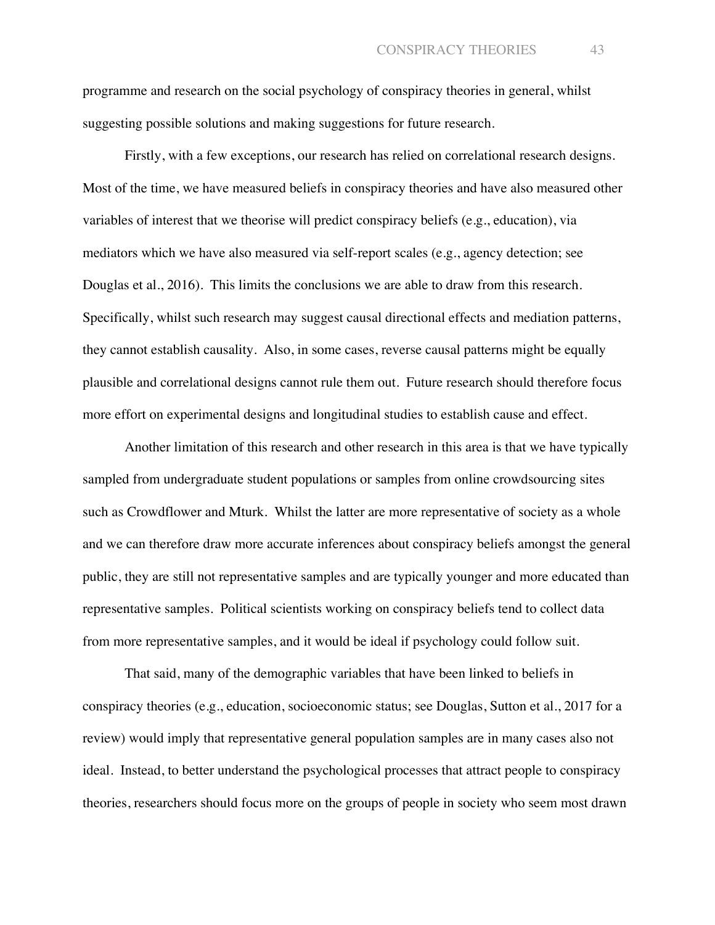programme and research on the social psychology of conspiracy theories in general, whilst suggesting possible solutions and making suggestions for future research.

Firstly, with a few exceptions, our research has relied on correlational research designs. Most of the time, we have measured beliefs in conspiracy theories and have also measured other variables of interest that we theorise will predict conspiracy beliefs (e.g., education), via mediators which we have also measured via self-report scales (e.g., agency detection; see Douglas et al., 2016). This limits the conclusions we are able to draw from this research. Specifically, whilst such research may suggest causal directional effects and mediation patterns, they cannot establish causality. Also, in some cases, reverse causal patterns might be equally plausible and correlational designs cannot rule them out. Future research should therefore focus more effort on experimental designs and longitudinal studies to establish cause and effect.

Another limitation of this research and other research in this area is that we have typically sampled from undergraduate student populations or samples from online crowdsourcing sites such as Crowdflower and Mturk. Whilst the latter are more representative of society as a whole and we can therefore draw more accurate inferences about conspiracy beliefs amongst the general public, they are still not representative samples and are typically younger and more educated than representative samples. Political scientists working on conspiracy beliefs tend to collect data from more representative samples, and it would be ideal if psychology could follow suit.

That said, many of the demographic variables that have been linked to beliefs in conspiracy theories (e.g., education, socioeconomic status; see Douglas, Sutton et al., 2017 for a review) would imply that representative general population samples are in many cases also not ideal. Instead, to better understand the psychological processes that attract people to conspiracy theories, researchers should focus more on the groups of people in society who seem most drawn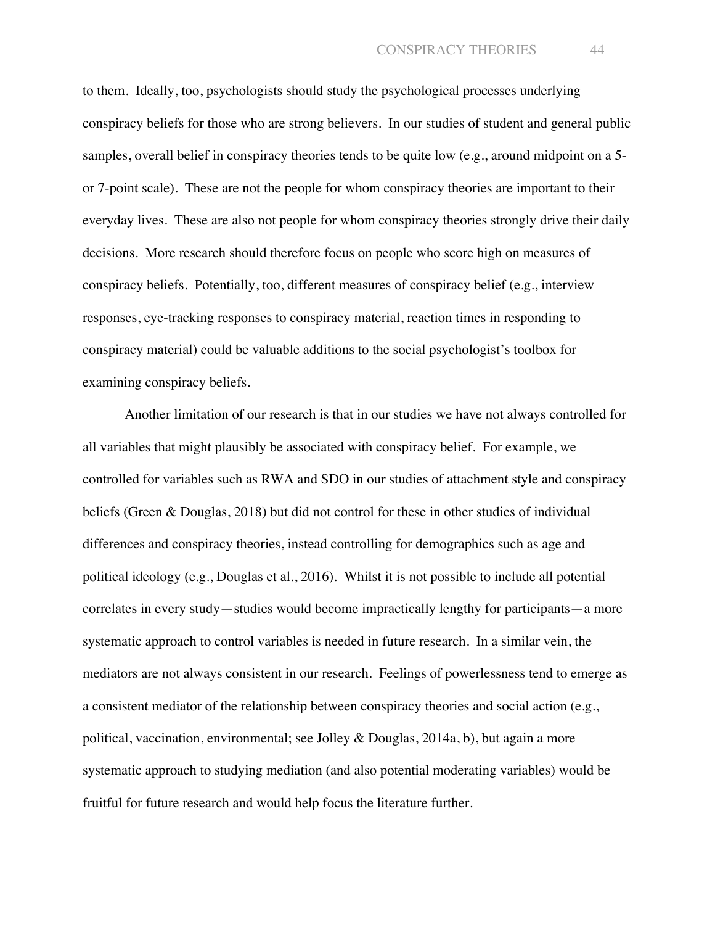to them. Ideally, too, psychologists should study the psychological processes underlying conspiracy beliefs for those who are strong believers. In our studies of student and general public samples, overall belief in conspiracy theories tends to be quite low (e.g., around midpoint on a 5 or 7-point scale). These are not the people for whom conspiracy theories are important to their everyday lives. These are also not people for whom conspiracy theories strongly drive their daily decisions. More research should therefore focus on people who score high on measures of conspiracy beliefs. Potentially, too, different measures of conspiracy belief (e.g., interview responses, eye-tracking responses to conspiracy material, reaction times in responding to conspiracy material) could be valuable additions to the social psychologist's toolbox for examining conspiracy beliefs.

Another limitation of our research is that in our studies we have not always controlled for all variables that might plausibly be associated with conspiracy belief. For example, we controlled for variables such as RWA and SDO in our studies of attachment style and conspiracy beliefs (Green & Douglas, 2018) but did not control for these in other studies of individual differences and conspiracy theories, instead controlling for demographics such as age and political ideology (e.g., Douglas et al., 2016). Whilst it is not possible to include all potential correlates in every study—studies would become impractically lengthy for participants—a more systematic approach to control variables is needed in future research. In a similar vein, the mediators are not always consistent in our research. Feelings of powerlessness tend to emerge as a consistent mediator of the relationship between conspiracy theories and social action (e.g., political, vaccination, environmental; see Jolley & Douglas, 2014a, b), but again a more systematic approach to studying mediation (and also potential moderating variables) would be fruitful for future research and would help focus the literature further.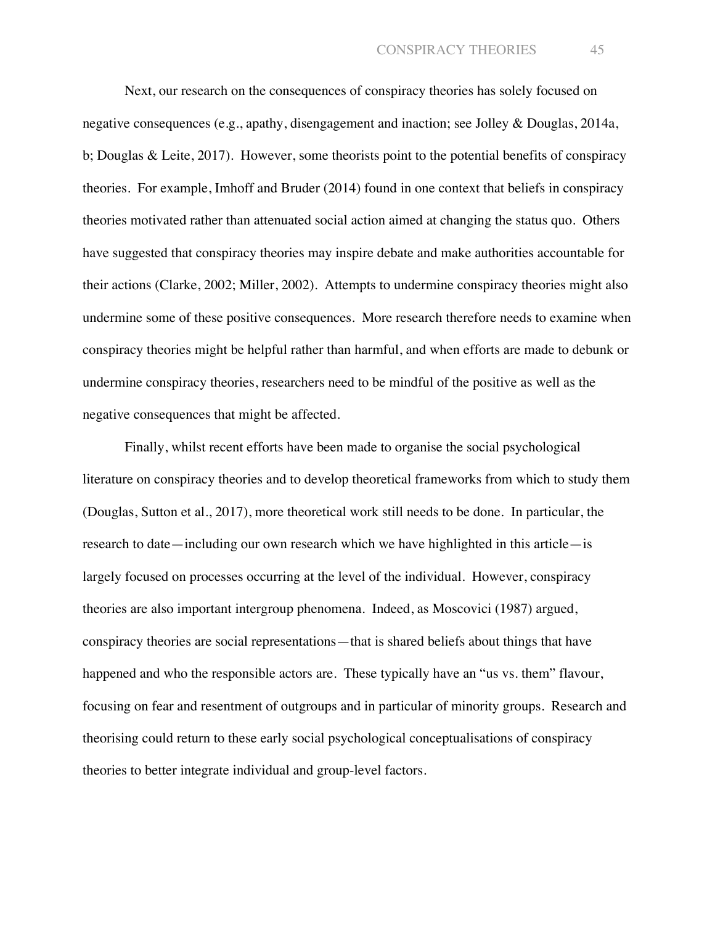Next, our research on the consequences of conspiracy theories has solely focused on negative consequences (e.g., apathy, disengagement and inaction; see Jolley & Douglas, 2014a, b; Douglas & Leite, 2017). However, some theorists point to the potential benefits of conspiracy theories. For example, Imhoff and Bruder (2014) found in one context that beliefs in conspiracy theories motivated rather than attenuated social action aimed at changing the status quo. Others have suggested that conspiracy theories may inspire debate and make authorities accountable for their actions (Clarke, 2002; Miller, 2002). Attempts to undermine conspiracy theories might also undermine some of these positive consequences. More research therefore needs to examine when conspiracy theories might be helpful rather than harmful, and when efforts are made to debunk or undermine conspiracy theories, researchers need to be mindful of the positive as well as the negative consequences that might be affected.

Finally, whilst recent efforts have been made to organise the social psychological literature on conspiracy theories and to develop theoretical frameworks from which to study them (Douglas, Sutton et al., 2017), more theoretical work still needs to be done. In particular, the research to date—including our own research which we have highlighted in this article—is largely focused on processes occurring at the level of the individual. However, conspiracy theories are also important intergroup phenomena. Indeed, as Moscovici (1987) argued, conspiracy theories are social representations—that is shared beliefs about things that have happened and who the responsible actors are. These typically have an "us vs. them" flavour, focusing on fear and resentment of outgroups and in particular of minority groups. Research and theorising could return to these early social psychological conceptualisations of conspiracy theories to better integrate individual and group-level factors.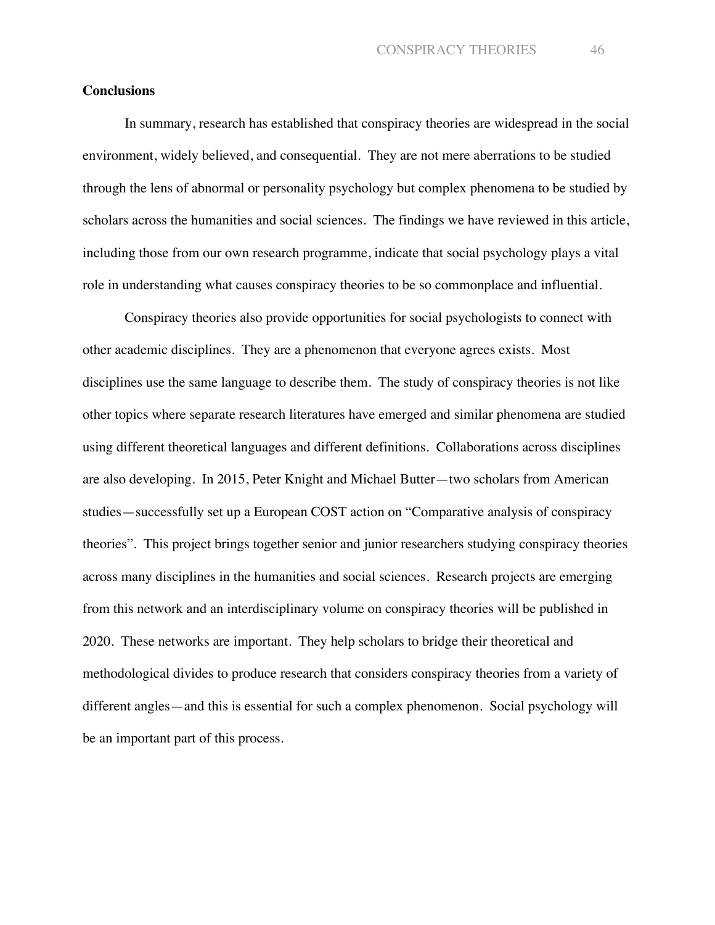## **Conclusions**

In summary, research has established that conspiracy theories are widespread in the social environment, widely believed, and consequential. They are not mere aberrations to be studied through the lens of abnormal or personality psychology but complex phenomena to be studied by scholars across the humanities and social sciences. The findings we have reviewed in this article, including those from our own research programme, indicate that social psychology plays a vital role in understanding what causes conspiracy theories to be so commonplace and influential.

Conspiracy theories also provide opportunities for social psychologists to connect with other academic disciplines. They are a phenomenon that everyone agrees exists. Most disciplines use the same language to describe them. The study of conspiracy theories is not like other topics where separate research literatures have emerged and similar phenomena are studied using different theoretical languages and different definitions. Collaborations across disciplines are also developing. In 2015, Peter Knight and Michael Butter—two scholars from American studies—successfully set up a European COST action on "Comparative analysis of conspiracy theories". This project brings together senior and junior researchers studying conspiracy theories across many disciplines in the humanities and social sciences. Research projects are emerging from this network and an interdisciplinary volume on conspiracy theories will be published in 2020. These networks are important. They help scholars to bridge their theoretical and methodological divides to produce research that considers conspiracy theories from a variety of different angles—and this is essential for such a complex phenomenon. Social psychology will be an important part of this process.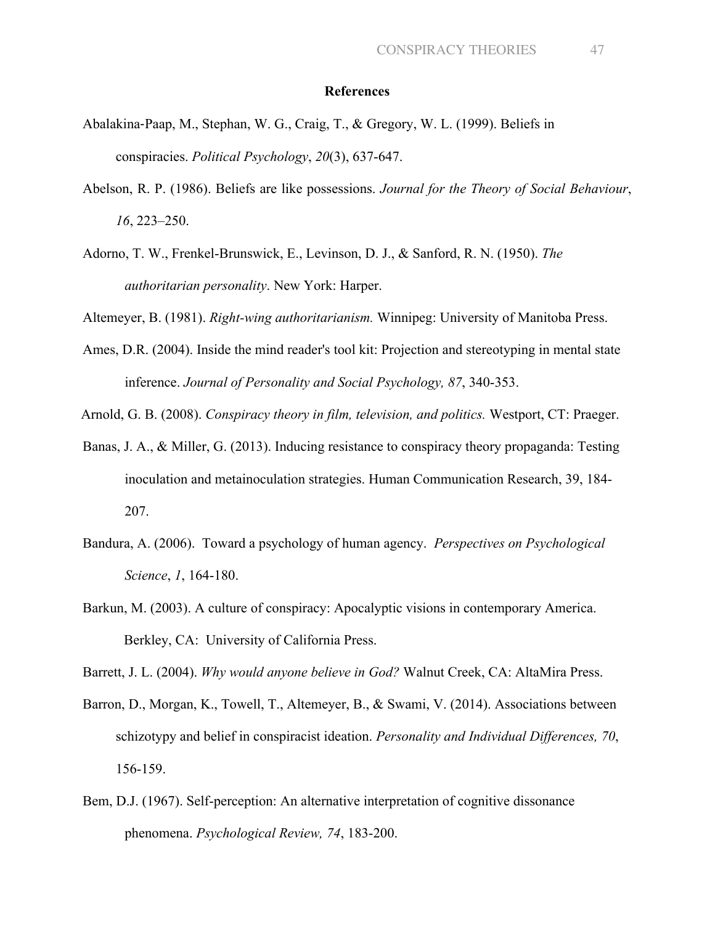#### **References**

- Abalakina-Paap, M., Stephan, W. G., Craig, T., & Gregory, W. L. (1999). Beliefs in conspiracies. *Political Psychology*, *20*(3), 637-647.
- Abelson, R. P. (1986). Beliefs are like possessions. *Journal for the Theory of Social Behaviour*, *16*, 223–250.
- Adorno, T. W., Frenkel-Brunswick, E., Levinson, D. J., & Sanford, R. N. (1950). *The authoritarian personality*. New York: Harper.

Altemeyer, B. (1981). *Right-wing authoritarianism.* Winnipeg: University of Manitoba Press.

Ames, D.R. (2004). Inside the mind reader's tool kit: Projection and stereotyping in mental state inference. *Journal of Personality and Social Psychology, 87*, 340-353.

Arnold, G. B. (2008). *Conspiracy theory in film, television, and politics.* Westport, CT: Praeger.

- Banas, J. A., & Miller, G. (2013). Inducing resistance to conspiracy theory propaganda: Testing inoculation and metainoculation strategies. Human Communication Research, 39, 184- 207.
- Bandura, A. (2006). Toward a psychology of human agency. *Perspectives on Psychological Science*, *1*, 164-180.
- Barkun, M. (2003). A culture of conspiracy: Apocalyptic visions in contemporary America. Berkley, CA: University of California Press.

Barrett, J. L. (2004). *Why would anyone believe in God?* Walnut Creek, CA: AltaMira Press.

- Barron, D., Morgan, K., Towell, T., Altemeyer, B., & Swami, V. (2014). Associations between schizotypy and belief in conspiracist ideation. *Personality and Individual Differences, 70*, 156-159.
- Bem, D.J. (1967). Self-perception: An alternative interpretation of cognitive dissonance phenomena. *Psychological Review, 74*, 183-200.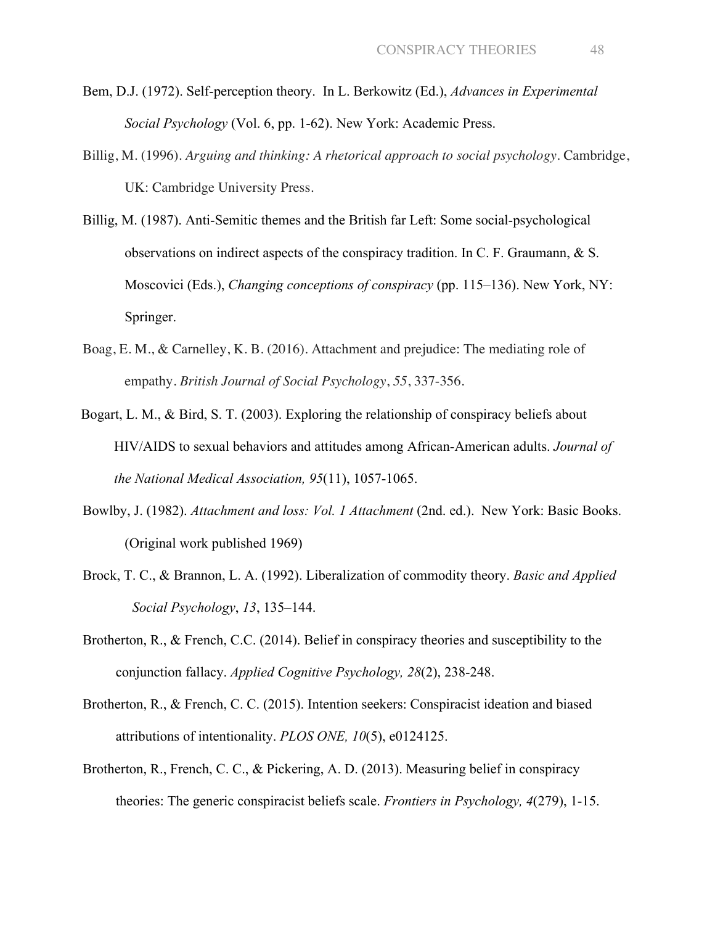- Bem, D.J. (1972). Self-perception theory. In L. Berkowitz (Ed.), *Advances in Experimental Social Psychology* (Vol. 6, pp. 1-62). New York: Academic Press.
- Billig, M. (1996). *Arguing and thinking: A rhetorical approach to social psychology*. Cambridge, UK: Cambridge University Press.
- Billig, M. (1987). Anti-Semitic themes and the British far Left: Some social-psychological observations on indirect aspects of the conspiracy tradition. In C. F. Graumann, & S. Moscovici (Eds.), *Changing conceptions of conspiracy* (pp. 115–136). New York, NY: Springer.
- Boag, E. M., & Carnelley, K. B. (2016). Attachment and prejudice: The mediating role of empathy. *British Journal of Social Psychology*, *55*, 337-356.
- Bogart, L. M., & Bird, S. T. (2003). Exploring the relationship of conspiracy beliefs about HIV/AIDS to sexual behaviors and attitudes among African-American adults. *Journal of the National Medical Association, 95*(11), 1057-1065.
- Bowlby, J. (1982). *Attachment and loss: Vol. 1 Attachment* (2nd. ed.). New York: Basic Books. (Original work published 1969)
- Brock, T. C., & Brannon, L. A. (1992). Liberalization of commodity theory. *Basic and Applied Social Psychology*, *13*, 135–144.
- Brotherton, R., & French, C.C. (2014). Belief in conspiracy theories and susceptibility to the conjunction fallacy. *Applied Cognitive Psychology, 28*(2), 238-248.
- Brotherton, R., & French, C. C. (2015). Intention seekers: Conspiracist ideation and biased attributions of intentionality. *PLOS ONE, 10*(5), e0124125.
- Brotherton, R., French, C. C., & Pickering, A. D. (2013). Measuring belief in conspiracy theories: The generic conspiracist beliefs scale. *Frontiers in Psychology, 4*(279), 1-15.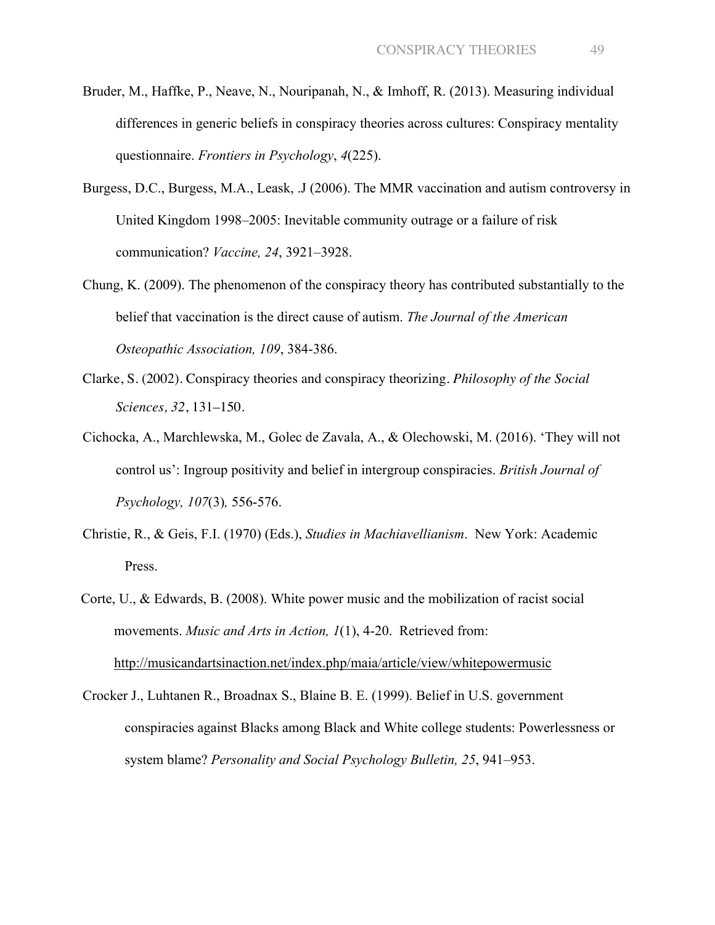- Bruder, M., Haffke, P., Neave, N., Nouripanah, N., & Imhoff, R. (2013). Measuring individual differences in generic beliefs in conspiracy theories across cultures: Conspiracy mentality questionnaire. *Frontiers in Psychology*, *4*(225).
- Burgess, D.C., Burgess, M.A., Leask, .J (2006). The MMR vaccination and autism controversy in United Kingdom 1998–2005: Inevitable community outrage or a failure of risk communication? *Vaccine, 24*, 3921–3928.
- Chung, K. (2009). The phenomenon of the conspiracy theory has contributed substantially to the belief that vaccination is the direct cause of autism. *The Journal of the American Osteopathic Association, 109*, 384-386.
- Clarke, S. (2002). Conspiracy theories and conspiracy theorizing. *Philosophy of the Social Sciences, 32*, 131–150.
- Cichocka, A., Marchlewska, M., Golec de Zavala, A., & Olechowski, M. (2016). 'They will not control us': Ingroup positivity and belief in intergroup conspiracies. *British Journal of Psychology, 107*(3)*,* 556-576.
- Christie, R., & Geis, F.I. (1970) (Eds.), *Studies in Machiavellianism*. New York: Academic Press.
- Corte, U., & Edwards, B. (2008). White power music and the mobilization of racist social movements. *Music and Arts in Action, 1*(1), 4-20. Retrieved from: http://musicandartsinaction.net/index.php/maia/article/view/whitepowermusic
- Crocker J., Luhtanen R., Broadnax S., Blaine B. E. (1999). Belief in U.S. government conspiracies against Blacks among Black and White college students: Powerlessness or system blame? *Personality and Social Psychology Bulletin, 25*, 941–953.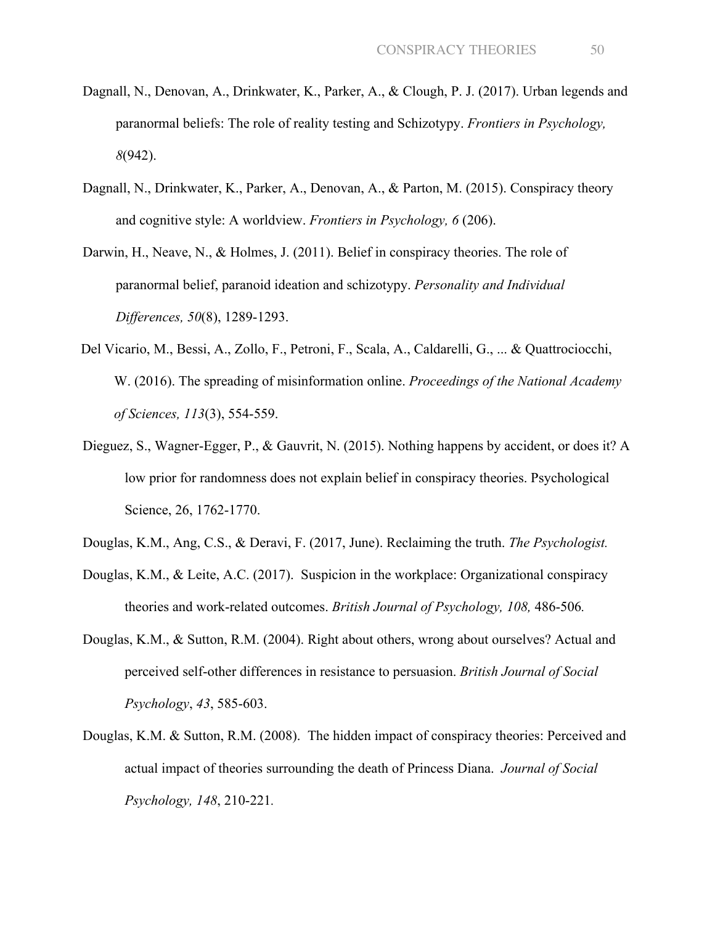- Dagnall, N., Denovan, A., Drinkwater, K., Parker, A., & Clough, P. J. (2017). Urban legends and paranormal beliefs: The role of reality testing and Schizotypy. *Frontiers in Psychology, 8*(942).
- Dagnall, N., Drinkwater, K., Parker, A., Denovan, A., & Parton, M. (2015). Conspiracy theory and cognitive style: A worldview. *Frontiers in Psychology, 6* (206).
- Darwin, H., Neave, N., & Holmes, J. (2011). Belief in conspiracy theories. The role of paranormal belief, paranoid ideation and schizotypy. *Personality and Individual Differences, 50*(8), 1289-1293.
- Del Vicario, M., Bessi, A., Zollo, F., Petroni, F., Scala, A., Caldarelli, G., ... & Quattrociocchi, W. (2016). The spreading of misinformation online. *Proceedings of the National Academy of Sciences, 113*(3), 554-559.
- Dieguez, S., Wagner-Egger, P., & Gauvrit, N. (2015). Nothing happens by accident, or does it? A low prior for randomness does not explain belief in conspiracy theories. Psychological Science, 26, 1762-1770.
- Douglas, K.M., Ang, C.S., & Deravi, F. (2017, June). Reclaiming the truth. *The Psychologist.*
- Douglas, K.M., & Leite, A.C. (2017). Suspicion in the workplace: Organizational conspiracy theories and work-related outcomes. *British Journal of Psychology, 108,* 486-506*.*
- Douglas, K.M., & Sutton, R.M. (2004). Right about others, wrong about ourselves? Actual and perceived self-other differences in resistance to persuasion. *British Journal of Social Psychology*, *43*, 585-603.
- Douglas, K.M. & Sutton, R.M. (2008). The hidden impact of conspiracy theories: Perceived and actual impact of theories surrounding the death of Princess Diana. *Journal of Social Psychology, 148*, 210-221*.*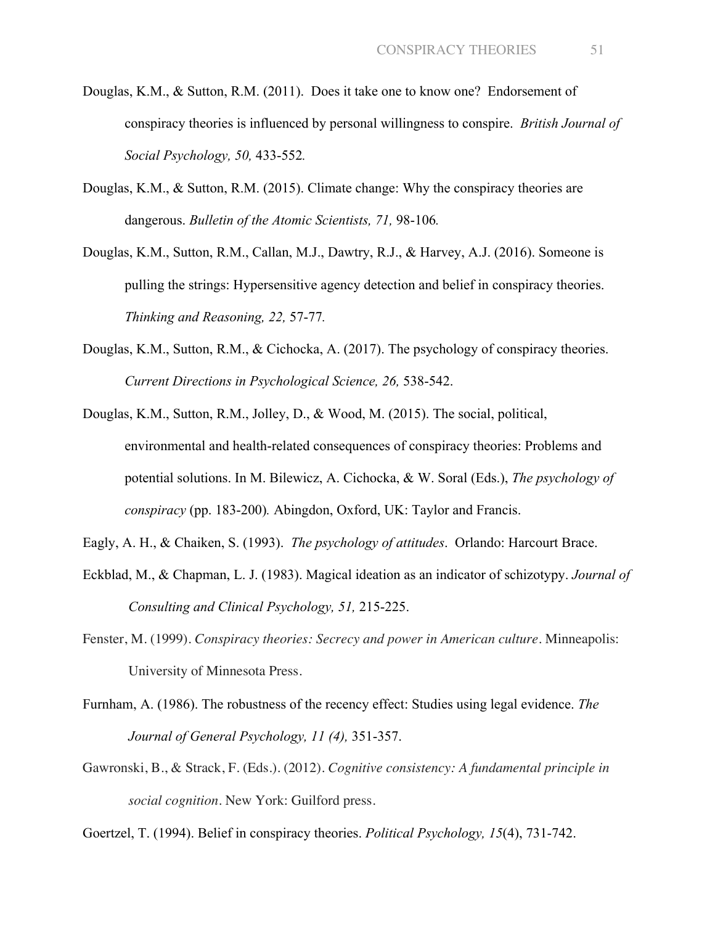- Douglas, K.M., & Sutton, R.M. (2011). Does it take one to know one? Endorsement of conspiracy theories is influenced by personal willingness to conspire. *British Journal of Social Psychology, 50,* 433-552*.*
- Douglas, K.M., & Sutton, R.M. (2015). Climate change: Why the conspiracy theories are dangerous. *Bulletin of the Atomic Scientists, 71,* 98-106*.*
- Douglas, K.M., Sutton, R.M., Callan, M.J., Dawtry, R.J., & Harvey, A.J. (2016). Someone is pulling the strings: Hypersensitive agency detection and belief in conspiracy theories. *Thinking and Reasoning, 22,* 57-77*.*
- Douglas, K.M., Sutton, R.M., & Cichocka, A. (2017). The psychology of conspiracy theories. *Current Directions in Psychological Science, 26,* 538-542.
- Douglas, K.M., Sutton, R.M., Jolley, D., & Wood, M. (2015). The social, political, environmental and health-related consequences of conspiracy theories: Problems and potential solutions. In M. Bilewicz, A. Cichocka, & W. Soral (Eds.), *The psychology of conspiracy* (pp. 183-200)*.* Abingdon, Oxford, UK: Taylor and Francis.
- Eagly, A. H., & Chaiken, S. (1993). *The psychology of attitudes*. Orlando: Harcourt Brace.
- Eckblad, M., & Chapman, L. J. (1983). Magical ideation as an indicator of schizotypy. *Journal of Consulting and Clinical Psychology, 51,* 215-225.
- Fenster, M. (1999). *Conspiracy theories: Secrecy and power in American culture*. Minneapolis: University of Minnesota Press.
- Furnham, A. (1986). The robustness of the recency effect: Studies using legal evidence. *The Journal of General Psychology, 11 (4),* 351-357.
- Gawronski, B., & Strack, F. (Eds.). (2012). *Cognitive consistency: A fundamental principle in social cognition*. New York: Guilford press.

Goertzel, T. (1994). Belief in conspiracy theories. *Political Psychology, 15*(4), 731-742.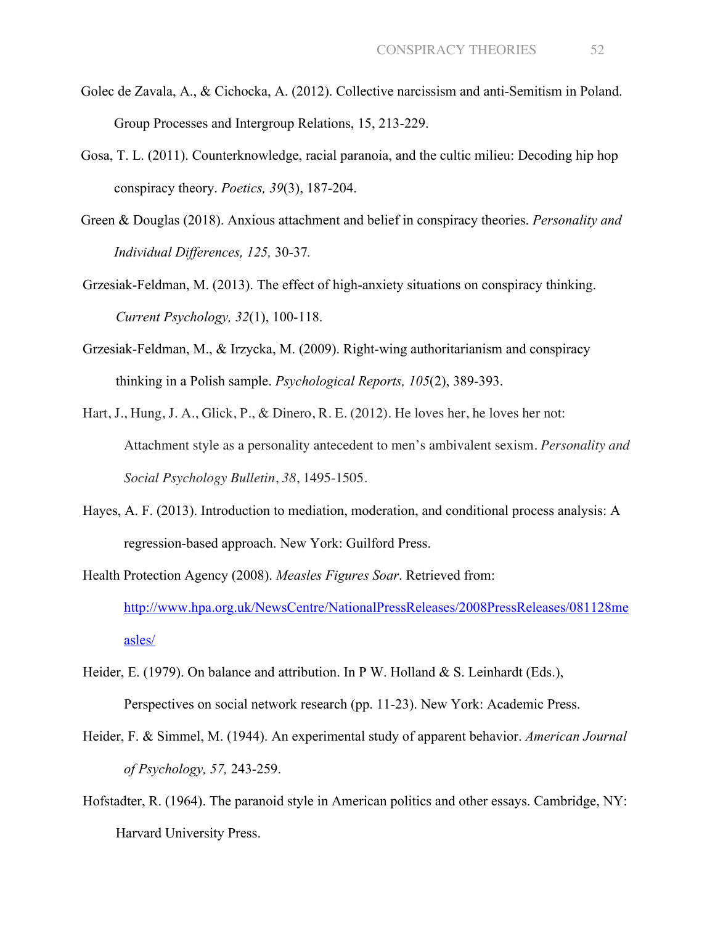- Golec de Zavala, A., & Cichocka, A. (2012). Collective narcissism and anti-Semitism in Poland. Group Processes and Intergroup Relations, 15, 213-229.
- Gosa, T. L. (2011). Counterknowledge, racial paranoia, and the cultic milieu: Decoding hip hop conspiracy theory. *Poetics, 39*(3), 187-204.
- Green & Douglas (2018). Anxious attachment and belief in conspiracy theories. *Personality and Individual Differences, 125,* 30-37*.*
- Grzesiak-Feldman, M. (2013). The effect of high-anxiety situations on conspiracy thinking. *Current Psychology, 32*(1), 100-118.
- Grzesiak-Feldman, M., & Irzycka, M. (2009). Right-wing authoritarianism and conspiracy thinking in a Polish sample. *Psychological Reports, 105*(2), 389-393.
- Hart, J., Hung, J. A., Glick, P., & Dinero, R. E. (2012). He loves her, he loves her not: Attachment style as a personality antecedent to men's ambivalent sexism. *Personality and Social Psychology Bulletin*, *38*, 1495-1505.
- Hayes, A. F. (2013). Introduction to mediation, moderation, and conditional process analysis: A regression-based approach. New York: Guilford Press.
- Health Protection Agency (2008). *Measles Figures Soar*. Retrieved from: http://www.hpa.org.uk/NewsCentre/NationalPressReleases/2008PressReleases/081128me asles/
- Heider, E. (1979). On balance and attribution. In P W. Holland & S. Leinhardt (Eds.), Perspectives on social network research (pp. 11-23). New York: Academic Press.
- Heider, F. & Simmel, M. (1944). An experimental study of apparent behavior. *American Journal of Psychology, 57,* 243-259.
- Hofstadter, R. (1964). The paranoid style in American politics and other essays. Cambridge, NY: Harvard University Press.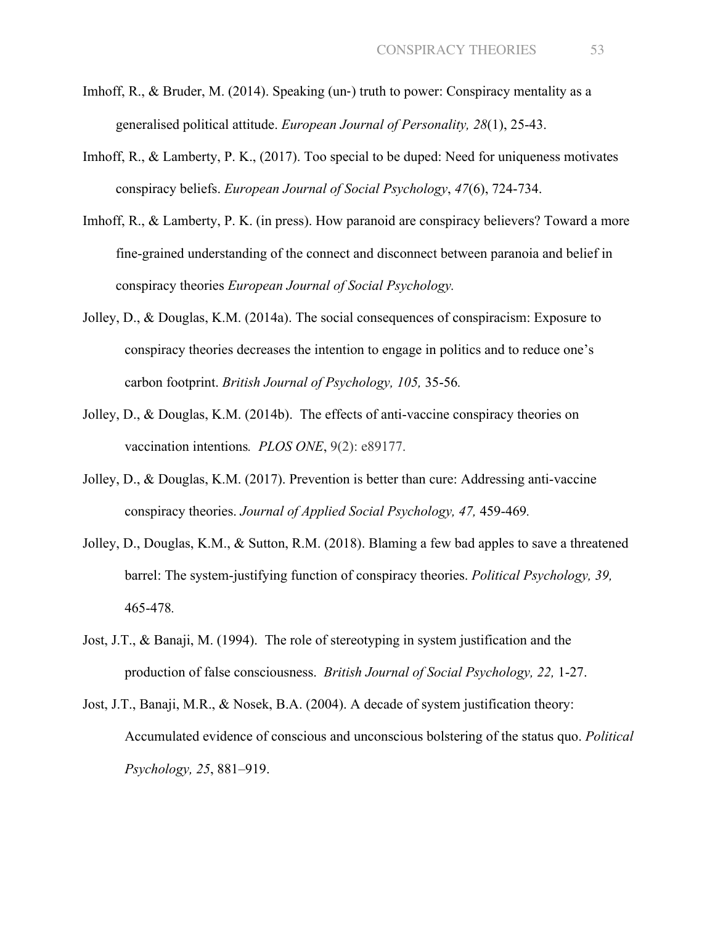- Imhoff, R., & Bruder, M.  $(2014)$ . Speaking (un-) truth to power: Conspiracy mentality as a generalised political attitude. *European Journal of Personality, 28*(1), 25-43.
- Imhoff, R., & Lamberty, P. K., (2017). Too special to be duped: Need for uniqueness motivates conspiracy beliefs. *European Journal of Social Psychology*, *47*(6), 724-734.
- Imhoff, R., & Lamberty, P. K. (in press). How paranoid are conspiracy believers? Toward a more fine-grained understanding of the connect and disconnect between paranoia and belief in conspiracy theories *European Journal of Social Psychology.*
- Jolley, D., & Douglas, K.M. (2014a). The social consequences of conspiracism: Exposure to conspiracy theories decreases the intention to engage in politics and to reduce one's carbon footprint. *British Journal of Psychology, 105,* 35-56*.*
- Jolley, D., & Douglas, K.M. (2014b). The effects of anti-vaccine conspiracy theories on vaccination intentions*. PLOS ONE*, 9(2): e89177.
- Jolley, D., & Douglas, K.M. (2017). Prevention is better than cure: Addressing anti-vaccine conspiracy theories. *Journal of Applied Social Psychology, 47,* 459-469*.*
- Jolley, D., Douglas, K.M., & Sutton, R.M. (2018). Blaming a few bad apples to save a threatened barrel: The system-justifying function of conspiracy theories. *Political Psychology, 39,*  465-478*.*
- Jost, J.T., & Banaji, M. (1994). The role of stereotyping in system justification and the production of false consciousness. *British Journal of Social Psychology, 22,* 1-27.
- Jost, J.T., Banaji, M.R., & Nosek, B.A. (2004). A decade of system justification theory: Accumulated evidence of conscious and unconscious bolstering of the status quo. *Political Psychology, 25*, 881–919.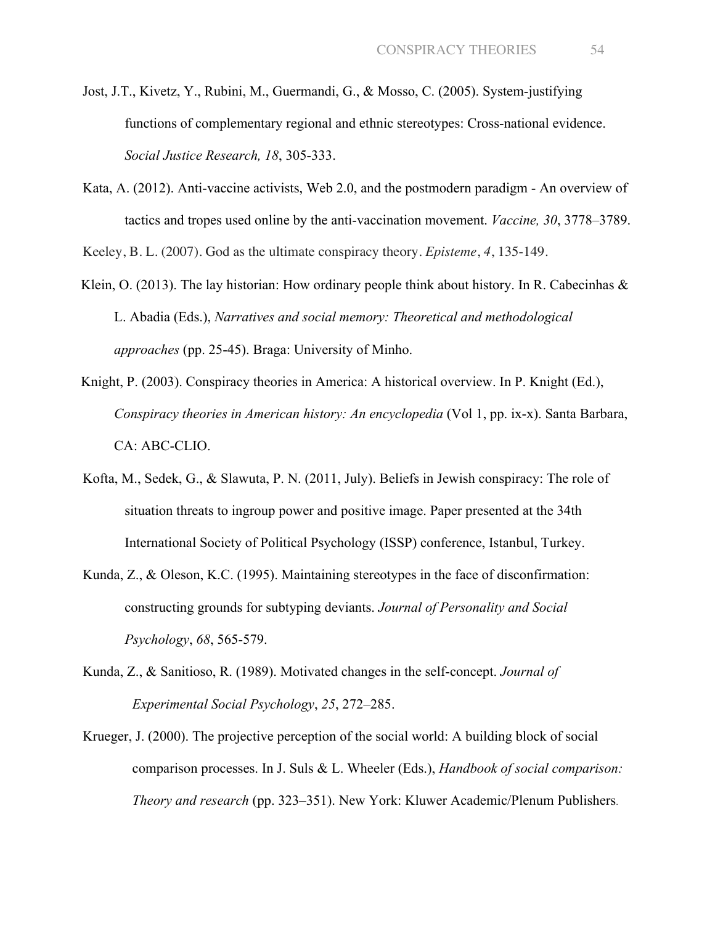- Jost, J.T., Kivetz, Y., Rubini, M., Guermandi, G., & Mosso, C. (2005). System-justifying functions of complementary regional and ethnic stereotypes: Cross-national evidence. *Social Justice Research, 18*, 305-333.
- Kata, A. (2012). Anti-vaccine activists, Web 2.0, and the postmodern paradigm An overview of tactics and tropes used online by the anti-vaccination movement. *Vaccine, 30*, 3778–3789.

Keeley, B. L. (2007). God as the ultimate conspiracy theory. *Episteme*, *4*, 135-149.

- Klein, O. (2013). The lay historian: How ordinary people think about history. In R. Cabecinhas  $\&$ L. Abadia (Eds.), *Narratives and social memory: Theoretical and methodological approaches* (pp. 25-45). Braga: University of Minho.
- Knight, P. (2003). Conspiracy theories in America: A historical overview. In P. Knight (Ed.), *Conspiracy theories in American history: An encyclopedia* (Vol 1, pp. ix-x). Santa Barbara, CA: ABC-CLIO.
- Kofta, M., Sedek, G., & Slawuta, P. N. (2011, July). Beliefs in Jewish conspiracy: The role of situation threats to ingroup power and positive image. Paper presented at the 34th International Society of Political Psychology (ISSP) conference, Istanbul, Turkey.
- Kunda, Z., & Oleson, K.C. (1995). Maintaining stereotypes in the face of disconfirmation: constructing grounds for subtyping deviants. *Journal of Personality and Social Psychology*, *68*, 565-579.
- Kunda, Z., & Sanitioso, R. (1989). Motivated changes in the self-concept. *Journal of Experimental Social Psychology*, *25*, 272–285.
- Krueger, J. (2000). The projective perception of the social world: A building block of social comparison processes. In J. Suls & L. Wheeler (Eds.), *Handbook of social comparison: Theory and research* (pp. 323–351). New York: Kluwer Academic/Plenum Publishers.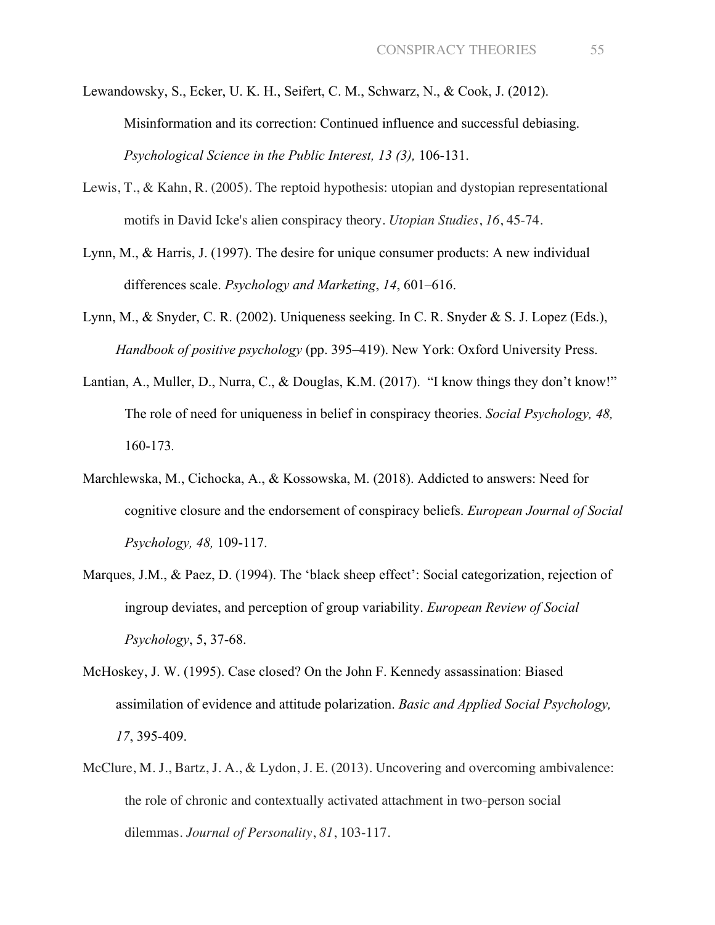- Lewandowsky, S., Ecker, U. K. H., Seifert, C. M., Schwarz, N., & Cook, J. (2012). Misinformation and its correction: Continued influence and successful debiasing. *Psychological Science in the Public Interest, 13 (3),* 106-131.
- Lewis, T., & Kahn, R. (2005). The reptoid hypothesis: utopian and dystopian representational motifs in David Icke's alien conspiracy theory. *Utopian Studies*, *16*, 45-74.
- Lynn, M., & Harris, J. (1997). The desire for unique consumer products: A new individual differences scale. *Psychology and Marketing*, *14*, 601–616.
- Lynn, M., & Snyder, C. R. (2002). Uniqueness seeking. In C. R. Snyder & S. J. Lopez (Eds.), *Handbook of positive psychology* (pp. 395–419). New York: Oxford University Press.
- Lantian, A., Muller, D., Nurra, C., & Douglas, K.M. (2017). "I know things they don't know!" The role of need for uniqueness in belief in conspiracy theories. *Social Psychology, 48,*  160-173*.*
- Marchlewska, M., Cichocka, A., & Kossowska, M. (2018). Addicted to answers: Need for cognitive closure and the endorsement of conspiracy beliefs. *European Journal of Social Psychology, 48,* 109-117.
- Marques, J.M., & Paez, D. (1994). The 'black sheep effect': Social categorization, rejection of ingroup deviates, and perception of group variability. *European Review of Social Psychology*, 5, 37-68.
- McHoskey, J. W. (1995). Case closed? On the John F. Kennedy assassination: Biased assimilation of evidence and attitude polarization. *Basic and Applied Social Psychology, 17*, 395-409.
- McClure, M. J., Bartz, J. A., & Lydon, J. E. (2013). Uncovering and overcoming ambivalence: the role of chronic and contextually activated attachment in two-person social dilemmas. *Journal of Personality*, *81*, 103-117.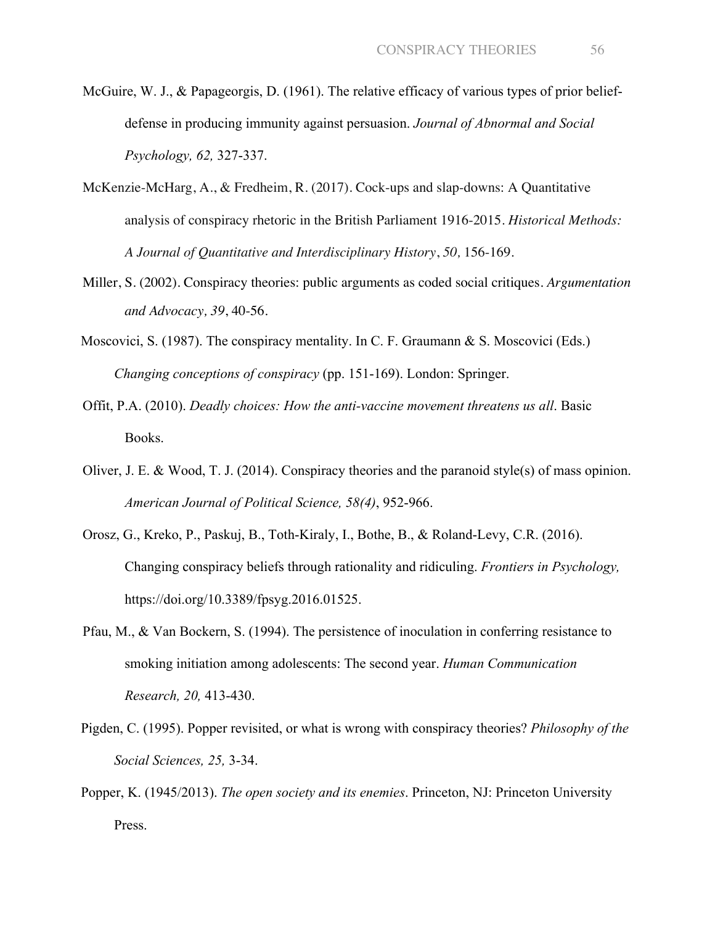- McGuire, W. J., & Papageorgis, D. (1961). The relative efficacy of various types of prior beliefdefense in producing immunity against persuasion. *Journal of Abnormal and Social Psychology, 62,* 327-337.
- McKenzie-McHarg, A., & Fredheim, R. (2017). Cock-ups and slap-downs: A Quantitative analysis of conspiracy rhetoric in the British Parliament 1916-2015. *Historical Methods: A Journal of Quantitative and Interdisciplinary History*, *50,* 156-169.
- Miller, S. (2002). Conspiracy theories: public arguments as coded social critiques. *Argumentation and Advocacy, 39*, 40-56.
- Moscovici, S. (1987). The conspiracy mentality. In C. F. Graumann & S. Moscovici (Eds.) *Changing conceptions of conspiracy* (pp. 151-169). London: Springer.
- Offit, P.A. (2010). *Deadly choices: How the anti-vaccine movement threatens us all*. Basic Books.
- Oliver, J. E. & Wood, T. J. (2014). Conspiracy theories and the paranoid style(s) of mass opinion. *American Journal of Political Science, 58(4)*, 952-966.
- Orosz, G., Kreko, P., Paskuj, B., Toth-Kiraly, I., Bothe, B., & Roland-Levy, C.R. (2016). Changing conspiracy beliefs through rationality and ridiculing. *Frontiers in Psychology,*  https://doi.org/10.3389/fpsyg.2016.01525.
- Pfau, M., & Van Bockern, S. (1994). The persistence of inoculation in conferring resistance to smoking initiation among adolescents: The second year. *Human Communication Research, 20,* 413-430.
- Pigden, C. (1995). Popper revisited, or what is wrong with conspiracy theories? *Philosophy of the Social Sciences, 25,* 3-34.
- Popper, K. (1945/2013). *The open society and its enemies*. Princeton, NJ: Princeton University Press.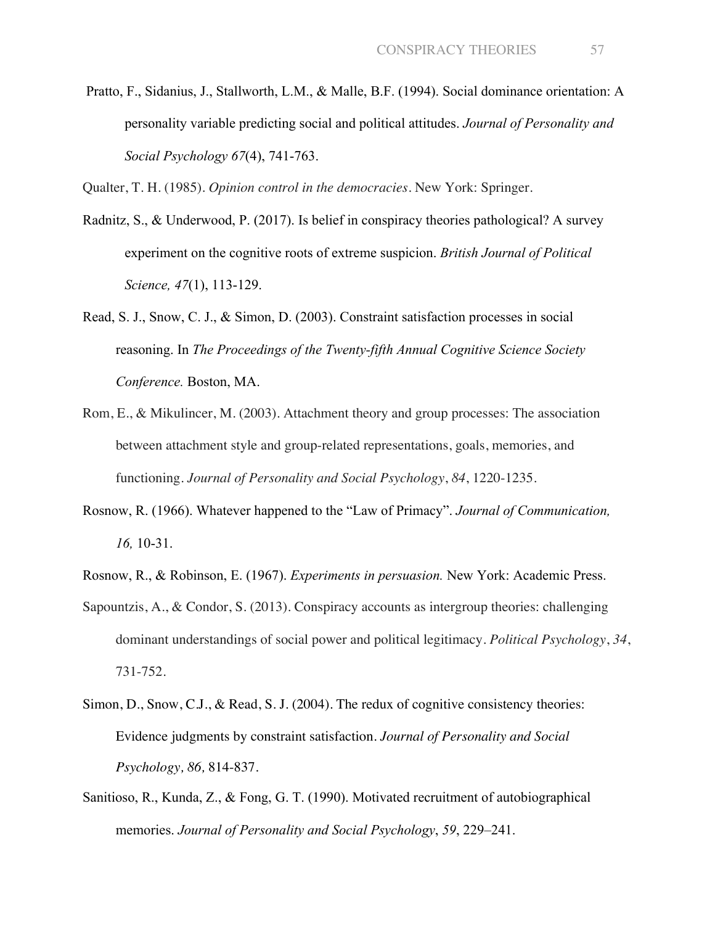Pratto, F., Sidanius, J., Stallworth, L.M., & Malle, B.F. (1994). Social dominance orientation: A personality variable predicting social and political attitudes. *Journal of Personality and Social Psychology 67*(4), 741-763.

Qualter, T. H. (1985). *Opinion control in the democracies*. New York: Springer.

- Radnitz, S., & Underwood, P. (2017). Is belief in conspiracy theories pathological? A survey experiment on the cognitive roots of extreme suspicion. *British Journal of Political Science, 47*(1), 113-129.
- Read, S. J., Snow, C. J., & Simon, D. (2003). Constraint satisfaction processes in social reasoning. In *The Proceedings of the Twenty-fifth Annual Cognitive Science Society Conference.* Boston, MA.
- Rom, E., & Mikulincer, M. (2003). Attachment theory and group processes: The association between attachment style and group-related representations, goals, memories, and functioning. *Journal of Personality and Social Psychology*, *84*, 1220-1235.
- Rosnow, R. (1966). Whatever happened to the "Law of Primacy". *Journal of Communication, 16,* 10-31.
- Rosnow, R., & Robinson, E. (1967). *Experiments in persuasion.* New York: Academic Press.
- Sapountzis, A., & Condor, S. (2013). Conspiracy accounts as intergroup theories: challenging dominant understandings of social power and political legitimacy. *Political Psychology*, *34*, 731-752.
- Simon, D., Snow, C.J., & Read, S.J. (2004). The redux of cognitive consistency theories: Evidence judgments by constraint satisfaction. *Journal of Personality and Social Psychology, 86,* 814-837.
- Sanitioso, R., Kunda, Z., & Fong, G. T. (1990). Motivated recruitment of autobiographical memories. *Journal of Personality and Social Psychology*, *59*, 229–241.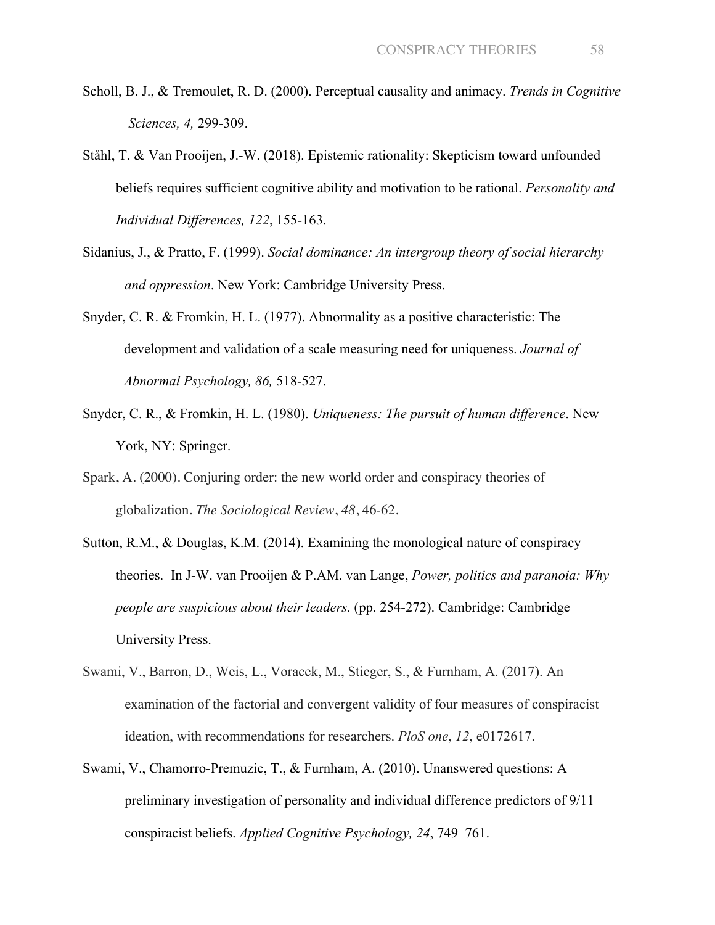- Scholl, B. J., & Tremoulet, R. D. (2000). Perceptual causality and animacy. *Trends in Cognitive Sciences, 4,* 299-309.
- Ståhl, T. & Van Prooijen, J.-W. (2018). Epistemic rationality: Skepticism toward unfounded beliefs requires sufficient cognitive ability and motivation to be rational. *Personality and Individual Differences, 122*, 155-163.
- Sidanius, J., & Pratto, F. (1999). *Social dominance: An intergroup theory of social hierarchy and oppression*. New York: Cambridge University Press.
- Snyder, C. R. & Fromkin, H. L. (1977). Abnormality as a positive characteristic: The development and validation of a scale measuring need for uniqueness. *Journal of Abnormal Psychology, 86,* 518-527.
- Snyder, C. R., & Fromkin, H. L. (1980). *Uniqueness: The pursuit of human difference*. New York, NY: Springer.
- Spark, A. (2000). Conjuring order: the new world order and conspiracy theories of globalization. *The Sociological Review*, *48*, 46-62.
- Sutton, R.M., & Douglas, K.M. (2014). Examining the monological nature of conspiracy theories. In J-W. van Prooijen & P.AM. van Lange, *Power, politics and paranoia: Why people are suspicious about their leaders.* (pp. 254-272). Cambridge: Cambridge University Press.
- Swami, V., Barron, D., Weis, L., Voracek, M., Stieger, S., & Furnham, A. (2017). An examination of the factorial and convergent validity of four measures of conspiracist ideation, with recommendations for researchers. *PloS one*, *12*, e0172617.
- Swami, V., Chamorro-Premuzic, T., & Furnham, A. (2010). Unanswered questions: A preliminary investigation of personality and individual difference predictors of 9/11 conspiracist beliefs. *Applied Cognitive Psychology, 24*, 749–761.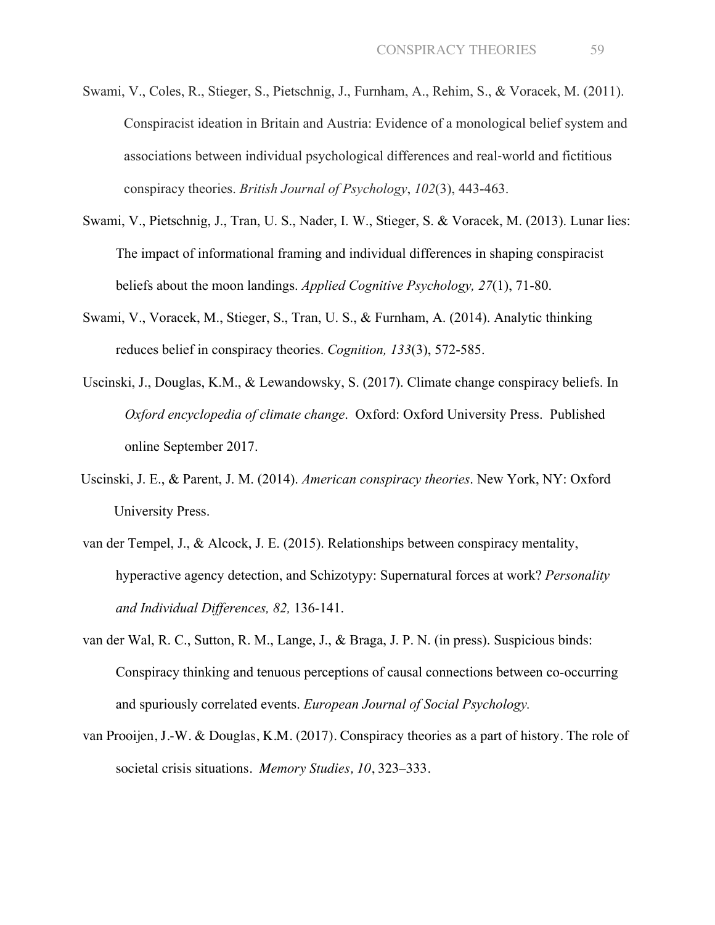- Swami, V., Coles, R., Stieger, S., Pietschnig, J., Furnham, A., Rehim, S., & Voracek, M. (2011). Conspiracist ideation in Britain and Austria: Evidence of a monological belief system and associations between individual psychological differences and real-world and fictitious conspiracy theories. *British Journal of Psychology*, *102*(3), 443-463.
- Swami, V., Pietschnig, J., Tran, U. S., Nader, I. W., Stieger, S. & Voracek, M. (2013). Lunar lies: The impact of informational framing and individual differences in shaping conspiracist beliefs about the moon landings. *Applied Cognitive Psychology, 27*(1), 71-80.
- Swami, V., Voracek, M., Stieger, S., Tran, U. S., & Furnham, A. (2014). Analytic thinking reduces belief in conspiracy theories. *Cognition, 133*(3), 572-585.
- Uscinski, J., Douglas, K.M., & Lewandowsky, S. (2017). Climate change conspiracy beliefs. In *Oxford encyclopedia of climate change*. Oxford: Oxford University Press. Published online September 2017.
- Uscinski, J. E., & Parent, J. M. (2014). *American conspiracy theories*. New York, NY: Oxford University Press.
- van der Tempel, J., & Alcock, J. E. (2015). Relationships between conspiracy mentality, hyperactive agency detection, and Schizotypy: Supernatural forces at work? *Personality and Individual Differences, 82,* 136-141.
- van der Wal, R. C., Sutton, R. M., Lange, J., & Braga, J. P. N. (in press). Suspicious binds: Conspiracy thinking and tenuous perceptions of causal connections between co-occurring and spuriously correlated events. *European Journal of Social Psychology.*
- van Prooijen, J.-W. & Douglas, K.M. (2017). Conspiracy theories as a part of history. The role of societal crisis situations. *Memory Studies, 10*, 323–333.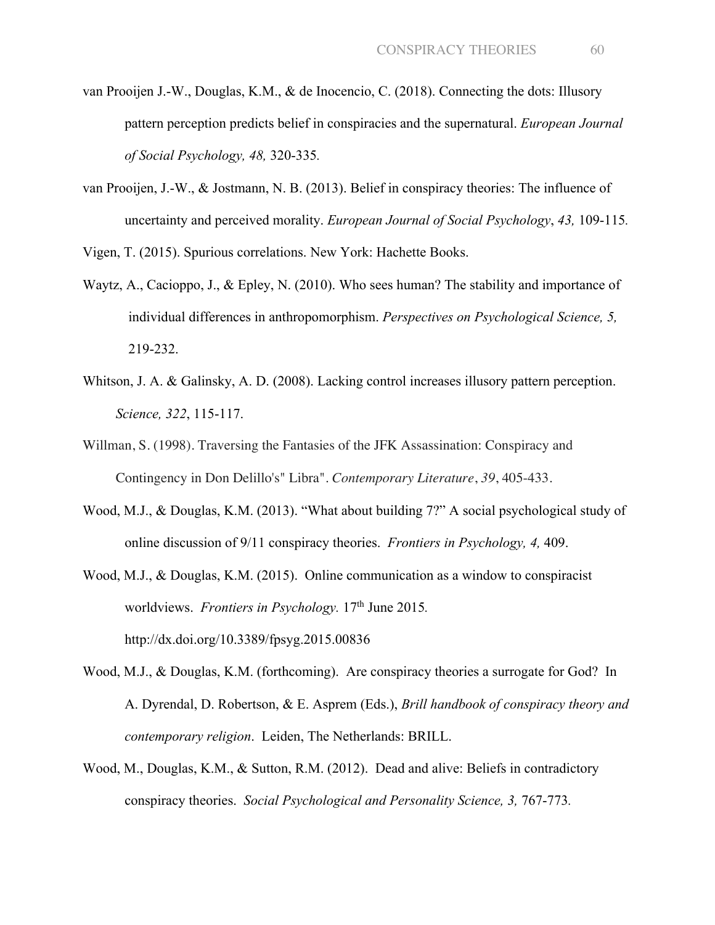- van Prooijen J.-W., Douglas, K.M., & de Inocencio, C. (2018). Connecting the dots: Illusory pattern perception predicts belief in conspiracies and the supernatural. *European Journal of Social Psychology, 48,* 320-335*.*
- van Prooijen, J.-W., & Jostmann, N. B. (2013). Belief in conspiracy theories: The influence of uncertainty and perceived morality. *European Journal of Social Psychology*, *43,* 109-115*.*

Vigen, T. (2015). Spurious correlations. New York: Hachette Books.

- Waytz, A., Cacioppo, J., & Epley, N. (2010). Who sees human? The stability and importance of individual differences in anthropomorphism. *Perspectives on Psychological Science, 5,*  219-232.
- Whitson, J. A. & Galinsky, A. D. (2008). Lacking control increases illusory pattern perception. *Science, 322*, 115-117.
- Willman, S. (1998). Traversing the Fantasies of the JFK Assassination: Conspiracy and Contingency in Don Delillo's" Libra". *Contemporary Literature*, *39*, 405-433.
- Wood, M.J., & Douglas, K.M. (2013). "What about building 7?" A social psychological study of online discussion of 9/11 conspiracy theories. *Frontiers in Psychology, 4,* 409.
- Wood, M.J., & Douglas, K.M. (2015). Online communication as a window to conspiracist worldviews. *Frontiers in Psychology*. 17<sup>th</sup> June 2015. http://dx.doi.org/10.3389/fpsyg.2015.00836
- Wood, M.J., & Douglas, K.M. (forthcoming). Are conspiracy theories a surrogate for God? In A. Dyrendal, D. Robertson, & E. Asprem (Eds.), *Brill handbook of conspiracy theory and contemporary religion*. Leiden, The Netherlands: BRILL.
- Wood, M., Douglas, K.M., & Sutton, R.M. (2012). Dead and alive: Beliefs in contradictory conspiracy theories. *Social Psychological and Personality Science, 3,* 767-773*.*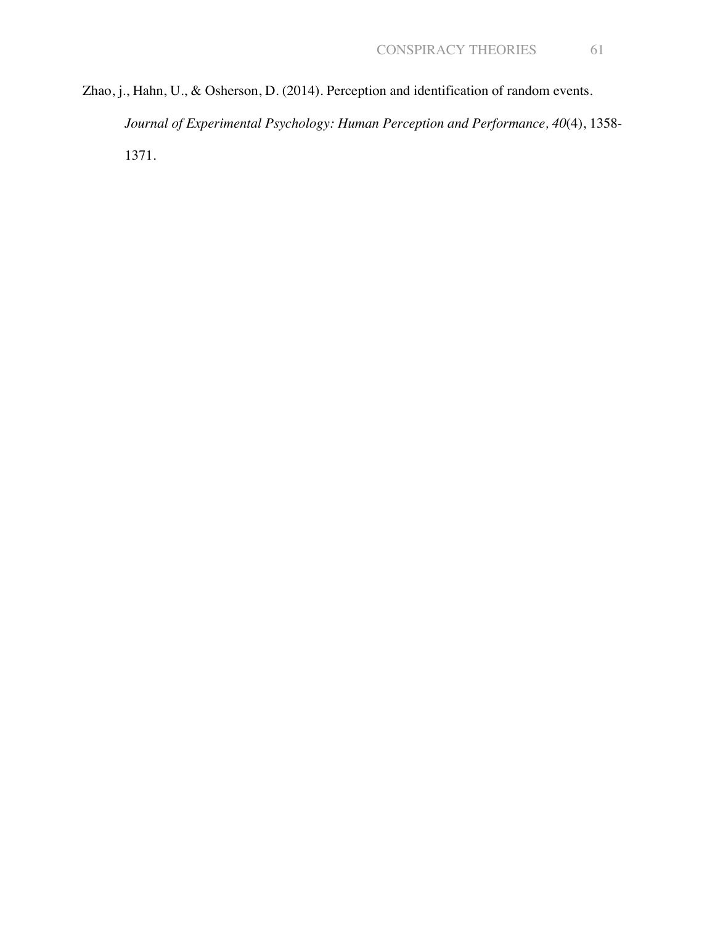Zhao, j., Hahn, U., & Osherson, D. (2014). Perception and identification of random events. *Journal of Experimental Psychology: Human Perception and Performance, 40*(4), 1358- 1371.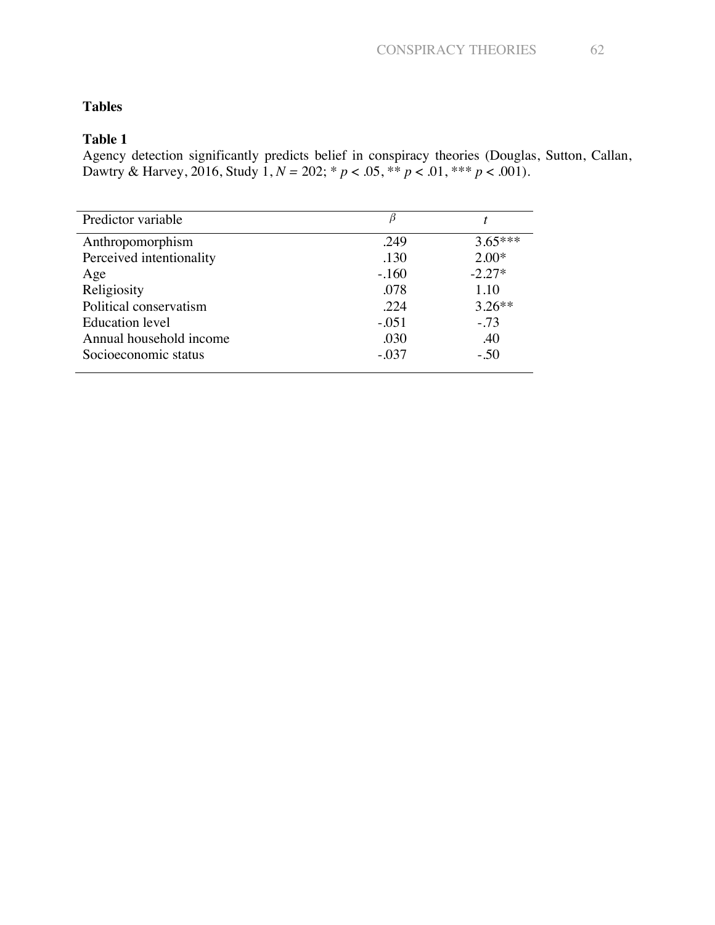# **Table 1**

Agency detection significantly predicts belief in conspiracy theories (Douglas, Sutton, Callan, Dawtry & Harvey, 2016, Study 1, *N =* 202; \* *p* < .05, \*\* *p* < .01, \*\*\* *p* < .001).

| Predictor variable       |         |           |
|--------------------------|---------|-----------|
| Anthropomorphism         | .249    | $3.65***$ |
| Perceived intentionality | .130    | $2.00*$   |
| Age                      | $-.160$ | $-2.27*$  |
| Religiosity              | .078    | 1.10      |
| Political conservatism   | .224    | $3.26**$  |
| Education level          | $-.051$ | $-.73$    |
| Annual household income  | .030    | .40       |
| Socioeconomic status     | $-.037$ | $-.50$    |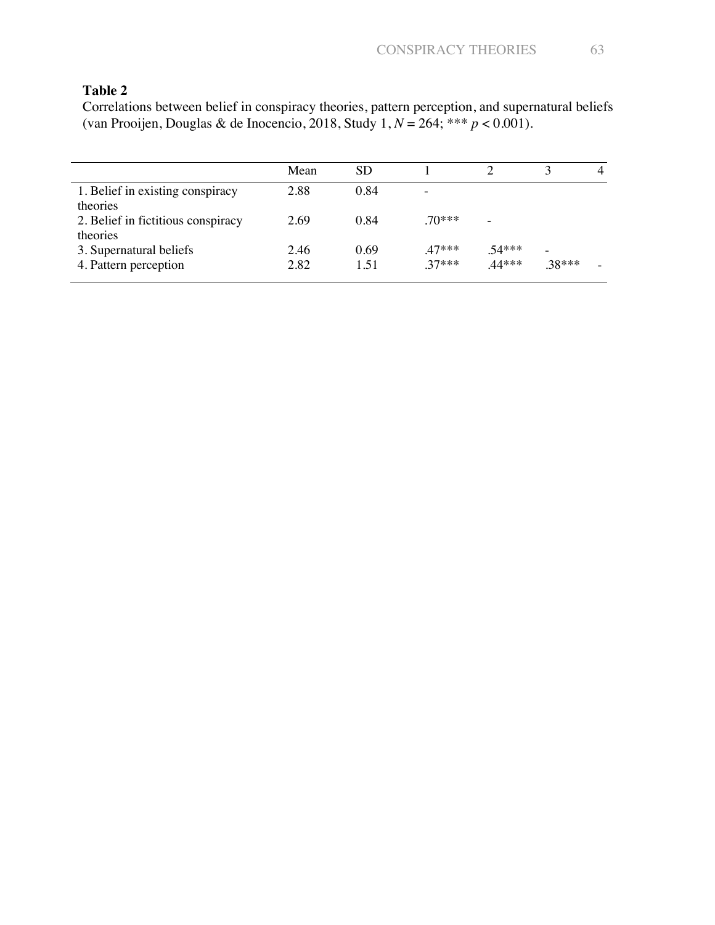Correlations between belief in conspiracy theories, pattern perception, and supernatural beliefs (van Prooijen, Douglas & de Inocencio, 2018, Study 1, *N* = 264; \*\*\* *p* < 0.001).

|                                    | Mean | <b>SD</b> |                          |                          |        | 4 |
|------------------------------------|------|-----------|--------------------------|--------------------------|--------|---|
| 1. Belief in existing conspiracy   | 2.88 | 0.84      | $\overline{\phantom{0}}$ |                          |        |   |
| theories                           |      |           |                          |                          |        |   |
| 2. Belief in fictitious conspiracy | 2.69 | 0.84      | $70***$                  | $\overline{\phantom{0}}$ |        |   |
| theories                           |      |           |                          |                          |        |   |
| 3. Supernatural beliefs            | 2.46 | 0.69      | $47***$                  | $.54***$                 |        |   |
| 4. Pattern perception              | 2.82 | 1.51      | $37***$                  | $.44***$                 | .38*** |   |
|                                    |      |           |                          |                          |        |   |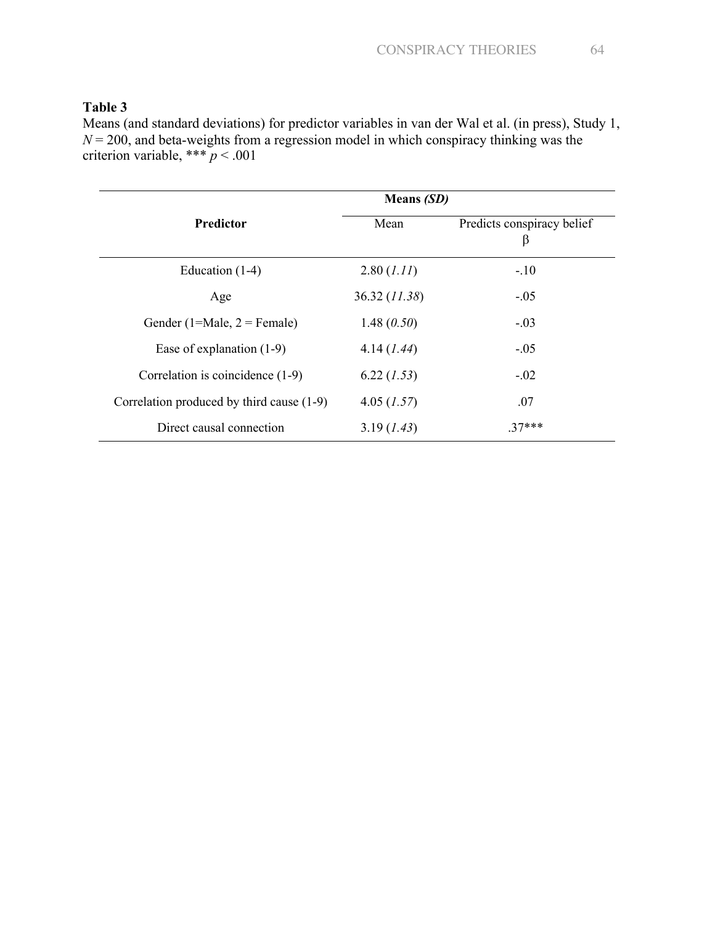Means (and standard deviations) for predictor variables in van der Wal et al. (in press), Study 1, *N* = 200, and beta-weights from a regression model in which conspiracy thinking was the criterion variable, \*\*\* *p* < .001

|                                           | <b>Means</b> (SD) |                                 |  |  |  |
|-------------------------------------------|-------------------|---------------------------------|--|--|--|
| <b>Predictor</b>                          | Mean              | Predicts conspiracy belief<br>β |  |  |  |
| Education $(1-4)$                         | 2.80 (1.11)       | $-.10$                          |  |  |  |
| Age                                       | 36.32 (11.38)     | $-.05$                          |  |  |  |
| Gender (1=Male, $2$ = Female)             | 1.48 $(0.50)$     | $-.03$                          |  |  |  |
| Ease of explanation $(1-9)$               | 4.14(1.44)        | $-.05$                          |  |  |  |
| Correlation is coincidence (1-9)          | 6.22(1.53)        | $-.02$                          |  |  |  |
| Correlation produced by third cause (1-9) | $4.05$ (1.57)     | .07                             |  |  |  |
| Direct causal connection                  | 3.19(1.43)        | $.37***$                        |  |  |  |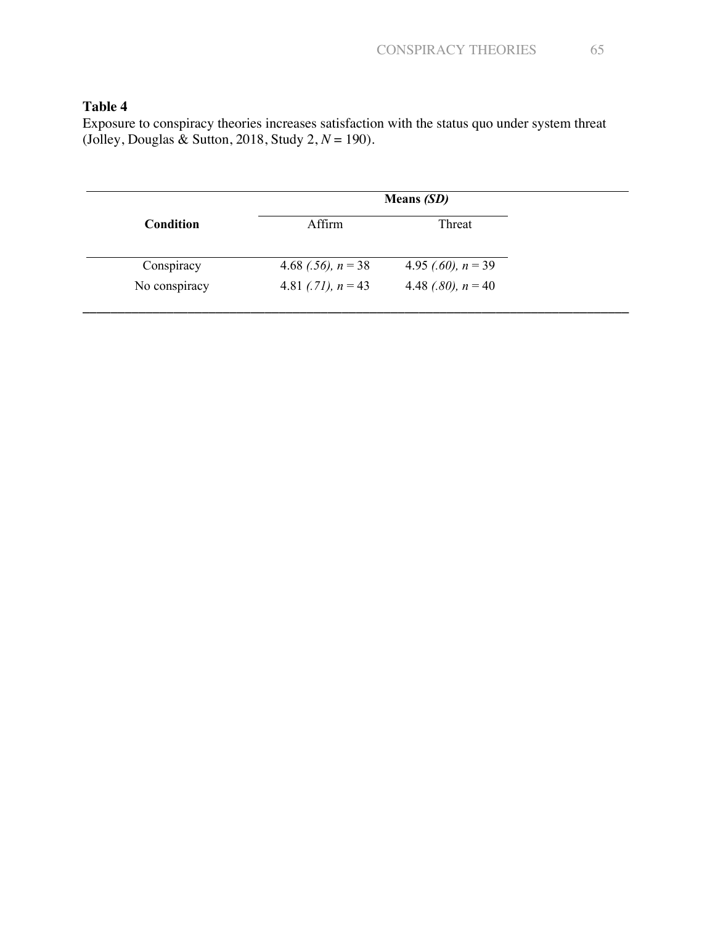Exposure to conspiracy theories increases satisfaction with the status quo under system threat (Jolley, Douglas & Sutton, 2018, Study 2, *N* = 190).

|               | <b>Means</b> (SD)    |                      |  |
|---------------|----------------------|----------------------|--|
| Condition     | Affirm               | Threat               |  |
| Conspiracy    | 4.68 (.56), $n = 38$ | 4.95 (.60), $n = 39$ |  |
| No conspiracy | 4.81 (.71), $n = 43$ | 4.48 (.80), $n = 40$ |  |
|               |                      |                      |  |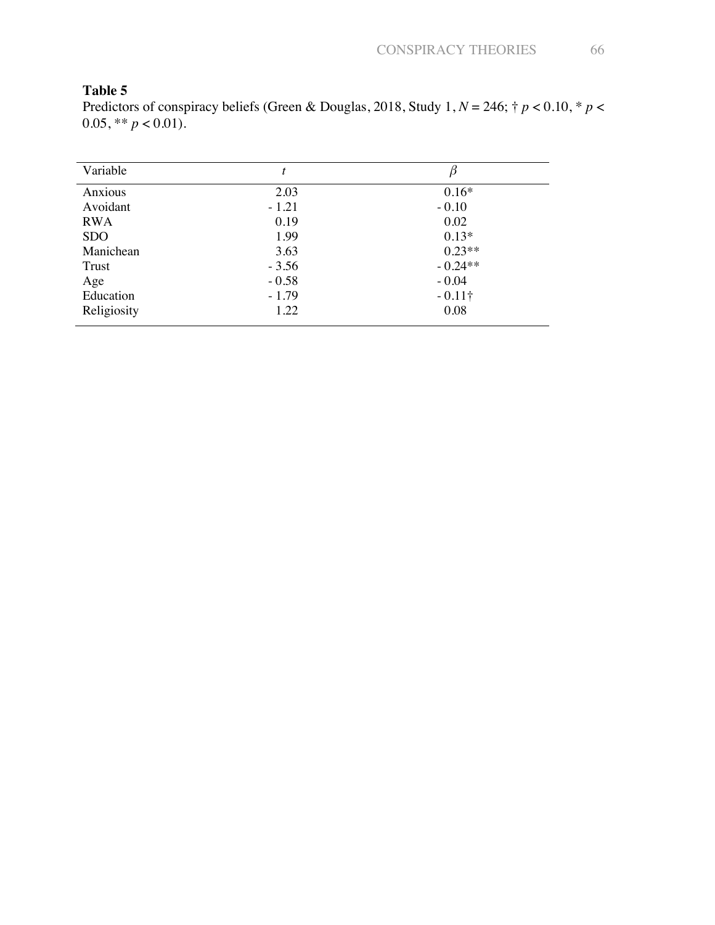Predictors of conspiracy beliefs (Green & Douglas, 2018, Study 1, *N* = 246; † *p* < 0.10, \* *p* < 0.05, \*\*  $p < 0.01$ ).

| Variable    |         |                |
|-------------|---------|----------------|
| Anxious     | 2.03    | $0.16*$        |
| Avoidant    | $-1.21$ | $-0.10$        |
| <b>RWA</b>  | 0.19    | 0.02           |
| <b>SDO</b>  | 1.99    | $0.13*$        |
| Manichean   | 3.63    | $0.23**$       |
| Trust       | $-3.56$ | $-0.24**$      |
| Age         | $-0.58$ | $-0.04$        |
| Education   | $-1.79$ | $-0.11\dagger$ |
| Religiosity | 1.22    | 0.08           |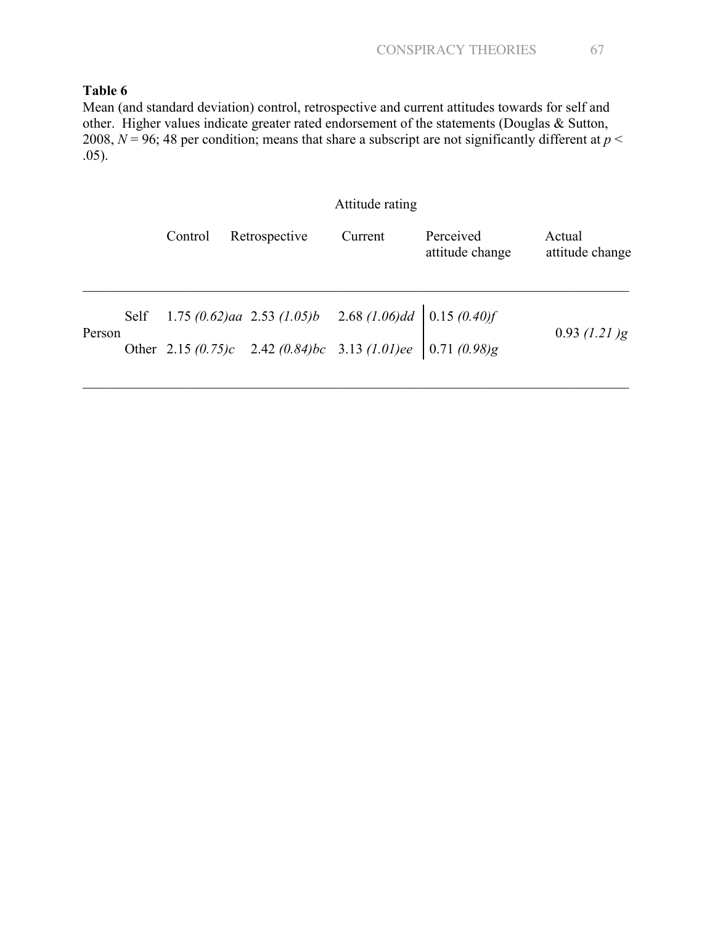Mean (and standard deviation) control, retrospective and current attitudes towards for self and other. Higher values indicate greater rated endorsement of the statements (Douglas & Sutton, 2008,  $N = 96$ ; 48 per condition; means that share a subscript are not significantly different at  $p <$ .05).

## Attitude rating

|        | Control | Retrospective                                                                                 | Current | Perceived<br>attitude change | Actual<br>attitude change |
|--------|---------|-----------------------------------------------------------------------------------------------|---------|------------------------------|---------------------------|
|        |         | Self 1.75 (0.62)aa 2.53 (1.05)b 2.68 (1.06)dd $\begin{array}{ l} 0.15 \ (0.40) f \end{array}$ |         |                              |                           |
| Person |         | Other 2.15 $(0.75)c$ 2.42 $(0.84)bc$ 3.13 $(1.01)ee$ 0.71 $(0.98)g$                           |         |                              | $0.93$ (1.21)g            |

\_\_\_\_\_\_\_\_\_\_\_\_\_\_\_\_\_\_\_\_\_\_\_\_\_\_\_\_\_\_\_\_\_\_\_\_\_\_\_\_\_\_\_\_\_\_\_\_\_\_\_\_\_\_\_\_\_\_\_\_\_\_\_\_\_\_\_\_\_\_\_\_\_\_\_\_\_\_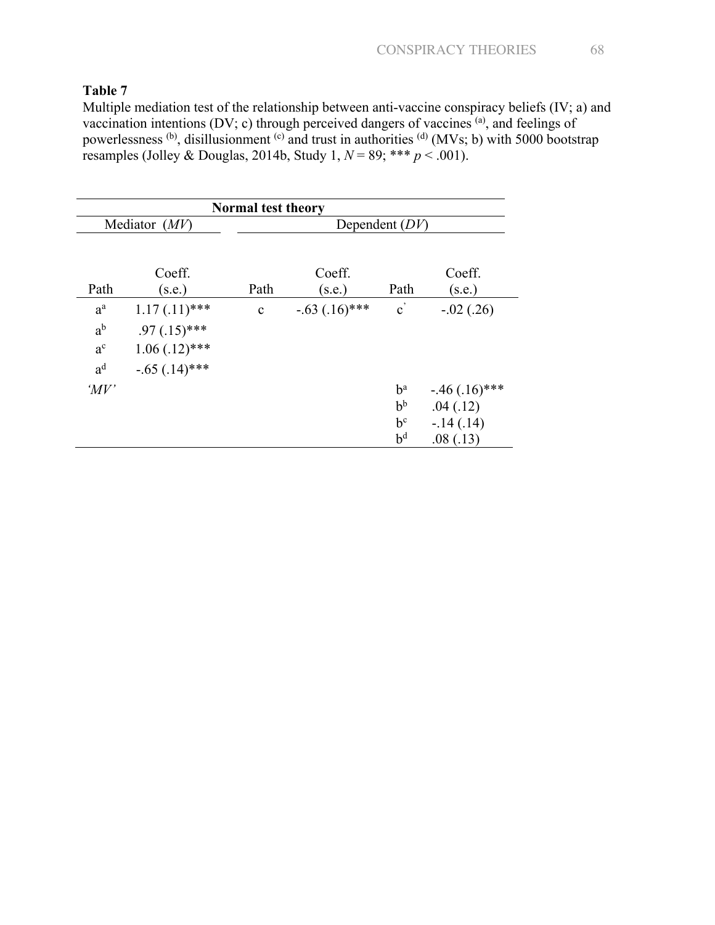Multiple mediation test of the relationship between anti-vaccine conspiracy beliefs (IV; a) and vaccination intentions (DV; c) through perceived dangers of vaccines  $^{(a)}$ , and feelings of powerlessness (b), disillusionment <sup>(c)</sup> and trust in authorities <sup>(d)</sup> (MVs; b) with 5000 bootstrap resamples (Jolley & Douglas, 2014b, Study 1,  $N = 89$ ; \*\*\*  $p < .001$ ).

| <b>Normal test theory</b> |                  |                  |                  |                       |                  |
|---------------------------|------------------|------------------|------------------|-----------------------|------------------|
|                           | Mediator $(MV)$  | Dependent $(DV)$ |                  |                       |                  |
| Path                      | Coeff.<br>(s.e.) | Path             | Coeff.<br>(s.e.) | Path                  | Coeff.<br>(s.e.) |
| $a^a$                     | $1.17(.11)$ ***  | $\mathbf c$      | $-.63(.16)$ ***  | $\mathbf{c}^{\prime}$ | $-.02(.26)$      |
| $a^b$                     | $.97(.15)$ ***   |                  |                  |                       |                  |
| $a^{c}$                   | $1.06(.12)$ ***  |                  |                  |                       |                  |
| $a^d$                     | $-.65(.14)$ ***  |                  |                  |                       |                  |
| $^{\prime}MV'$            |                  |                  |                  | $b^a$                 | $-.46(.16)$ ***  |
|                           |                  |                  |                  | $b^b$                 | .04(.12)         |
|                           |                  |                  |                  | $b^c$                 | $-.14(.14)$      |
|                           |                  |                  |                  | $b^d$                 | .08(.13)         |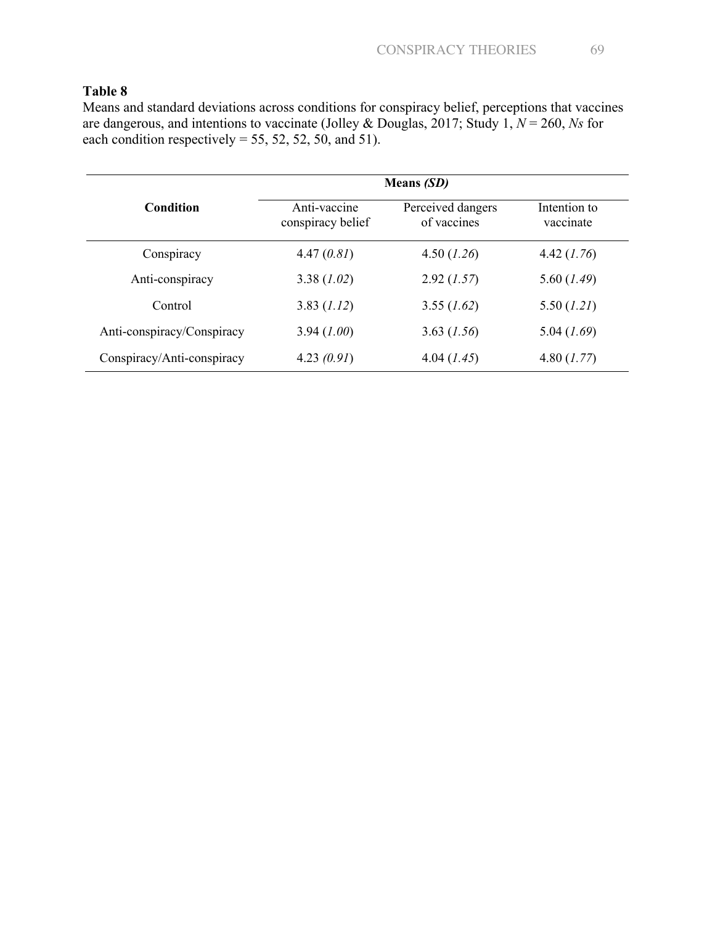Means and standard deviations across conditions for conspiracy belief, perceptions that vaccines are dangerous, and intentions to vaccinate (Jolley & Douglas, 2017; Study 1, *N* = 260, *Ns* for each condition respectively = 55, 52, 52, 50, and 51).

|                            | <b>Means</b> (SD)                 |                                  |                           |
|----------------------------|-----------------------------------|----------------------------------|---------------------------|
| Condition                  | Anti-vaccine<br>conspiracy belief | Perceived dangers<br>of vaccines | Intention to<br>vaccinate |
| Conspiracy                 | 4.47(0.81)                        | 4.50 (1.26)                      | 4.42 (1.76)               |
| Anti-conspiracy            | 3.38(1.02)                        | 2.92(1.57)                       | 5.60 (1.49)               |
| Control                    | 3.83 (1.12)                       | 3.55 (1.62)                      | 5.50 (1.21)               |
| Anti-conspiracy/Conspiracy | 3.94(1.00)                        | 3.63 (1.56)                      | $5.04$ $(1.69)$           |
| Conspiracy/Anti-conspiracy | 4.23 $(0.91)$                     | 4.04 (1.45)                      | 4.80 (1.77)               |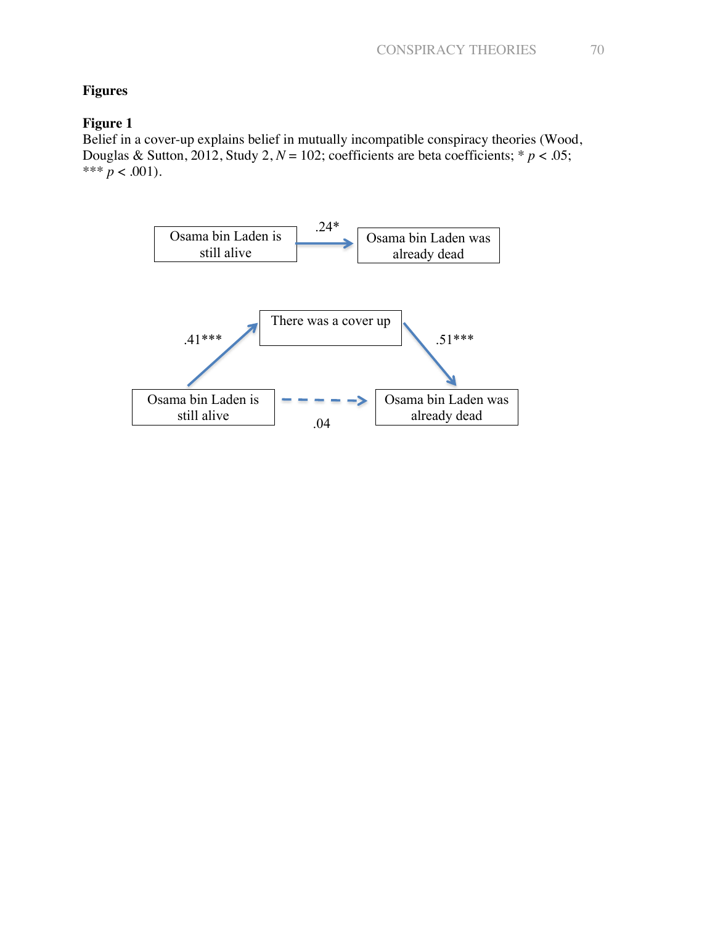## **Figures**

# **Figure 1**

Belief in a cover-up explains belief in mutually incompatible conspiracy theories (Wood, Douglas & Sutton, 2012, Study 2,  $N = 102$ ; coefficients are beta coefficients; \*  $p < .05$ ; \*\*\*  $p < .001$ ).

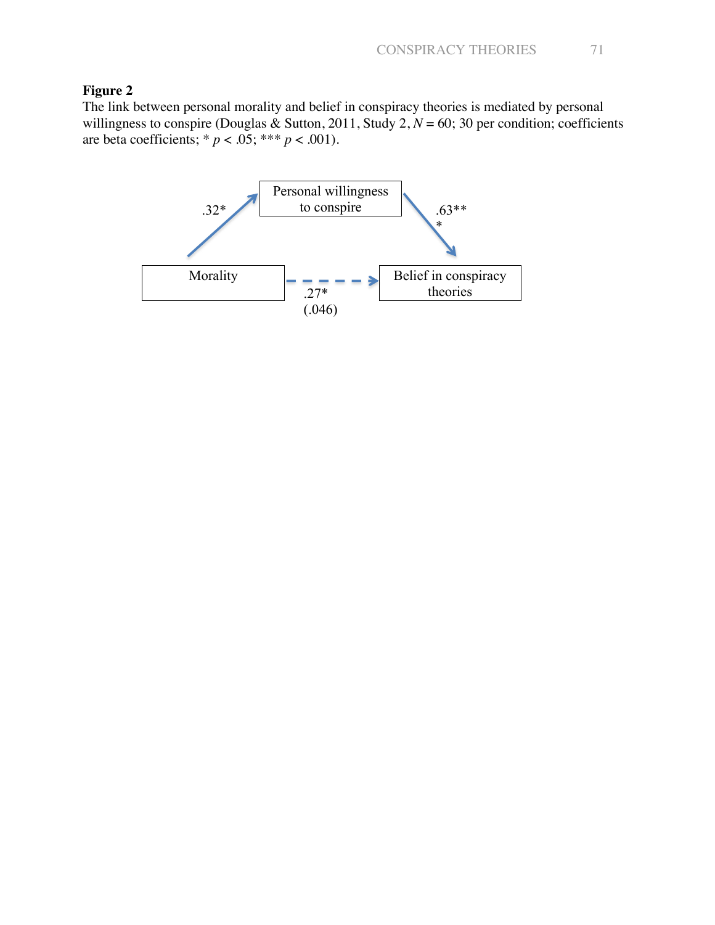## **Figure 2**

The link between personal morality and belief in conspiracy theories is mediated by personal willingness to conspire (Douglas & Sutton, 2011, Study 2,  $N = 60$ ; 30 per condition; coefficients are beta coefficients; \*  $p < .05$ ; \*\*\*  $p < .001$ ).

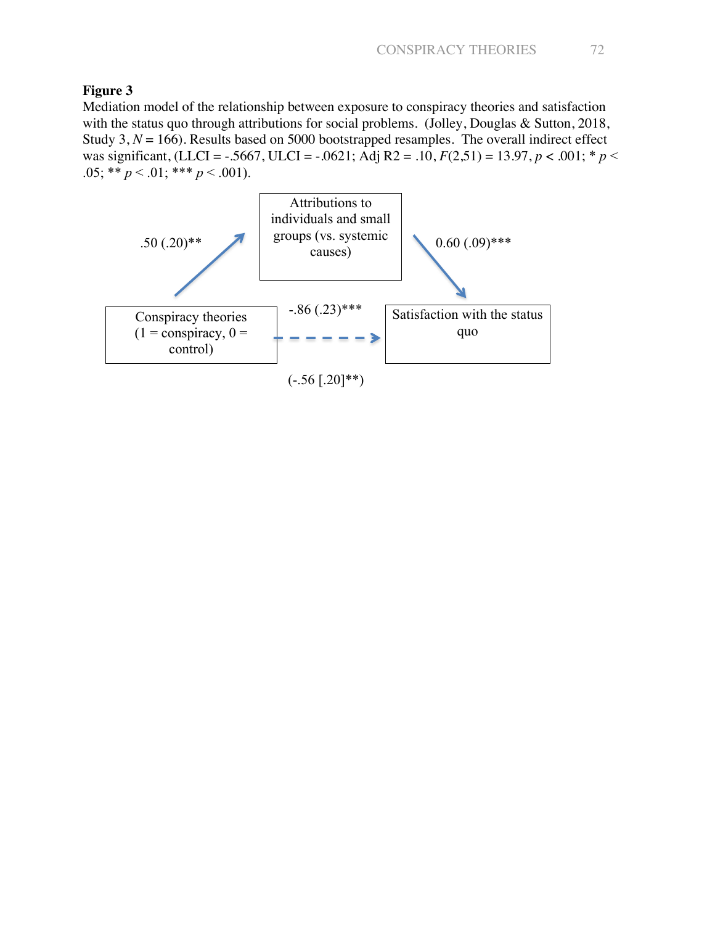## **Figure 3**

Mediation model of the relationship between exposure to conspiracy theories and satisfaction with the status quo through attributions for social problems. (Jolley, Douglas & Sutton, 2018, Study  $3, N = 166$ ). Results based on 5000 bootstrapped resamples. The overall indirect effect was significant, (LLCI = -.5667, ULCI = -.0621; Adj R2 = .10,  $F(2,51) = 13.97$ ,  $p < .001$ ;  $p <$ .05; \*\*  $p < .01$ ; \*\*\*  $p < .001$ ).

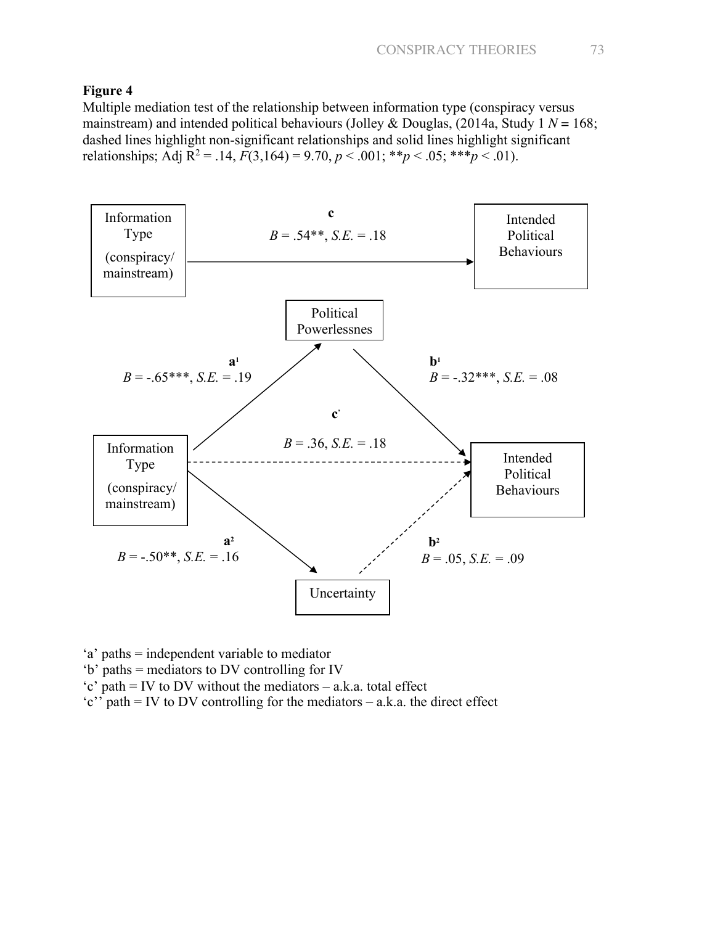## **Figure 4**

Multiple mediation test of the relationship between information type (conspiracy versus mainstream) and intended political behaviours (Jolley & Douglas, (2014a, Study 1 *N* = 168; dashed lines highlight non-significant relationships and solid lines highlight significant relationships; Adj  $R^2 = .14$ ,  $F(3,164) = 9.70$ ,  $p < .001$ ; \*\* $p < .05$ ; \*\*\* $p < .01$ ).



'a' paths = independent variable to mediator

- 'b' paths = mediators to DV controlling for IV
- 'c' path = IV to DV without the mediators a.k.a. total effect
- 'c'' path = IV to DV controlling for the mediators a.k.a. the direct effect